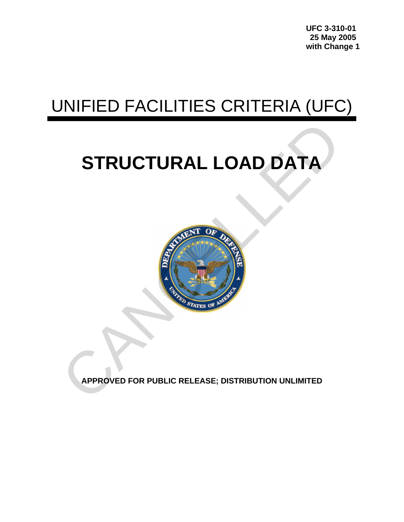**UFC 3-310-01 25 May 2005 with Change 1**

# UNIFIED FACILITIES CRITERIA (UFC)

# **STRUCTURAL LOAD DATA**



**APPROVED FOR PUBLIC RELEASE; DISTRIBUTION UNLIMITED**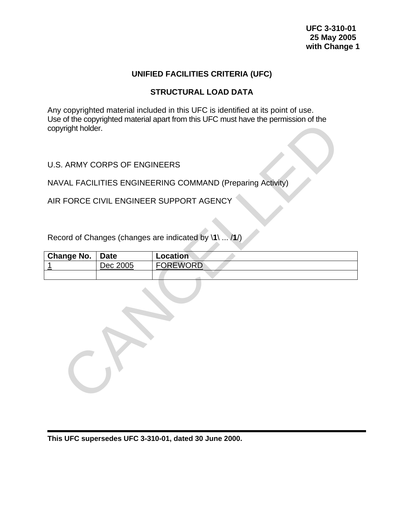## **UNIFIED FACILITIES CRITERIA (UFC)**

## **STRUCTURAL LOAD DATA**

Any copyrighted material included in this UFC is identified at its point of use. Use of the copyrighted material apart from this UFC must have the permission of the copyright holder.

## U.S. ARMY CORPS OF ENGINEERS

NAVAL FACILITIES ENGINEERING COMMAND (Preparing Activity)

AIR FORCE CIVIL ENGINEER SUPPORT AGENCY

Record of Changes (changes are indicated by \**1**\ ... /**1**/)

| <b>Change No.</b> | <b>Date</b> | Location        |
|-------------------|-------------|-----------------|
|                   | Dec 2005    | <b>FOREWORD</b> |
|                   |             |                 |



**This UFC supersedes UFC 3-310-01, dated 30 June 2000.**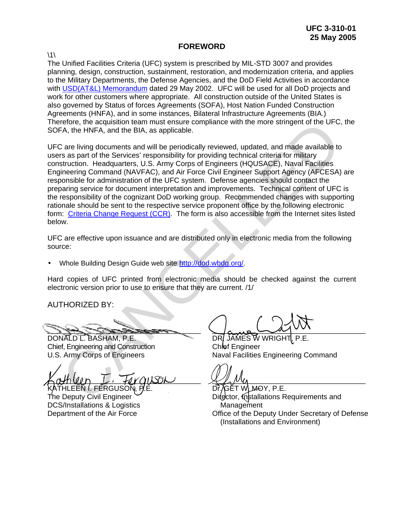#### **FOREWORD**

 $\backslash$ 1 $\backslash$ 

The Unified Facilities Criteria (UFC) system is prescribed by MIL-STD 3007 and provides planning, design, construction, sustainment, restoration, and modernization criteria, and applies to the Military Departments, the Defense Agencies, and the DoD Field Activities in accordance with [USD\(AT&L\) Memorandum](http://www.wbdg.org/pdfs/ufc_implementation.pdf) dated 29 May 2002. UFC will be used for all DoD projects and work for other customers where appropriate. All construction outside of the United States is also governed by Status of forces Agreements (SOFA), Host Nation Funded Construction Agreements (HNFA), and in some instances, Bilateral Infrastructure Agreements (BIA.) Therefore, the acquisition team must ensure compliance with the more stringent of the UFC, the SOFA, the HNFA, and the BIA, as applicable.

UFC are living documents and will be periodically reviewed, updated, and made available to users as part of the Services' responsibility for providing technical criteria for military construction. Headquarters, U.S. Army Corps of Engineers (HQUSACE), Naval Facilities Engineering Command (NAVFAC), and Air Force Civil Engineer Support Agency (AFCESA) are responsible for administration of the UFC system. Defense agencies should contact the preparing service for document interpretation and improvements. Technical content of UFC is the responsibility of the cognizant DoD working group. Recommended changes with supporting rationale should be sent to the respective service proponent office by the following electronic form: Criteria Change Request (CCR). The form is also accessible from the Internet sites listed below. refore, the acquisition team must ensure compliance with the more stringent of the UFC,<br>
FA, the HNFA, and the BIA, as applicable,<br>
2 are living documents and will be periodically reviewed, updated, and made available to<br>

UFC are effective upon issuance and are distributed only in electronic media from the following source:

• Whole Building Design Guide web site http://dod.wbdg.org/.

Hard copies of UFC printed from electronic media should be checked against the current electronic version prior to use to ensure that they are current. /1/

AUTHORIZED BY:

 $\sim$   $\sim$   $\sim$   $\sim$   $\sim$   $\sim$ 

DONALD L. BASHAM, P.E. Chief, Engineering and Construction U.S. Army Corps of Engineers

 $\land \alpha$ mun  $L$ , forguson ATHLEEN I. FERGUSON,

The Deputy Civil Engineer DCS/Installations & Logistics Department of the Air Force

 $\sqrt{a_{\rm max} - a_{\rm j} - a_{\rm j} - a_{\rm j} - a_{\rm j} - a_{\rm j} - a_{\rm j} - a_{\rm j} - a_{\rm j} - a_{\rm j} - a_{\rm j} - a_{\rm j} - a_{\rm j} - a_{\rm j} - a_{\rm j} - a_{\rm j} - a_{\rm j} - a_{\rm j} - a_{\rm j} - a_{\rm j} - a_{\rm j} - a_{\rm j} - a_{\rm j} - a_{\rm j} - a_{\rm j} - a_{\rm j} - a_{\rm j} - a_{\rm j} - a_{\rm j} - a_{\rm j} - a_{\rm j} -$ 

DR. JAMES W WRIGHT Chief Engineer Naval Facilities Engineering Command

 $\chi$ 

Dr̃, ⁄̄GĚT WLM-OY, P.E. Difector, Installations Requirements and Management Office of the Deputy Under Secretary of Defense (Installations and Environment)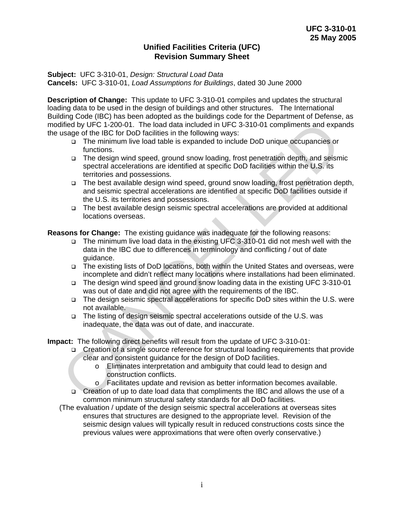#### **Unified Facilities Criteria (UFC) Revision Summary Sheet**

**Subject:** UFC 3-310-01, *Design: Structural Load Data* **Cancels:** UFC 3-310-01, *Load Assumptions for Buildings*, dated 30 June 2000

**Description of Change:** This update to UFC 3-310-01 compiles and updates the structural loading data to be used in the design of buildings and other structures. The International Building Code (IBC) has been adopted as the buildings code for the Department of Defense, as modified by UFC 1-200-01. The load data included in UFC 3-310-01 compliments and expands the usage of the IBC for DoD facilities in the following ways:

- The minimum live load table is expanded to include DoD unique occupancies or functions.
- The design wind speed, ground snow loading, frost penetration depth, and seismic spectral accelerations are identified at specific DoD facilities within the U.S. its territories and possessions.
- □ The best available design wind speed, ground snow loading, frost penetration depth, and seismic spectral accelerations are identified at specific DoD facilities outside if the U.S. its territories and possessions.
- The best available design seismic spectral accelerations are provided at additional locations overseas.

**Reasons for Change:** The existing guidance was inadequate for the following reasons:

- The minimum live load data in the existing UFC 3-310-01 did not mesh well with the data in the IBC due to differences in terminology and conflicting / out of date guidance. dified by UFC 1-200-01. The load data included in UFC 3-310-01 compliments and expanded the IBC for DOD facilities in the following ways:<br>
use of the IBC for DOD facilities in the following ways is the method by the meth
	- The existing lists of DoD locations, both within the United States and overseas, were incomplete and didn't reflect many locations where installations had been eliminated.
	- The design wind speed and ground snow loading data in the existing UFC 3-310-01 was out of date and did not agree with the requirements of the IBC.
	- The design seismic spectral accelerations for specific DoD sites within the U.S. were not available.
	- The listing of design seismic spectral accelerations outside of the U.S. was inadequate, the data was out of date, and inaccurate.

**Impact:** The following direct benefits will result from the update of UFC 3-310-01:

- Creation of a single source reference for structural loading requirements that provide clear and consistent guidance for the design of DoD facilities.
	- o Eliminates interpretation and ambiguity that could lead to design and construction conflicts.
	- o Facilitates update and revision as better information becomes available.
- Creation of up to date load data that compliments the IBC and allows the use of a common minimum structural safety standards for all DoD facilities.
- (The evaluation / update of the design seismic spectral accelerations at overseas sites ensures that structures are designed to the appropriate level. Revision of the seismic design values will typically result in reduced constructions costs since the previous values were approximations that were often overly conservative.)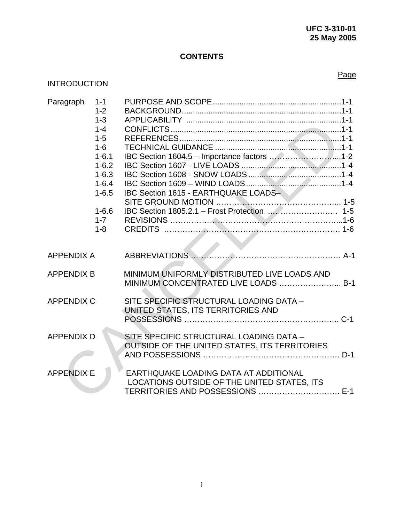Page

# **CONTENTS**

## INTRODUCTION

| Paragraph         | $1 - 1$<br>$1 - 2$<br>$1 - 3$<br>$1 - 4$<br>$1 - 5$<br>$1-6$<br>$1 - 6.1$<br>$1 - 6.2$<br>$1 - 6.3$<br>$1 - 6.4$<br>$1 - 6.5$<br>$1 - 6.6$<br>$1 - 7$<br>$1 - 8$ | IBC Section 1615 - EARTHQUAKE LOADS-                                                                                     |
|-------------------|------------------------------------------------------------------------------------------------------------------------------------------------------------------|--------------------------------------------------------------------------------------------------------------------------|
| <b>APPENDIX A</b> |                                                                                                                                                                  |                                                                                                                          |
| <b>APPENDIX B</b> |                                                                                                                                                                  | MINIMUM UNIFORMLY DISTRIBUTED LIVE LOADS AND<br>MINIMUM CONCENTRATED LIVE LOADS  B-1                                     |
| <b>APPENDIX C</b> |                                                                                                                                                                  | SITE SPECIFIC STRUCTURAL LOADING DATA -<br>UNITED STATES, ITS TERRITORIES AND                                            |
| <b>APPENDIX D</b> |                                                                                                                                                                  | SITE SPECIFIC STRUCTURAL LOADING DATA -<br>OUTSIDE OF THE UNITED STATES, ITS TERRITORIES                                 |
| <b>APPENDIX E</b> |                                                                                                                                                                  | EARTHQUAKE LOADING DATA AT ADDITIONAL<br>LOCATIONS OUTSIDE OF THE UNITED STATES, ITS<br>TERRITORIES AND POSSESSIONS  E-1 |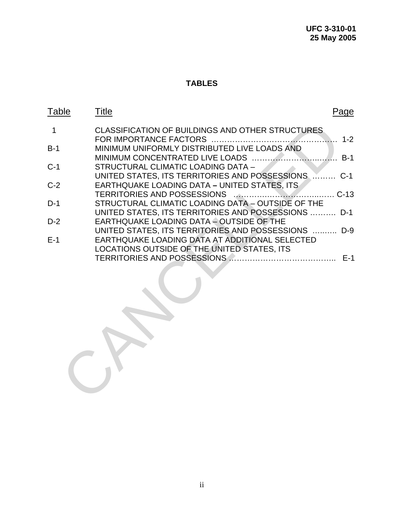# **TABLES**

| Table | <b>Title</b><br><u>Page</u>                                                                              |  |
|-------|----------------------------------------------------------------------------------------------------------|--|
| 1     | CLASSIFICATION OF BUILDINGS AND OTHER STRUCTURES<br>FOR IMPORTANCE FACTORS                               |  |
| $B-1$ | MINIMUM UNIFORMLY DISTRIBUTED LIVE LOADS AND<br>MINIMUM CONCENTRATED LIVE LOADS<br>B-1                   |  |
| $C-1$ | STRUCTURAL CLIMATIC LOADING DATA -<br>UNITED STATES, ITS TERRITORIES AND POSSESSIONS  C-1                |  |
| $C-2$ | EARTHQUAKE LOADING DATA - UNITED STATES, ITS                                                             |  |
| $D-1$ | STRUCTURAL CLIMATIC LOADING DATA - OUTSIDE OF THE<br>UNITED STATES, ITS TERRITORIES AND POSSESSIONS  D-1 |  |
| $D-2$ | <b>EARTHQUAKE LOADING DATA - OUTSIDE OF THE</b><br>UNITED STATES, ITS TERRITORIES AND POSSESSIONS  D-9   |  |
| $E-1$ | EARTHQUAKE LOADING DATA AT ADDITIONAL SELECTED<br>LOCATIONS OUTSIDE OF THE UNITED STATES, ITS            |  |
|       |                                                                                                          |  |
|       |                                                                                                          |  |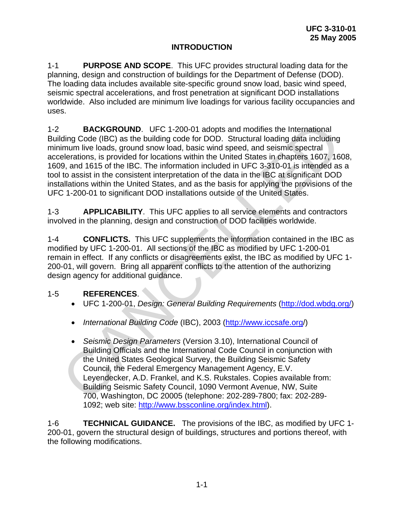## **INTRODUCTION**

1-1 **PURPOSE AND SCOPE**. This UFC provides structural loading data for the planning, design and construction of buildings for the Department of Defense (DOD). The loading data includes available site-specific ground snow load, basic wind speed, seismic spectral accelerations, and frost penetration at significant DOD installations worldwide. Also included are minimum live loadings for various facility occupancies and uses.

1-2 **BACKGROUND**. UFC 1-200-01 adopts and modifies the International Building Code (IBC) as the building code for DOD. Structural loading data including minimum live loads, ground snow load, basic wind speed, and seismic spectral accelerations, is provided for locations within the United States in chapters 1607, 1608, 1609, and 1615 of the IBC. The information included in UFC 3-310-01 is intended as a tool to assist in the consistent interpretation of the data in the IBC at significant DOD installations within the United States, and as the basis for applying the provisions of the UFC 1-200-01 to significant DOD installations outside of the United States. BACKGROUND. UFC 1-200-01 adopts and modifies the International<br>
diding Code (IBC) as the building code for DOD. Structural loading data including<br>
inmum live loads, ground snow load, basic wind speed, and seismic spectral<br>

1-3 **APPLICABILITY**. This UFC applies to all service elements and contractors involved in the planning, design and construction of DOD facilities worldwide.

1-4 **CONFLICTS.** This UFC supplements the information contained in the IBC as modified by UFC 1-200-01. All sections of the IBC as modified by UFC 1-200-01 remain in effect. If any conflicts or disagreements exist, the IBC as modified by UFC 1- 200-01, will govern. Bring all apparent conflicts to the attention of the authorizing design agency for additional guidance.

## 1-5 **REFERENCES**.

- UFC 1-200-01, *Design: General Building Requirements* (http://dod.wbdg.org/)
- *International Building Code* (IBC), 2003 (http://www.iccsafe.org/)
- *Seismic Design Parameters* (Version 3.10), International Council of Building Officials and the International Code Council in conjunction with the United States Geological Survey, the Building Seismic Safety Council, the Federal Emergency Management Agency, E.V. Leyendecker, A.D. Frankel, and K.S. Rukstales. Copies available from: Building Seismic Safety Council, 1090 Vermont Avenue, NW, Suite 700, Washington, DC 20005 (telephone: 202-289-7800; fax: 202-289- 1092; web site: [http://www.bssconline.org/index.html\)](http://www.bssconline.org/index.html).

1-6 **TECHNICAL GUIDANCE.** The provisions of the IBC, as modified by UFC 1- 200-01, govern the structural design of buildings, structures and portions thereof, with the following modifications.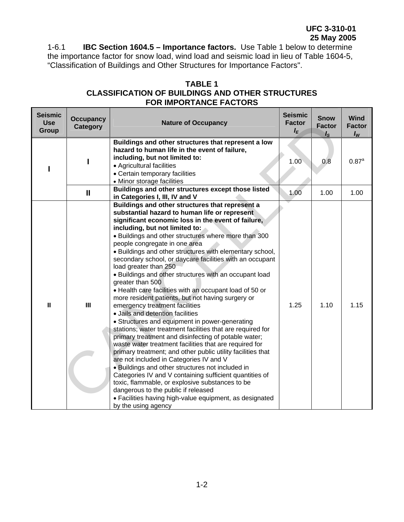1-6.1 **IBC Section 1604.5 – Importance factors.** Use Table 1 below to determine the importance factor for snow load, wind load and seismic load in lieu of Table 1604-5, "Classification of Buildings and Other Structures for Importance Factors".

## **TABLE 1 CLASSIFICATION OF BUILDINGS AND OTHER STRUCTURES FOR IMPORTANCE FACTORS**

| <b>Seismic</b><br><b>Use</b><br><b>Group</b> | <b>Occupancy</b><br>Category | <b>Nature of Occupancy</b>                                                                                                                                                                                                                                                                                                                                                                                                                                                                                                                                                                                                                                                                                                                                                                                                                                                                                                                                                                                                                                                                                                                                                                                                                                                                                                                    | <b>Seismic</b><br><b>Factor</b><br>$I_{E}$ | <b>Snow</b><br><b>Factor</b><br>$I_{\rm S}$ | <b>Wind</b><br><b>Factor</b><br>$I_W$ |
|----------------------------------------------|------------------------------|-----------------------------------------------------------------------------------------------------------------------------------------------------------------------------------------------------------------------------------------------------------------------------------------------------------------------------------------------------------------------------------------------------------------------------------------------------------------------------------------------------------------------------------------------------------------------------------------------------------------------------------------------------------------------------------------------------------------------------------------------------------------------------------------------------------------------------------------------------------------------------------------------------------------------------------------------------------------------------------------------------------------------------------------------------------------------------------------------------------------------------------------------------------------------------------------------------------------------------------------------------------------------------------------------------------------------------------------------|--------------------------------------------|---------------------------------------------|---------------------------------------|
|                                              |                              | Buildings and other structures that represent a low<br>hazard to human life in the event of failure,<br>including, but not limited to:<br>• Agricultural facilities<br>• Certain temporary facilities<br>• Minor storage facilities                                                                                                                                                                                                                                                                                                                                                                                                                                                                                                                                                                                                                                                                                                                                                                                                                                                                                                                                                                                                                                                                                                           | 1.00                                       | 0.8                                         | 0.87 <sup>a</sup>                     |
|                                              | $\mathbf{I}$                 | Buildings and other structures except those listed<br>in Categories I, III, IV and V                                                                                                                                                                                                                                                                                                                                                                                                                                                                                                                                                                                                                                                                                                                                                                                                                                                                                                                                                                                                                                                                                                                                                                                                                                                          | 1.00                                       | 1.00                                        | 1.00                                  |
| $\mathbf{I}$                                 | $\mathbf{III}$               | Buildings and other structures that represent a<br>substantial hazard to human life or represent<br>significant economic loss in the event of failure,<br>including, but not limited to:<br>• Buildings and other structures where more than 300<br>people congregate in one area<br>. Buildings and other structures with elementary school,<br>secondary school, or daycare facilities with an occupant<br>load greater than 250<br>. Buildings and other structures with an occupant load<br>greater than 500<br>. Health care facilities with an occupant load of 50 or<br>more resident patients, but not having surgery or<br>emergency treatment facilities<br>· Jails and detention facilities<br>• Structures and equipment in power-generating<br>stations; water treatment facilities that are required for<br>primary treatment and disinfecting of potable water;<br>waste water treatment facilities that are required for<br>primary treatment; and other public utility facilities that<br>are not included in Categories IV and V<br>. Buildings and other structures not included in<br>Categories IV and V containing sufficient quantities of<br>toxic, flammable, or explosive substances to be<br>dangerous to the public if released<br>• Facilities having high-value equipment, as designated<br>by the using agency | 1.25                                       | 1.10                                        | 1.15                                  |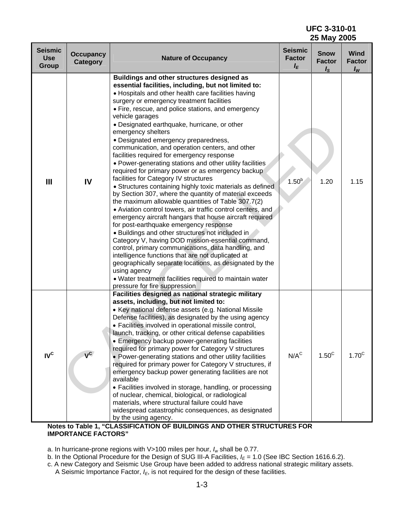#### **UFC 3-310-01 25 May 2005**

| <b>Seismic</b><br><b>Use</b><br><b>Group</b> | <b>Occupancy</b><br>Category | <b>Nature of Occupancy</b>                                                                                                                                                                                                                                                                                                                                                                                                                                                                                                                                                                                                                                                                                                                                                                                                                                                                                                                                                                                                                                                                                                                                                                                                                                                                                                                                                                            | <b>Seismic</b><br><b>Factor</b><br>$I_{E}$ | <b>Snow</b><br><b>Factor</b><br>$I_{\rm S}$ | <b>Wind</b><br><b>Factor</b><br>$I_W$ |
|----------------------------------------------|------------------------------|-------------------------------------------------------------------------------------------------------------------------------------------------------------------------------------------------------------------------------------------------------------------------------------------------------------------------------------------------------------------------------------------------------------------------------------------------------------------------------------------------------------------------------------------------------------------------------------------------------------------------------------------------------------------------------------------------------------------------------------------------------------------------------------------------------------------------------------------------------------------------------------------------------------------------------------------------------------------------------------------------------------------------------------------------------------------------------------------------------------------------------------------------------------------------------------------------------------------------------------------------------------------------------------------------------------------------------------------------------------------------------------------------------|--------------------------------------------|---------------------------------------------|---------------------------------------|
| Ш                                            | IV                           | Buildings and other structures designed as<br>essential facilities, including, but not limited to:<br>• Hospitals and other health care facilities having<br>surgery or emergency treatment facilities<br>• Fire, rescue, and police stations, and emergency<br>vehicle garages<br>· Designated earthquake, hurricane, or other<br>emergency shelters<br>· Designated emergency preparedness,<br>communication, and operation centers, and other<br>facilities required for emergency response<br>• Power-generating stations and other utility facilities<br>required for primary power or as emergency backup<br>facilities for Category IV structures<br>• Structures containing highly toxic materials as defined<br>by Section 307, where the quantity of material exceeds<br>the maximum allowable quantities of Table 307.7(2)<br>• Aviation control towers, air traffic control centers, and<br>emergency aircraft hangars that house aircraft required<br>for post-earthquake emergency response<br>• Buildings and other structures not included in<br>Category V, having DOD mission-essential command,<br>control, primary communications, data handling, and<br>intelligence functions that are not duplicated at<br>geographically separate locations, as designated by the<br>using agency<br>• Water treatment facilities required to maintain water<br>pressure for fire suppression | 1.50 <sup>b</sup>                          | 1.20                                        | 1.15                                  |
| IV <sub>c</sub>                              | $V^{\mathsf{C}}$             | Facilities designed as national strategic military<br>assets, including, but not limited to:<br>• Key national defense assets (e.g. National Missile<br>Defense facilities), as designated by the using agency<br>• Facilities involved in operational missile control,<br>launch, tracking, or other critical defense capabilities<br>• Emergency backup power-generating facilities<br>required for primary power for Category V structures<br>• Power-generating stations and other utility facilities<br>required for primary power for Category V structures, if<br>emergency backup power generating facilities are not<br>available<br>• Facilities involved in storage, handling, or processing<br>of nuclear, chemical, biological, or radiological<br>materials, where structural failure could have<br>widespread catastrophic consequences, as designated<br>by the using agency.                                                                                                                                                                                                                                                                                                                                                                                                                                                                                                         | N/A <sup>C</sup>                           | 1.50 <sup>C</sup>                           | $1.70^{\circ}$                        |

#### **Notes to Table 1, "CLASSIFICATION OF BUILDINGS AND OTHER STRUCTURES FOR IMPORTANCE FACTORS"**

- a. In hurricane-prone regions with V>100 miles per hour, *Iw* shall be 0.77.
- b. In the Optional Procedure for the Design of SUG III-A Facilities,  $I_E = 1.0$  (See IBC Section 1616.6.2).
- c. A new Category and Seismic Use Group have been added to address national strategic military assets.
- A Seismic Importance Factor,  $I<sub>E</sub>$ , is not required for the design of these facilities.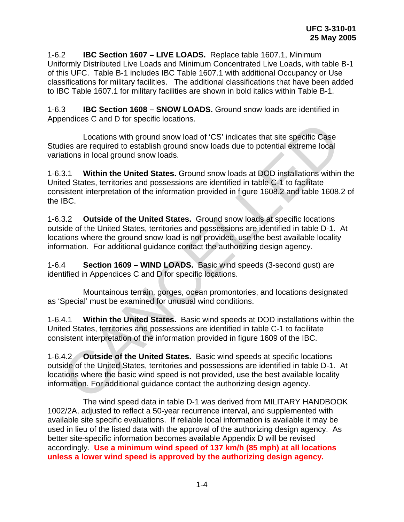1-6.2 **IBC Section 1607 – LIVE LOADS.** Replace table 1607.1, Minimum Uniformly Distributed Live Loads and Minimum Concentrated Live Loads, with table B-1 of this UFC. Table B-1 includes IBC Table 1607.1 with additional Occupancy or Use classifications for military facilities.The additional classifications that have been added to IBC Table 1607.1 for military facilities are shown in bold italics within Table B-1.

1-6.3 **IBC Section 1608 – SNOW LOADS.** Ground snow loads are identified in Appendices C and D for specific locations.

Locations with ground snow load of 'CS' indicates that site specific Case Studies are required to establish ground snow loads due to potential extreme local variations in local ground snow loads.

1-6.3.1 **Within the United States.** Ground snow loads at DOD installations within the United States, territories and possessions are identified in table C-1 to facilitate consistent interpretation of the information provided in figure 1608.2 and table 1608.2 of the IBC.

1-6.3.2 **Outside of the United States.** Ground snow loads at specific locations outside of the United States, territories and possessions are identified in table D-1. At locations where the ground snow load is not provided, use the best available locality information. For additional guidance contact the authorizing design agency.

1-6.4 **Section 1609 – WIND LOADS.** Basic wind speeds (3-second gust) are identified in Appendices C and D for specific locations.

Mountainous terrain, gorges, ocean promontories, and locations designated as 'Special' must be examined for unusual wind conditions.

1-6.4.1 **Within the United States.** Basic wind speeds at DOD installations within the United States, territories and possessions are identified in table C-1 to facilitate consistent interpretation of the information provided in figure 1609 of the IBC.

1-6.4.2 **Outside of the United States.** Basic wind speeds at specific locations outside of the United States, territories and possessions are identified in table D-1. At locations where the basic wind speed is not provided, use the best available locality information. For additional guidance contact the authorizing design agency. between the ground snow load of 'CS' indicates that site specific Case<br>dies are required to establish ground snow loads due to potential extreme local<br>ations in local ground snow loads.<br>3.1 Within the United States. Ground

The wind speed data in table D-1 was derived from MILITARY HANDBOOK 1002/2A, adjusted to reflect a 50-year recurrence interval, and supplemented with available site specific evaluations. If reliable local information is available it may be used in lieu of the listed data with the approval of the authorizing design agency. As better site-specific information becomes available Appendix D will be revised accordingly. **Use a minimum wind speed of 137 km/h (85 mph) at all locations unless a lower wind speed is approved by the authorizing design agency.**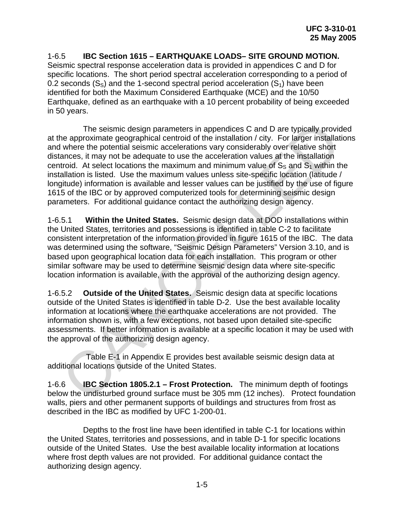1-6.5 **IBC Section 1615 – EARTHQUAKE LOADS– SITE GROUND MOTION.**  Seismic spectral response acceleration data is provided in appendices C and D for specific locations. The short period spectral acceleration corresponding to a period of 0.2 seconds  $(S<sub>s</sub>)$  and the 1-second spectral period acceleration  $(S<sub>1</sub>)$  have been identified for both the Maximum Considered Earthquake (MCE) and the 10/50 Earthquake, defined as an earthquake with a 10 percent probability of being exceeded in 50 years.

The seismic design parameters in appendices C and D are typically provided at the approximate geographical centroid of the installation / city. For larger installations and where the potential seismic accelerations vary considerably over relative short distances, it may not be adequate to use the acceleration values at the installation centroid. At select locations the maximum and minimum value of  $S<sub>S</sub>$  and  $S<sub>1</sub>$  within the installation is listed. Use the maximum values unless site-specific location (latitude / longitude) information is available and lesser values can be justified by the use of figure 1615 of the IBC or by approved computerized tools for determining seismic design parameters. For additional guidance contact the authorizing design agency. The seismic design parameters in appendices C and D are typically provide<br>the approximate geographical centroid of the installation / city. For large installation<br>where the potential seismic accelerations vary considerabl

1-6.5.1 **Within the United States.** Seismic design data at DOD installations within the United States, territories and possessions is identified in table C-2 to facilitate consistent interpretation of the information provided in figure 1615 of the IBC. The data was determined using the software, "Seismic Design Parameters" Version 3.10, and is based upon geographical location data for each installation. This program or other similar software may be used to determine seismic design data where site-specific location information is available, with the approval of the authorizing design agency.

1-6.5.2 **Outside of the United States.** Seismic design data at specific locations outside of the United States is identified in table D-2. Use the best available locality information at locations where the earthquake accelerations are not provided. The information shown is, with a few exceptions, not based upon detailed site-specific assessments. If better information is available at a specific location it may be used with the approval of the authorizing design agency.

Table E-1 in Appendix E provides best available seismic design data at additional locations outside of the United States.

1-6.6 **IBC Section 1805.2.1 – Frost Protection.** The minimum depth of footings below the undisturbed ground surface must be 305 mm (12 inches). Protect foundation walls, piers and other permanent supports of buildings and structures from frost as described in the IBC as modified by UFC 1-200-01.

Depths to the frost line have been identified in table C-1 for locations within the United States, territories and possessions, and in table D-1 for specific locations outside of the United States. Use the best available locality information at locations where frost depth values are not provided.For additional guidance contact the authorizing design agency.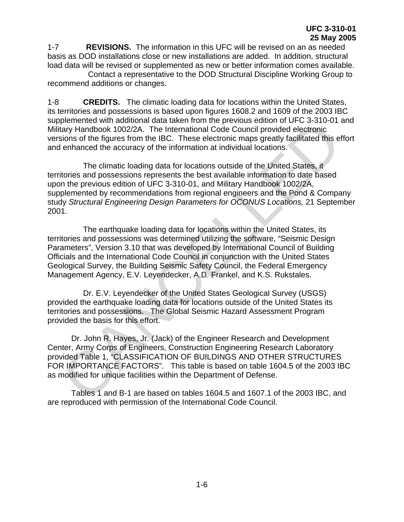1-7 **REVISIONS.** The information in this UFC will be revised on an as needed basis as DOD installations close or new installations are added. In addition, structural load data will be revised or supplemented as new or better information comes available.

 Contact a representative to the DOD Structural Discipline Working Group to recommend additions or changes.

1-8 **CREDITS.** The climatic loading data for locations within the United States, its territories and possessions is based upon figures 1608.2 and 1609 of the 2003 IBC supplemented with additional data taken from the previous edition of UFC 3-310-01 and Military Handbook 1002/2A. The International Code Council provided electronic versions of the figures from the IBC. These electronic maps greatly facilitated this effort and enhanced the accuracy of the information at individual locations.

 The climatic loading data for locations outside of the United States, it territories and possessions represents the best available information to date based upon the previous edition of UFC 3-310-01, and Military Handbook 1002/2A, supplemented by recommendations from regional engineers and the Pond & Company study *Structural Engineering Design Parameters for OCONUS Locations,* 21 September 2001. plemented win additional data taken from the previous edution of DV-C 3-310-01<br>hary Handbook 1002/2A. The International Code Council provided electronic<br>sions of the figures from the IBC. These electronic maps greatly faci

 The earthquake loading data for locations within the United States, its territories and possessions was determined utilizing the software, "Seismic Design Parameters", Version 3.10 that was developed by International Council of Building Officials and the International Code Council in conjunction with the United States Geological Survey, the Building Seismic Safety Council, the Federal Emergency Management Agency, E.V. Leyendecker, A.D. Frankel, and K.S. Rukstales.

 Dr. E.V. Leyendecker of the United States Geological Survey (USGS) provided the earthquake loading data for locations outside of the United States its territories and possessions. The Global Seismic Hazard Assessment Program provided the basis for this effort.

 Dr. John R. Hayes, Jr. (Jack) of the Engineer Research and Development Center, Army Corps of Engineers, Construction Engineering Research Laboratory provided Table 1, "CLASSIFICATION OF BUILDINGS AND OTHER STRUCTURES FOR IMPORTANCE FACTORS". This table is based on table 1604.5 of the 2003 IBC as modified for unique facilities within the Department of Defense.

 Tables 1 and B-1 are based on tables 1604.5 and 1607.1 of the 2003 IBC, and are reproduced with permission of the International Code Council.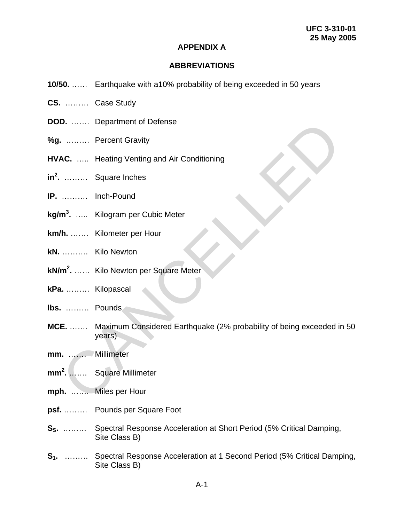#### **APPENDIX A**

### **ABBREVIATIONS**

- **10/50.** …… Earthquake with a10% probability of being exceeded in 50 years
- **CS.** ……… Case Study
- **DOD.** ……. Department of Defense
- **%g.** ……… Percent Gravity
- **HVAC.** ….. Heating Venting and Air Conditioning
- **in2 .** ……… Square Inches
- **IP.** ………. Inch-Pound
- **kg/m3 .** ….. Kilogram per Cubic Meter
- **km/h.** ……. Kilometer per Hour
- **kN.** ………. Kilo Newton
- **kN/m2 .** …… Kilo Newton per Square Meter
- **kPa.** ……… Kilopascal
- **lbs.** ……… Pounds
- **MCE.** ……. Maximum Considered Earthquake (2% probability of being exceeded in 50 years) D. ....... Department of Defense<br>
.......... Percent Gravity<br>
AC. ...... Heating Venting and Air Conditioning<br>
.......... Square Inches<br>
........... Kilogram per Cubic Meter<br>
M. ........ Kiloneter per Hour<br>
............ Ki
- **mm.** ……. Millimeter
- **mm<sup>2</sup> .** ……. Square Millimeter
- **mph.** ……. Miles per Hour
- **psf.** ……… Pounds per Square Foot
- **SS.** ……… Spectral Response Acceleration at Short Period (5% Critical Damping, Site Class B)
- **S1.** ……… Spectral Response Acceleration at 1 Second Period (5% Critical Damping, Site Class B)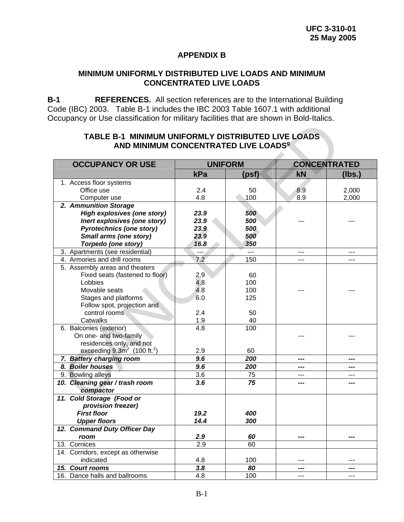#### **APPENDIX B**

#### **MINIMUM UNIFORMLY DISTRIBUTED LIVE LOADS AND MINIMUM CONCENTRATED LIVE LOADS**

**B-1** REFERENCES. All section references are to the International Building Code (IBC) 2003. Table B-1 includes the IBC 2003 Table 1607.1 with additional Occupancy or Use classification for military facilities that are shown in Bold-Italics.

| coupaincy or obe classification for friintary facilities that are shown in Dold Rancs.<br>TABLE B-1 MINIMUM UNIFORMLY DISTRIBUTED LIVE LOADS<br>AND MINIMUM CONCENTRATED LIVE LOADS <sup>9</sup> |                |                |       |                     |  |  |  |
|--------------------------------------------------------------------------------------------------------------------------------------------------------------------------------------------------|----------------|----------------|-------|---------------------|--|--|--|
| <b>OCCUPANCY OR USE</b>                                                                                                                                                                          |                | <b>UNIFORM</b> |       | <b>CONCENTRATED</b> |  |  |  |
|                                                                                                                                                                                                  | kPa            | (psf)          | kN    | (lbs.)              |  |  |  |
| 1. Access floor systems                                                                                                                                                                          |                |                |       |                     |  |  |  |
| Office use                                                                                                                                                                                       | 2.4            | 50             | 8.9   | 2,000               |  |  |  |
| Computer use                                                                                                                                                                                     | 4.8            | 100            | 8.9   | 2,000               |  |  |  |
| 2. Ammunition Storage                                                                                                                                                                            |                |                |       |                     |  |  |  |
| <b>High explosives (one story)</b>                                                                                                                                                               | 23.9           | 500            |       |                     |  |  |  |
| Inert explosives (one story)                                                                                                                                                                     | 23.9           | 500            |       |                     |  |  |  |
| <b>Pyrotechnics (one story)</b>                                                                                                                                                                  | 23.9           | 500            |       |                     |  |  |  |
| <b>Small arms (one story)</b>                                                                                                                                                                    | 23.9           | 500            |       |                     |  |  |  |
| Torpedo (one story)                                                                                                                                                                              | 16.8           | 350            |       |                     |  |  |  |
| 3. Apartments (see residential)                                                                                                                                                                  | $\overline{a}$ | $\overline{a}$ | $---$ | $---$               |  |  |  |
| 4. Armories and drill rooms                                                                                                                                                                      | 7.2            | 150            | $---$ | $---$               |  |  |  |
| 5. Assembly areas and theaters                                                                                                                                                                   |                |                |       |                     |  |  |  |
| Fixed seats (fastened to floor)                                                                                                                                                                  | 2.9            | 60             |       |                     |  |  |  |
| Lobbies                                                                                                                                                                                          | 4.8            | 100            |       |                     |  |  |  |
| Movable seats                                                                                                                                                                                    | 4.8            | 100            |       |                     |  |  |  |
| Stages and platforms                                                                                                                                                                             | 6.0            | 125            |       |                     |  |  |  |
| Follow spot, projection and                                                                                                                                                                      |                |                |       |                     |  |  |  |
| control rooms                                                                                                                                                                                    | 2.4            | 50             |       |                     |  |  |  |
| Catwalks                                                                                                                                                                                         | 1.9            | 40             |       |                     |  |  |  |
| 6. Balconies (exterior)                                                                                                                                                                          | 4.8            | 100            |       |                     |  |  |  |
| On one- and two-family                                                                                                                                                                           |                |                |       |                     |  |  |  |
| residences only, and not                                                                                                                                                                         |                |                |       |                     |  |  |  |
| exceeding $9.3m^2$ (100 ft. <sup>2</sup> )                                                                                                                                                       | 2.9            | 60             |       |                     |  |  |  |
| 7. Battery charging room                                                                                                                                                                         | 9.6            | 200            | ---   | ---                 |  |  |  |
| 8. Boiler houses                                                                                                                                                                                 | 9.6            | 200            | ---   | ---                 |  |  |  |
| 9. Bowling alleys                                                                                                                                                                                | 3.6            | 75             | ---   | ---                 |  |  |  |
| 10. Cleaning gear / trash room                                                                                                                                                                   | 3.6            | 75             | ---   | ---                 |  |  |  |
| compactor                                                                                                                                                                                        |                |                |       |                     |  |  |  |
| 11. Cold Storage (Food or                                                                                                                                                                        |                |                |       |                     |  |  |  |
| provision freezer)                                                                                                                                                                               |                |                |       |                     |  |  |  |
| <b>First floor</b>                                                                                                                                                                               | 19.2           | 400<br>300     |       |                     |  |  |  |
| <b>Upper floors</b>                                                                                                                                                                              | 14.4           |                |       |                     |  |  |  |
| 12. Command Duty Officer Day<br>room                                                                                                                                                             | 2.9            | 60             | ---   |                     |  |  |  |
| 13. Cornices                                                                                                                                                                                     | 2.9            | 60             |       | ---                 |  |  |  |
| 14. Corridors, except as otherwise                                                                                                                                                               |                |                |       |                     |  |  |  |
| indicated                                                                                                                                                                                        | 4.8            | 100            | ---   |                     |  |  |  |
| 15. Court rooms                                                                                                                                                                                  | 3.8            | 80             |       |                     |  |  |  |
| 16. Dance halls and ballrooms                                                                                                                                                                    | 4.8            | 100            | ---   | ---                 |  |  |  |
|                                                                                                                                                                                                  |                |                | ---   |                     |  |  |  |

#### **TABLE B-1 MINIMUM UNIFORMLY DISTRIBUTED LIVE LOADS AND MINIMUM CONCENTRATED LIVE LOADS<sup>9</sup>**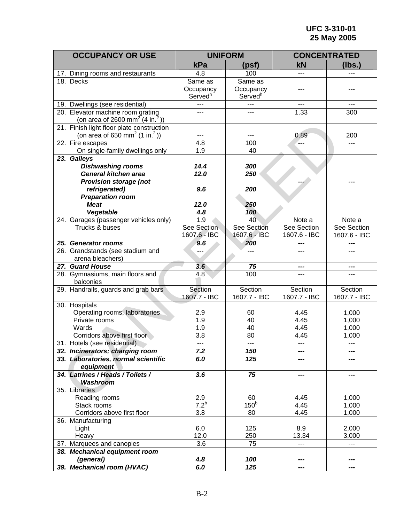| <b>OCCUPANCY OR USE</b>                                 |                     | <b>UNIFORM</b>      | <b>CONCENTRATED</b> |              |  |
|---------------------------------------------------------|---------------------|---------------------|---------------------|--------------|--|
|                                                         | kPa                 | (psf)               | kN                  | (lbs.)       |  |
| 17. Dining rooms and restaurants                        | 4.8                 | 100                 | ---                 |              |  |
| 18. Decks                                               | Same as             | Same as             |                     |              |  |
|                                                         | Occupancy           | Occupancy           |                     |              |  |
|                                                         | Served <sup>h</sup> | Served <sup>h</sup> |                     |              |  |
| 19. Dwellings (see residential)                         | ---                 |                     | ---                 | ---          |  |
| 20. Elevator machine room grating                       | ---                 | ---                 | 1.33                | 300          |  |
| (on area of 2600 mm <sup>2</sup> (4 in. <sup>2</sup> )) |                     |                     |                     |              |  |
| 21. Finish light floor plate construction               |                     |                     |                     |              |  |
| (on area of 650 mm <sup>2</sup> (1 in. <sup>2</sup> ))  | ---                 | ---                 | 0.89                | 200          |  |
| 22. Fire escapes                                        | 4.8                 | 100                 | $\overline{a}$      | ---          |  |
| On single-family dwellings only                         | 1.9                 | 40                  |                     |              |  |
| 23. Galleys                                             |                     |                     |                     |              |  |
| <b>Dishwashing rooms</b>                                | 14.4                | 300                 |                     |              |  |
| General kitchen area                                    | 12.0                | 250                 |                     |              |  |
| <b>Provision storage (not</b>                           |                     |                     |                     |              |  |
| refrigerated)<br><b>Preparation room</b>                | 9.6                 | 200                 |                     |              |  |
| <b>Meat</b>                                             | 12.0                | 250                 |                     |              |  |
| Vegetable                                               | 4.8                 | 100                 |                     |              |  |
| 24. Garages (passenger vehicles only)                   | $\overline{1.9}$    | 40                  | Note a              | Note a       |  |
| Trucks & buses                                          | See Section         | See Section         | See Section         | See Section  |  |
|                                                         | 1607.6 - IBC        | 1607.6 - IBC        | 1607.6 - IBC        | 1607.6 - IBC |  |
| 25. Generator rooms                                     | 9.6                 | 200                 |                     |              |  |
| 26. Grandstands (see stadium and                        |                     |                     | ---                 |              |  |
| arena bleachers)                                        |                     |                     |                     |              |  |
| 27. Guard House                                         | 3.6                 | 75                  | ---                 |              |  |
| 28. Gymnasiums, main floors and                         | 4.8                 | 100                 |                     |              |  |
| balconies                                               |                     |                     |                     |              |  |
| 29. Handrails, guards and grab bars                     | Section             | Section             | Section             | Section      |  |
|                                                         | 1607.7 - IBC        | 1607.7 - IBC        | 1607.7 - IBC        | 1607.7 - IBC |  |
| 30. Hospitals                                           |                     |                     |                     |              |  |
| Operating rooms, laboratories                           | 2.9                 | 60                  | 4.45                | 1,000        |  |
| Private rooms                                           | 1.9                 | 40                  | 4.45                | 1,000        |  |
| Wards                                                   | 1.9                 | 40                  | 4.45                | 1,000        |  |
| Corridors above first floor                             | 3.8                 | 80                  | 4.45                | 1,000        |  |
| 31. Hotels (see residential)                            | ---                 | ---                 | ---                 | ---          |  |
| 32. Incinerators; charging room                         | 7.2                 | 150                 | ---                 | ---          |  |
| 33. Laboratories, normal scientific                     | 6.0                 | 125                 |                     |              |  |
| equipment<br>34. Latrines / Heads / Toilets /           | 3.6                 | 75                  |                     |              |  |
| Washroom                                                |                     |                     | ---                 |              |  |
| 35. Libraries                                           |                     |                     |                     |              |  |
| Reading rooms                                           | 2.9                 | 60                  | 4.45                | 1,000        |  |
| Stack rooms                                             | 7.2 <sup>b</sup>    | 150 <sup>b</sup>    | 4.45                | 1,000        |  |
| Corridors above first floor                             | 3.8                 | 80                  | 4.45                | 1,000        |  |
| 36. Manufacturing                                       |                     |                     |                     |              |  |
| Light                                                   | 6.0                 | 125                 | 8.9                 | 2,000        |  |
| Heavy                                                   | 12.0                | 250                 | 13.34               | 3,000        |  |
| 37. Marquees and canopies                               | 3.6                 | 75                  | ---                 | $---$        |  |
| 38. Mechanical equipment room                           |                     |                     |                     |              |  |
| (general)                                               | 4.8                 | 100                 | ---                 |              |  |
| 39. Mechanical room (HVAC)                              | 6.0                 | 125                 | ---                 | ---          |  |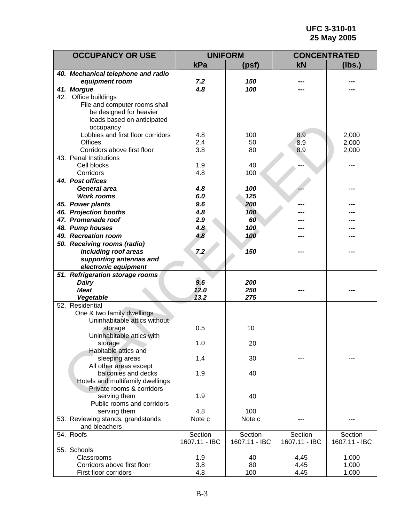| <b>OCCUPANCY OR USE</b> |                                            | <b>UNIFORM</b> |               | <b>CONCENTRATED</b> |               |  |
|-------------------------|--------------------------------------------|----------------|---------------|---------------------|---------------|--|
|                         |                                            | kPa            | (psf)         | <b>kN</b>           | (lbs.)        |  |
|                         | 40. Mechanical telephone and radio         |                |               |                     |               |  |
|                         | equipment room                             | 7.2            | 150           |                     |               |  |
|                         | 41. Morgue                                 | 4.8            | 100           | ---                 | ---           |  |
| 42.                     | Office buildings                           |                |               |                     |               |  |
|                         | File and computer rooms shall              |                |               |                     |               |  |
|                         | be designed for heavier                    |                |               |                     |               |  |
|                         | loads based on anticipated<br>occupancy    |                |               |                     |               |  |
|                         | Lobbies and first floor corridors          | 4.8            | 100           | 8.9                 | 2,000         |  |
|                         | Offices                                    | 2.4            | 50            | 8.9                 | 2,000         |  |
|                         | Corridors above first floor                | 3.8            | 80            | 8.9                 | 2,000         |  |
|                         | 43. Penal Institutions                     |                |               |                     |               |  |
|                         | Cell blocks                                | 1.9            | 40            |                     |               |  |
|                         | Corridors                                  | 4.8            | 100           |                     |               |  |
|                         | 44. Post offices                           |                |               |                     |               |  |
|                         | <b>General area</b>                        | 4.8            | 100           |                     |               |  |
|                         | <b>Work rooms</b>                          | 6.0            | 125           |                     |               |  |
|                         | 45. Power plants                           | 9.6            | 200           |                     | ---           |  |
|                         | 46. Projection booths                      | 4.8            | 100           | ---                 | ---           |  |
|                         | 47. Promenade roof                         | 2.9<br>4.8     | 60<br>100     | ---                 | ---           |  |
|                         | 48. Pump houses<br>49. Recreation room     | 4.8            | 100           | ---<br>---          | ---<br>---    |  |
|                         | 50. Receiving rooms (radio)                |                |               |                     |               |  |
|                         | including roof areas                       | 7.2            | 150           |                     |               |  |
|                         | supporting antennas and                    |                |               |                     |               |  |
|                         | electronic equipment                       |                |               |                     |               |  |
|                         | 51. Refrigeration storage rooms            |                |               |                     |               |  |
|                         | <b>Dairy</b>                               | 9.6            | 200           |                     |               |  |
|                         | <b>Meat</b>                                | 12.0           | 250           |                     |               |  |
|                         | Vegetable                                  | 13.2           | 275           |                     |               |  |
|                         | 52. Residential                            |                |               |                     |               |  |
|                         | One & two family dwellings                 |                |               |                     |               |  |
|                         | Uninhabitable attics without               | 0.5            | 10            |                     |               |  |
|                         | storage<br>Uninhabitable attics with       |                |               |                     |               |  |
|                         | storage                                    | 1.0            | 20            |                     |               |  |
|                         | Habitable attics and                       |                |               |                     |               |  |
|                         | sleeping areas                             | 1.4            | 30            |                     |               |  |
|                         | All other areas except                     |                |               |                     |               |  |
|                         | balconies and decks                        | 1.9            | 40            |                     |               |  |
|                         | Hotels and multifamily dwellings           |                |               |                     |               |  |
|                         | Private rooms & corridors                  |                |               |                     |               |  |
|                         | serving them                               | 1.9            | 40            |                     |               |  |
|                         | Public rooms and corridors<br>serving them | 4.8            | 100           |                     |               |  |
|                         | 53. Reviewing stands, grandstands          | Note c         | Note c        | ---                 | $---$         |  |
|                         | and bleachers                              |                |               |                     |               |  |
|                         | 54. Roofs                                  | Section        | Section       | Section             | Section       |  |
|                         |                                            | 1607.11 - IBC  | 1607.11 - IBC | 1607.11 - IBC       | 1607.11 - IBC |  |
|                         | 55. Schools                                |                |               |                     |               |  |
|                         | Classrooms                                 | 1.9            | 40            | 4.45                | 1,000         |  |
|                         | Corridors above first floor                | 3.8            | 80            | 4.45                | 1,000         |  |
|                         | First floor corridors                      | 4.8            | 100           | 4.45                | 1,000         |  |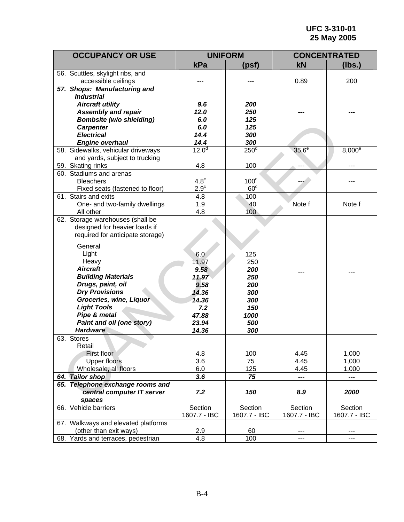| <b>OCCUPANCY OR USE</b>                               | <b>UNIFORM</b>    |                                | <b>CONCENTRATED</b> |                    |  |
|-------------------------------------------------------|-------------------|--------------------------------|---------------------|--------------------|--|
|                                                       | kPa               | (psf)                          | kN                  | (lbs.)             |  |
| 56. Scuttles, skylight ribs, and                      |                   |                                |                     |                    |  |
| accessible ceilings                                   |                   |                                | 0.89                | 200                |  |
| 57. Shops: Manufacturing and                          |                   |                                |                     |                    |  |
| <b>Industrial</b>                                     |                   |                                |                     |                    |  |
| <b>Aircraft utility</b><br><b>Assembly and repair</b> | 9.6<br>12.0       | 200<br>250                     |                     |                    |  |
| <b>Bombsite (w/o shielding)</b>                       | 6.0               | 125                            |                     |                    |  |
| <b>Carpenter</b>                                      | 6.0               | 125                            |                     |                    |  |
| <b>Electrical</b>                                     | 14.4              | 300                            |                     |                    |  |
| <b>Engine overhaul</b>                                | 14.4              | 300                            |                     |                    |  |
| 58. Sidewalks, vehicular driveways                    | 12.0 <sup>d</sup> | $250^{\circ}$                  | $35.6^{\circ}$      | $8,000^\mathrm{e}$ |  |
| and yards, subject to trucking                        |                   |                                |                     |                    |  |
| 59. Skating rinks                                     | 4.8               | 100                            |                     | ---                |  |
| 60. Stadiums and arenas                               | $4.8^\circ$       |                                |                     |                    |  |
| <b>Bleachers</b><br>Fixed seats (fastened to floor)   | $2.9^\circ$       | 100 <sup>c</sup><br>$60^\circ$ |                     |                    |  |
| 61. Stairs and exits                                  | 4.8               | 100                            |                     |                    |  |
| One- and two-family dwellings                         | 1.9               | 40                             | Note f              | Note f             |  |
| All other                                             | 4.8               | 100                            |                     |                    |  |
| 62. Storage warehouses (shall be                      |                   |                                |                     |                    |  |
| designed for heavier loads if                         |                   |                                |                     |                    |  |
| required for anticipate storage)                      |                   |                                |                     |                    |  |
| General                                               |                   |                                |                     |                    |  |
| Light                                                 | 6.0               | 125                            |                     |                    |  |
| Heavy                                                 | 11.97             | 250                            |                     |                    |  |
| <b>Aircraft</b>                                       | 9.58              | 200                            |                     |                    |  |
| <b>Building Materials</b>                             | 11.97             | 250                            |                     |                    |  |
| Drugs, paint, oil                                     | 9.58              | 200                            |                     |                    |  |
| <b>Dry Provisions</b>                                 | 14.36             | 300                            |                     |                    |  |
| Groceries, wine, Liquor                               | 14.36             | 300                            |                     |                    |  |
| <b>Light Tools</b><br>Pipe & metal                    | 7.2               | 150                            |                     |                    |  |
| Paint and oil (one story)                             | 47.88<br>23.94    | 1000<br>500                    |                     |                    |  |
| <b>Hardware</b>                                       | 14.36             | 300                            |                     |                    |  |
| 63. Stores                                            |                   |                                |                     |                    |  |
| Retail                                                |                   |                                |                     |                    |  |
| First floor                                           | 4.8               | 100                            | 4.45                | 1,000              |  |
| <b>Upper floors</b>                                   | 3.6               | 75                             | 4.45                | 1,000              |  |
| Wholesale, all floors                                 | 6.0               | 125                            | 4.45                | 1,000              |  |
| 64. Tailor shop                                       | 3.6               | 75                             | ---                 | ---                |  |
| 65. Telephone exchange rooms and                      |                   |                                |                     | 2000               |  |
| central computer IT server<br>spaces                  | 7.2               | 150                            | 8.9                 |                    |  |
| 66. Vehicle barriers                                  | Section           | Section                        | Section             | Section            |  |
|                                                       | 1607.7 - IBC      | 1607.7 - IBC                   | 1607.7 - IBC        | 1607.7 - IBC       |  |
| 67. Walkways and elevated platforms                   |                   |                                |                     |                    |  |
| (other than exit ways)                                | 2.9               | 60                             | ---                 | ---                |  |
| 68. Yards and terraces, pedestrian                    | 4.8               | 100                            | ---                 | ---                |  |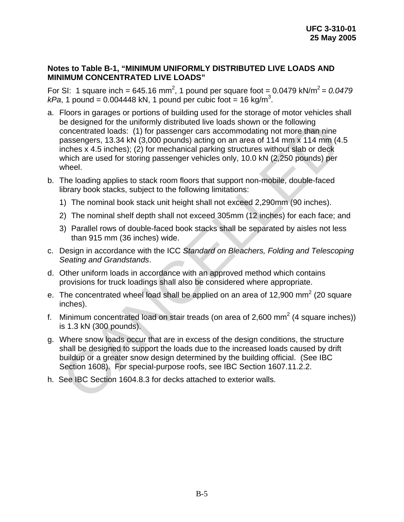#### **Notes to Table B-1, "MINIMUM UNIFORMLY DISTRIBUTED LIVE LOADS AND MINIMUM CONCENTRATED LIVE LOADS"**

For SI: 1 square inch =  $645.16$  mm<sup>2</sup>, 1 pound per square foot =  $0.0479$  kN/m<sup>2</sup> =  $0.0479$  $kPa$ , 1 pound = 0.004448 kN, 1 pound per cubic foot = 16 kg/m<sup>3</sup>.

- a. Floors in garages or portions of building used for the storage of motor vehicles shall be designed for the uniformly distributed live loads shown or the following concentrated loads: (1) for passenger cars accommodating not more than nine passengers, 13.34 kN (3,000 pounds) acting on an area of 114 mm x 114 mm (4.5 inches x 4.5 inches); (2) for mechanical parking structures without slab or deck which are used for storing passenger vehicles only, 10.0 kN (2,250 pounds) per wheel. be designed for the uniformly distributed live loads shown or the following<br>concentrated loads: (1) for passenger cars accommodating not more than nine<br>passengers, 13.34 kN (3,000 pounds) acting on an area of 114 mm x 114
- b. The loading applies to stack room floors that support non-mobile, double-faced library book stacks, subject to the following limitations:
	- 1) The nominal book stack unit height shall not exceed 2,290mm (90 inches).
	- 2) The nominal shelf depth shall not exceed 305mm (12 inches) for each face; and
	- 3) Parallel rows of double-faced book stacks shall be separated by aisles not less than 915 mm (36 inches) wide.
- c. Design in accordance with the ICC *Standard on Bleachers, Folding and Telescoping Seating and Grandstands*.
- d. Other uniform loads in accordance with an approved method which contains provisions for truck loadings shall also be considered where appropriate.
- e. The concentrated wheel load shall be applied on an area of 12,900 mm<sup>2</sup> (20 square inches).
- f. Minimum concentrated load on stair treads (on area of 2,600 mm<sup>2</sup> (4 square inches)) is 1.3 kN (300 pounds).
- g. Where snow loads occur that are in excess of the design conditions, the structure shall be designed to support the loads due to the increased loads caused by drift buildup or a greater snow design determined by the building official. (See IBC Section 1608). For special-purpose roofs, see IBC Section 1607.11.2.2.
- h. See IBC Section 1604.8.3 for decks attached to exterior walls.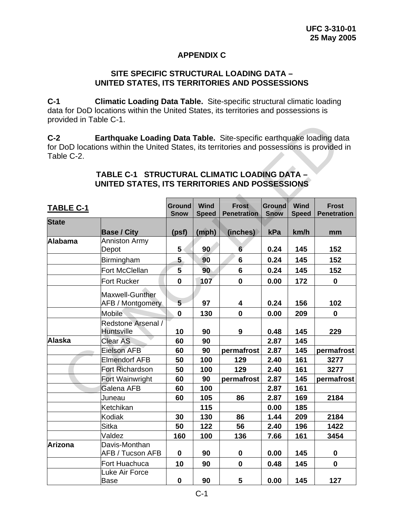## **APPENDIX C**

#### **SITE SPECIFIC STRUCTURAL LOADING DATA – UNITED STATES, ITS TERRITORIES AND POSSESSIONS**

**C-1 Climatic Loading Data Table.** Site-specific structural climatic loading data for DoD locations within the United States, its territories and possessions is provided in Table C-1.

| provided in Table C-T. |                                                                                                                                                                    |                              |                             |                                    |                              |                      |                                    |
|------------------------|--------------------------------------------------------------------------------------------------------------------------------------------------------------------|------------------------------|-----------------------------|------------------------------------|------------------------------|----------------------|------------------------------------|
| $C-2$<br>Table C-2.    | Earthquake Loading Data Table. Site-specific earthquake loading data<br>for DoD locations within the United States, its territories and possessions is provided in |                              |                             |                                    |                              |                      |                                    |
|                        | <b>TABLE C-1 STRUCTURAL CLIMATIC LOADING DATA -</b><br>UNITED STATES, ITS TERRITORIES AND POSSESSIONS                                                              |                              |                             |                                    |                              |                      |                                    |
| <b>TABLE C-1</b>       |                                                                                                                                                                    | <b>Ground</b><br><b>Snow</b> | <b>Wind</b><br><b>Speed</b> | <b>Frost</b><br><b>Penetration</b> | <b>Ground</b><br><b>Snow</b> | Wind<br><b>Speed</b> | <b>Frost</b><br><b>Penetration</b> |
| <b>State</b>           | <b>Base / City</b>                                                                                                                                                 | (psf)                        | (mph)                       | (inches)                           | kPa                          | km/h                 | mm                                 |
| Alabama                | <b>Anniston Army</b><br>Depot                                                                                                                                      | 5 <sup>1</sup>               | 90                          | $6\phantom{1}6$                    | 0.24                         | 145                  | 152                                |
|                        | Birmingham                                                                                                                                                         | 5                            | 90                          | 6                                  | 0.24                         | 145                  | 152                                |
|                        | Fort McClellan                                                                                                                                                     | 5                            | 90                          | $6\phantom{1}6$                    | 0.24                         | 145                  | 152                                |
|                        | <b>Fort Rucker</b>                                                                                                                                                 | $\mathbf 0$                  | 107                         | $\bf{0}$                           | 0.00                         | 172                  | $\mathbf 0$                        |
|                        | Maxwell-Gunther<br><b>AFB / Montgomery</b>                                                                                                                         | 5                            | 97                          | 4                                  | 0.24                         | 156                  | 102                                |
|                        | Mobile                                                                                                                                                             | $\mathbf 0$                  | 130                         | $\mathbf 0$                        | 0.00                         | 209                  | 0                                  |
|                        | Redstone Arsenal /<br>Huntsville                                                                                                                                   | 10                           | 90                          | 9                                  | 0.48                         | 145                  | 229                                |
| Alaska                 | <b>Clear AS</b>                                                                                                                                                    | 60                           | 90                          |                                    | 2.87                         | 145                  |                                    |
|                        | <b>Eielson AFB</b>                                                                                                                                                 | 60                           | 90                          | permafrost                         | 2.87                         | 145                  | permafrost                         |
|                        | <b>Elmendorf AFB</b>                                                                                                                                               | 50                           | 100                         | 129                                | 2.40                         | 161                  | 3277                               |
|                        | <b>Fort Richardson</b>                                                                                                                                             | 50                           | 100                         | 129                                | 2.40                         | 161                  | 3277                               |
|                        | Fort Wainwright                                                                                                                                                    | 60                           | 90                          | permafrost                         | 2.87                         | 145                  | permafrost                         |
|                        | Galena AFB                                                                                                                                                         | 60                           | 100                         |                                    | 2.87                         | 161                  |                                    |
|                        | Juneau                                                                                                                                                             | 60                           | 105                         | 86                                 | 2.87                         | 169                  | 2184                               |
|                        | Ketchikan                                                                                                                                                          |                              | 115                         |                                    | 0.00                         | 185                  |                                    |
|                        | Kodiak                                                                                                                                                             | 30                           | 130                         | 86                                 | 1.44                         | 209                  | 2184                               |
|                        | Sitka                                                                                                                                                              | 50                           | 122                         | 56                                 | 2.40                         | 196                  | 1422                               |
|                        | Valdez                                                                                                                                                             | 160                          | 100                         | 136                                | 7.66                         | 161                  | 3454                               |
| Arizona                | Davis-Monthan<br>AFB / Tucson AFB                                                                                                                                  | 0                            | 90                          | $\mathbf 0$                        | 0.00                         | 145                  | 0                                  |
|                        | Fort Huachuca                                                                                                                                                      | 10                           | 90                          | $\mathbf 0$                        | 0.48                         | 145                  | $\mathbf 0$                        |
|                        | Luke Air Force                                                                                                                                                     |                              |                             |                                    |                              |                      |                                    |
|                        | Base                                                                                                                                                               | 0                            | 90                          | 5                                  | 0.00                         | 145                  | 127                                |

## **TABLE C-1 STRUCTURAL CLIMATIC LOADING DATA – UNITED STATES, ITS TERRITORIES AND POSSESSIONS**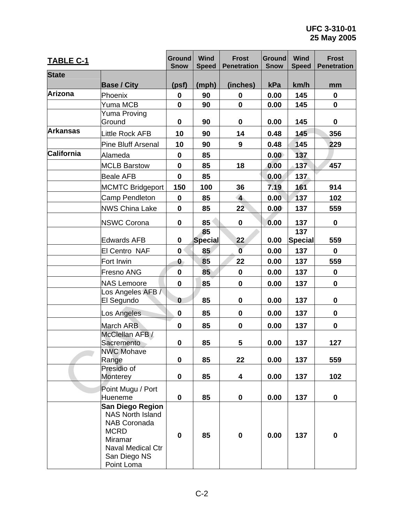| <b>TABLE C-1</b>  |                                                                                                                                                 | <b>Ground</b><br><b>Snow</b> | <b>Wind</b><br><b>Speed</b> | <b>Frost</b><br><b>Penetration</b> | <b>Ground</b><br><b>Snow</b> | Wind<br><b>Speed</b> | <b>Frost</b><br><b>Penetration</b> |
|-------------------|-------------------------------------------------------------------------------------------------------------------------------------------------|------------------------------|-----------------------------|------------------------------------|------------------------------|----------------------|------------------------------------|
| <b>State</b>      |                                                                                                                                                 |                              |                             |                                    |                              |                      |                                    |
|                   | <b>Base / City</b>                                                                                                                              | (psf)                        | (mph)                       | (inches)                           | kPa                          | km/h                 | mm                                 |
| <b>Arizona</b>    | Phoenix                                                                                                                                         | 0                            | 90                          | $\mathbf 0$                        | 0.00                         | 145                  | $\mathbf 0$                        |
|                   | Yuma MCB                                                                                                                                        | $\mathbf 0$                  | 90                          | $\mathbf 0$                        | 0.00                         | 145                  | $\mathbf 0$                        |
|                   | Yuma Proving                                                                                                                                    |                              |                             |                                    |                              |                      |                                    |
|                   | Ground                                                                                                                                          | $\mathbf 0$                  | 90                          | $\mathbf 0$                        | 0.00                         | 145                  | $\mathbf 0$                        |
| <b>Arkansas</b>   | <b>Little Rock AFB</b>                                                                                                                          | 10                           | 90                          | 14                                 | 0.48                         | 145                  | 356                                |
|                   | <b>Pine Bluff Arsenal</b>                                                                                                                       | 10                           | 90                          | 9                                  | 0.48                         | 145                  | 229                                |
| <b>California</b> | Alameda                                                                                                                                         | 0                            | 85                          |                                    | 0.00                         | 137                  |                                    |
|                   | <b>MCLB Barstow</b>                                                                                                                             | $\mathbf 0$                  | 85                          | 18                                 | 0.00                         | 137                  | 457                                |
|                   | <b>Beale AFB</b>                                                                                                                                | $\mathbf 0$                  | 85                          |                                    | 0.00                         | 137                  |                                    |
|                   | <b>MCMTC Bridgeport</b>                                                                                                                         | 150                          | 100                         | 36                                 | 7.19                         | 161                  | 914                                |
|                   | Camp Pendleton                                                                                                                                  | $\mathbf 0$                  | 85                          | $\overline{\mathbf{4}}$            | 0.00                         | 137                  | 102                                |
|                   | <b>NWS China Lake</b>                                                                                                                           | $\mathbf 0$                  | 85                          | 22                                 | 0.00                         | 137                  | 559                                |
|                   | <b>NSWC Corona</b>                                                                                                                              | 0                            | 85                          | $\mathbf 0$                        | 0.00                         | 137                  | $\mathbf 0$                        |
|                   |                                                                                                                                                 |                              | 85                          |                                    |                              | $\overline{137}$     |                                    |
|                   | <b>Edwards AFB</b>                                                                                                                              | 0                            | <b>Special</b>              | 22                                 | 0.00                         | <b>Special</b>       | 559                                |
|                   | El Centro NAF                                                                                                                                   | $\mathbf{0}$                 | 85                          | $\mathbf 0$                        | 0.00                         | 137                  | $\mathbf 0$                        |
|                   | Fort Irwin                                                                                                                                      | $\mathbf{0}$                 | 85                          | 22                                 | 0.00                         | 137                  | 559                                |
|                   | Fresno ANG                                                                                                                                      | $\mathbf 0$                  | 85                          | $\mathbf 0$                        | 0.00                         | 137                  | $\mathbf 0$                        |
|                   | <b>NAS Lemoore</b>                                                                                                                              | $\mathbf 0$                  | 85                          | $\mathbf 0$                        | 0.00                         | 137                  | $\mathbf 0$                        |
|                   | Los Angeles AFB /                                                                                                                               |                              |                             |                                    |                              |                      |                                    |
|                   | El Segundo                                                                                                                                      | $\bf{0}$                     | 85                          | $\mathbf 0$                        | 0.00                         | 137                  | $\pmb{0}$                          |
|                   | Los Angeles                                                                                                                                     | 0                            | 85                          | $\mathbf 0$                        | 0.00                         | 137                  | $\mathbf 0$                        |
|                   | March ARB                                                                                                                                       | 0                            | 85                          | $\mathbf 0$                        | 0.00                         | 137                  | $\mathbf 0$                        |
|                   | McClellan AFB /                                                                                                                                 |                              |                             |                                    |                              |                      |                                    |
|                   | Sacremento<br><b>NWC Mohave</b>                                                                                                                 | $\bf{0}$                     | 85                          | 5                                  | 0.00                         | 137                  | 127                                |
|                   | Range                                                                                                                                           | 0                            | 85                          | 22                                 | 0.00                         | 137                  | 559                                |
|                   | Presidio of                                                                                                                                     |                              |                             |                                    |                              |                      |                                    |
|                   | Monterey                                                                                                                                        | $\mathbf 0$                  | 85                          | 4                                  | 0.00                         | 137                  | 102                                |
|                   | Point Mugu / Port                                                                                                                               |                              |                             |                                    |                              |                      |                                    |
|                   | <b>Hueneme</b>                                                                                                                                  | 0                            | 85                          | $\boldsymbol{0}$                   | 0.00                         | 137                  | $\mathbf 0$                        |
|                   | San Diego Region<br><b>NAS North Island</b><br><b>NAB Coronada</b><br><b>MCRD</b><br>Miramar<br>Naval Medical Ctr<br>San Diego NS<br>Point Loma | $\mathbf 0$                  | 85                          | $\mathbf 0$                        | 0.00                         | 137                  | $\mathbf 0$                        |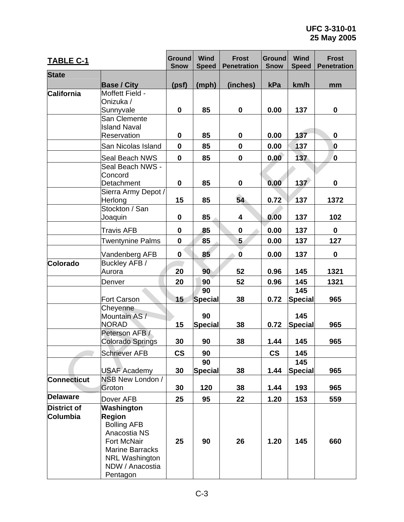| <b>TABLE C-1</b>   |                                          | <b>Ground</b><br><b>Snow</b> | <b>Wind</b><br><b>Speed</b> | <b>Frost</b><br><b>Penetration</b> | <b>Ground</b><br><b>Snow</b> | Wind<br><b>Speed</b>  | <b>Frost</b><br><b>Penetration</b> |
|--------------------|------------------------------------------|------------------------------|-----------------------------|------------------------------------|------------------------------|-----------------------|------------------------------------|
| <b>State</b>       |                                          |                              |                             |                                    |                              |                       |                                    |
|                    | <b>Base / City</b>                       | (psf)                        | (mph)                       | (inches)                           | kPa                          | km/h                  | mm                                 |
| <b>California</b>  | Moffett Field -                          |                              |                             |                                    |                              |                       |                                    |
|                    | Onizuka /                                |                              |                             |                                    |                              |                       |                                    |
|                    | Sunnyvale                                | $\mathbf 0$                  | 85                          | $\mathbf 0$                        | 0.00                         | 137                   | $\mathbf 0$                        |
|                    | San Clemente                             |                              |                             |                                    |                              |                       |                                    |
|                    | <b>Island Naval</b>                      |                              |                             |                                    |                              |                       |                                    |
|                    | Reservation                              | 0                            | 85                          | $\bf{0}$                           | 0.00                         | 137                   | $\mathbf 0$                        |
|                    | San Nicolas Island                       | $\mathbf 0$                  | 85                          | $\mathbf 0$                        | 0.00                         | 137                   | $\mathbf 0$                        |
|                    | Seal Beach NWS                           | $\mathbf 0$                  | 85                          | $\mathbf 0$                        | 0.00                         | 137                   | $\bf{0}$                           |
|                    | Seal Beach NWS -                         |                              |                             |                                    |                              |                       |                                    |
|                    | Concord                                  |                              |                             |                                    |                              |                       |                                    |
|                    | Detachment                               | $\mathbf 0$                  | 85                          | $\mathbf 0$                        | 0.00                         | 137                   | $\mathbf 0$                        |
|                    | Sierra Army Depot /                      |                              |                             | 54                                 |                              |                       |                                    |
|                    | Herlong<br>Stockton / San                | 15                           | 85                          |                                    | 0.72                         | 137                   | 1372                               |
|                    | Joaquin                                  | $\mathbf 0$                  | 85                          | 4                                  | 0.00                         | 137                   | 102                                |
|                    | Travis AFB                               | 0                            | 85                          | 0                                  | 0.00                         | 137                   | $\mathbf 0$                        |
|                    | <b>Twentynine Palms</b>                  | $\mathbf 0$                  | 85                          | 5                                  | 0.00                         | 137                   | 127                                |
|                    |                                          |                              |                             |                                    |                              |                       |                                    |
|                    | Vandenberg AFB                           | 0                            | 85                          | $\mathbf 0$                        | 0.00                         | 137                   | $\mathbf 0$                        |
| <b>Colorado</b>    | Buckley AFB /                            |                              |                             |                                    |                              |                       |                                    |
|                    | Aurora                                   | 20                           | 90                          | 52                                 | 0.96                         | 145                   | 1321                               |
|                    | Denver                                   | 20                           | 90                          | 52                                 | 0.96                         | 145                   | 1321                               |
|                    | Fort Carson                              | 15                           | 90<br><b>Special</b>        | 38                                 | 0.72                         | 145<br><b>Special</b> | 965                                |
|                    | Cheyenne                                 |                              |                             |                                    |                              |                       |                                    |
|                    | Mountain AS /                            |                              | 90                          |                                    |                              | 145                   |                                    |
|                    | <b>NORAD</b>                             | 15                           | <b>Special</b>              | 38                                 | 0.72                         | <b>Special</b>        | 965                                |
|                    | Peterson AFB /                           |                              |                             |                                    |                              |                       |                                    |
|                    | <b>Colorado Springs</b>                  | 30                           | 90                          | 38                                 | 1.44                         | 145                   | 965                                |
|                    | <b>Schriever AFB</b>                     | $\mathsf{CS}\phantom{0}$     | 90                          |                                    | $\mathsf{CS}\phantom{0}$     | 145                   |                                    |
|                    |                                          |                              | 90                          |                                    |                              | 145                   |                                    |
|                    | <b>USAF Academy</b>                      | 30                           | <b>Special</b>              | 38                                 | 1.44                         | <b>Special</b>        | 965                                |
| <b>Connecticut</b> | NSB New London /                         |                              |                             |                                    |                              |                       |                                    |
|                    | Groton                                   | 30                           | 120                         | 38                                 | 1.44                         | 193                   | 965                                |
| <b>Delaware</b>    | Dover AFB                                | 25                           | 95                          | 22                                 | 1.20                         | 153                   | 559                                |
| <b>District of</b> | Washington                               |                              |                             |                                    |                              |                       |                                    |
| Columbia           | Region                                   |                              |                             |                                    |                              |                       |                                    |
|                    | <b>Bolling AFB</b>                       |                              |                             |                                    |                              |                       |                                    |
|                    | Anacostia NS                             |                              |                             |                                    |                              |                       |                                    |
|                    | Fort McNair                              | 25                           | 90                          | 26                                 | 1.20                         | 145                   | 660                                |
|                    | <b>Marine Barracks</b>                   |                              |                             |                                    |                              |                       |                                    |
|                    | <b>NRL Washington</b><br>NDW / Anacostia |                              |                             |                                    |                              |                       |                                    |
|                    |                                          |                              |                             |                                    |                              |                       |                                    |
|                    | Pentagon                                 |                              |                             |                                    |                              |                       |                                    |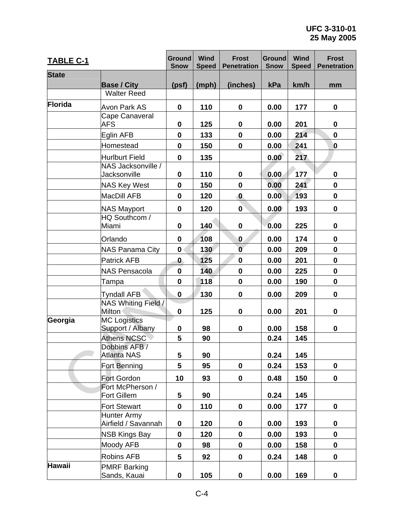| <b>TABLE C-1</b> |                                         | <b>Ground</b><br><b>Snow</b> | Wind<br><b>Speed</b> | <b>Frost</b><br><b>Penetration</b> | <b>Ground</b><br><b>Snow</b> | Wind<br><b>Speed</b> | <b>Frost</b><br><b>Penetration</b> |
|------------------|-----------------------------------------|------------------------------|----------------------|------------------------------------|------------------------------|----------------------|------------------------------------|
| <b>State</b>     |                                         |                              |                      |                                    |                              |                      |                                    |
|                  | <b>Base / City</b>                      | (psf)                        | (mph)                | (inches)                           | kPa                          | km/h                 | mm                                 |
|                  | <b>Walter Reed</b>                      |                              |                      |                                    |                              |                      |                                    |
| Florida          | Avon Park AS                            | $\mathbf 0$                  | 110                  | $\mathbf 0$                        | 0.00                         | 177                  | $\pmb{0}$                          |
|                  | Cape Canaveral                          |                              |                      |                                    |                              |                      |                                    |
|                  | <b>AFS</b>                              | 0                            | 125                  | $\mathbf 0$                        | 0.00                         | 201                  | 0                                  |
|                  | Eglin AFB                               | $\bf{0}$                     | 133                  | $\mathbf 0$                        | 0.00                         | 214                  | $\mathbf 0$                        |
|                  | Homestead                               | $\mathbf 0$                  | 150                  | $\mathbf 0$                        | 0.00                         | 241                  | $\mathbf{0}$                       |
|                  | Hurlburt Field                          | $\mathbf 0$<br>135           |                      |                                    | 0.00                         | 217                  |                                    |
|                  | NAS Jacksonville /                      |                              |                      |                                    |                              |                      |                                    |
|                  | Jacksonville                            | 0                            | 110                  | $\bf{0}$                           | 0.00                         | 177                  | $\mathbf 0$                        |
|                  | <b>NAS Key West</b>                     | $\mathbf 0$                  | 150                  | $\mathbf 0$                        | 0.00                         | 241                  | $\mathbf 0$                        |
|                  | <b>MacDill AFB</b>                      | $\mathbf 0$                  | 120                  | $\mathbf{0}$                       | 0.00                         | 193                  | $\pmb{0}$                          |
|                  | <b>NAS Mayport</b>                      | $\mathbf 0$                  | 120                  | $\mathbf{0}$                       | 0.00                         | 193                  | $\mathbf 0$                        |
|                  | HQ Southcom /                           |                              |                      |                                    |                              |                      |                                    |
|                  | Miami                                   | $\mathbf 0$                  | 140                  | $\bf{0}$                           | 0.00                         | 225                  | $\pmb{0}$                          |
|                  | Orlando                                 | 0                            | 108                  | $\mathbf 0$                        | 0.00                         | 174                  | $\mathbf 0$                        |
|                  | <b>NAS Panama City</b>                  | $\mathbf{0}$                 | 130                  | $\bf{0}$                           | 0.00                         | 209                  | $\mathbf 0$                        |
|                  | <b>Patrick AFB</b>                      | 0                            | 125                  | $\mathbf 0$                        | 0.00                         | 201                  | $\mathbf 0$                        |
|                  | <b>NAS Pensacola</b>                    | $\mathbf 0$                  | 140                  | $\mathbf 0$                        | 0.00                         | 225                  | $\pmb{0}$                          |
|                  | Tampa                                   | $\mathbf 0$                  | 118                  | $\mathbf 0$                        | 0.00                         | 190                  | $\mathbf 0$                        |
|                  | <b>Tyndall AFB</b>                      | $\mathbf 0$                  | 130                  | $\mathbf 0$                        | 0.00                         | 209                  | $\mathbf 0$                        |
|                  | NAS Whiting Field /                     |                              |                      |                                    |                              |                      |                                    |
|                  | Milton                                  | $\mathbf 0$                  | 125                  | $\mathbf 0$                        | 0.00                         | 201                  | $\mathbf 0$                        |
| Georgia          | <b>MC Logistics</b><br>Support / Albany | $\mathbf 0$                  | 98                   | $\boldsymbol{0}$                   | 0.00                         | 158                  | $\pmb{0}$                          |
|                  | <b>Athens NCSC</b>                      | 5                            | 90                   |                                    | 0.24                         | 145                  |                                    |
|                  | Dobbins AFB /                           |                              |                      |                                    |                              |                      |                                    |
|                  | <b>Atlanta NAS</b>                      | 5                            | 90                   |                                    | 0.24                         | 145                  |                                    |
|                  | Fort Benning                            | 5                            | 95                   | $\mathbf 0$                        | 0.24                         | 153                  | $\mathbf 0$                        |
|                  | Fort Gordon                             | 10                           | 93                   | $\pmb{0}$                          | 0.48                         | 150                  | 0                                  |
|                  | Fort McPherson /                        |                              |                      |                                    |                              |                      |                                    |
|                  | <b>Fort Gillem</b>                      | 5                            | 90                   |                                    | 0.24                         | 145                  |                                    |
|                  | <b>Fort Stewart</b>                     | $\mathbf 0$                  | 110                  | $\mathbf 0$                        | 0.00                         | 177                  | 0                                  |
|                  | Hunter Army                             |                              |                      |                                    |                              |                      |                                    |
|                  | Airfield / Savannah                     | $\mathbf 0$                  | 120                  | $\mathbf 0$                        | 0.00                         | 193                  | $\mathbf 0$                        |
|                  | <b>NSB Kings Bay</b>                    | $\mathbf 0$                  | 120                  | $\mathbf 0$                        | 0.00                         | 193                  | $\mathbf 0$                        |
|                  | Moody AFB                               | $\mathbf 0$                  | 98                   | $\mathbf 0$                        | 0.00                         | 158                  | $\mathbf 0$                        |
|                  | Robins AFB                              | 5                            | 92                   | $\mathbf 0$                        | 0.24                         | 148                  | 0                                  |
| <b>Hawaii</b>    | <b>PMRF Barking</b>                     |                              |                      |                                    |                              |                      |                                    |
|                  | Sands, Kauai                            | 0                            | 105                  | $\boldsymbol{0}$                   | 0.00                         | 169                  | $\mathbf 0$                        |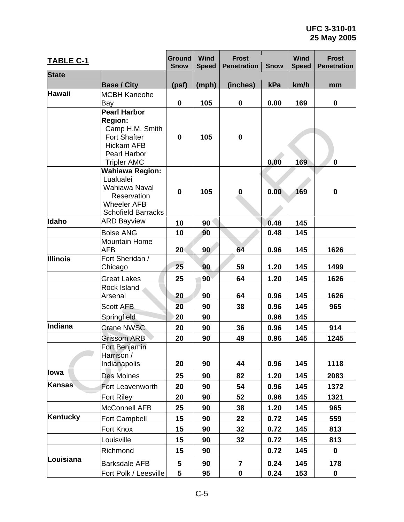| <b>TABLE C-1</b> |                                   | <b>Ground</b><br><b>Snow</b> | <b>Wind</b><br><b>Speed</b> | <b>Frost</b><br><b>Penetration</b> | <b>Snow</b> | <b>Wind</b><br><b>Speed</b> | <b>Frost</b><br><b>Penetration</b> |
|------------------|-----------------------------------|------------------------------|-----------------------------|------------------------------------|-------------|-----------------------------|------------------------------------|
| <b>State</b>     |                                   |                              |                             |                                    |             |                             |                                    |
|                  | <b>Base / City</b>                | (psf)                        | (mph)                       | (inches)                           | kPa         | km/h                        | mm                                 |
| <b>Hawaii</b>    | <b>MCBH Kaneohe</b>               |                              |                             |                                    |             |                             |                                    |
|                  | Bay                               | 0                            | 105                         | $\boldsymbol{0}$                   | 0.00        | 169                         | $\mathbf 0$                        |
|                  | <b>Pearl Harbor</b>               |                              |                             |                                    |             |                             |                                    |
|                  | <b>Region:</b>                    |                              |                             |                                    |             |                             |                                    |
|                  | Camp H.M. Smith                   |                              |                             |                                    |             |                             |                                    |
|                  | <b>Fort Shafter</b>               | $\mathbf 0$                  | 105                         | $\mathbf 0$                        |             |                             |                                    |
|                  | <b>Hickam AFB</b>                 |                              |                             |                                    |             |                             |                                    |
|                  | Pearl Harbor                      |                              |                             |                                    |             |                             |                                    |
|                  | <b>Tripler AMC</b>                |                              |                             |                                    | 0.00        | 169                         | $\mathbf 0$                        |
|                  | Wahiawa Region:                   |                              |                             |                                    |             |                             |                                    |
|                  | Lualualei                         |                              |                             |                                    |             |                             |                                    |
|                  | Wahiawa Naval                     | $\mathbf 0$                  | 105                         | 0                                  | 0.00        | 169                         | $\mathbf 0$                        |
|                  | Reservation<br><b>Wheeler AFB</b> |                              |                             |                                    |             |                             |                                    |
|                  | <b>Schofield Barracks</b>         |                              |                             |                                    |             |                             |                                    |
| Idaho            | <b>ARD Bayview</b>                | 10                           | $90^{\circ}$                |                                    | 0.48        | 145                         |                                    |
|                  | <b>Boise ANG</b>                  | 10                           | 90                          |                                    | 0.48        | 145                         |                                    |
|                  | <b>Mountain Home</b>              |                              |                             |                                    |             |                             |                                    |
|                  | AFB                               | 20                           | 90                          | 64                                 | 0.96        | 145                         | 1626                               |
| Illinois         | Fort Sheridan /                   |                              |                             |                                    |             |                             |                                    |
|                  | Chicago                           | 25                           | 90                          | 59                                 | 1.20        | 145                         | 1499                               |
|                  | Great Lakes                       | 25                           | 90                          | 64                                 | 1.20        | 145                         | 1626                               |
|                  | Rock Island                       |                              |                             |                                    |             |                             |                                    |
|                  | Arsenal                           | 20                           | 90                          | 64                                 | 0.96        | 145                         | 1626                               |
|                  | Scott AFB                         | 20                           | 90                          | 38                                 | 0.96        | 145                         | 965                                |
|                  | Springfield                       | 20                           | 90                          |                                    | 0.96        | 145                         |                                    |
| Indiana          | <b>Crane NWSC</b>                 | 20                           | 90                          | 36                                 | 0.96        | 145                         | 914                                |
|                  | <b>Grissom ARB</b>                | 20                           | 90                          | 49                                 | 0.96        | 145                         | 1245                               |
|                  | Fort Benjamin                     |                              |                             |                                    |             |                             |                                    |
|                  | Harrison /                        |                              |                             |                                    |             |                             |                                    |
|                  | Indianapolis                      | 20                           | 90                          | 44                                 | 0.96        | 145                         | 1118                               |
| lowa             | <b>Des Moines</b>                 | 25                           | 90                          | 82                                 | 1.20        | 145                         | 2083                               |
| <b>Kansas</b>    | Fort Leavenworth                  | 20                           | 90                          | 54                                 | 0.96        | 145                         | 1372                               |
|                  | Fort Riley                        | 20                           | 90                          | 52                                 | 0.96        | 145                         | 1321                               |
|                  | <b>McConnell AFB</b>              | 25                           | 90                          | 38                                 | 1.20        | 145                         | 965                                |
| <b>Kentucky</b>  | <b>Fort Campbell</b>              | 15                           | 90                          | 22                                 | 0.72        | 145                         | 559                                |
|                  | Fort Knox                         | 15                           | 90                          | 32                                 | 0.72        | 145                         | 813                                |
|                  | Louisville                        | 15                           | 90                          | 32                                 | 0.72        | 145                         | 813                                |
|                  | Richmond                          | 15                           | 90                          |                                    | 0.72        | 145                         | $\mathbf 0$                        |
| Louisiana        | <b>Barksdale AFB</b>              | 5                            | 90                          | $\overline{7}$                     | 0.24        | 145                         | 178                                |
|                  | Fort Polk / Leesville             | 5                            | 95                          | $\boldsymbol{0}$                   | 0.24        | 153                         | $\mathbf 0$                        |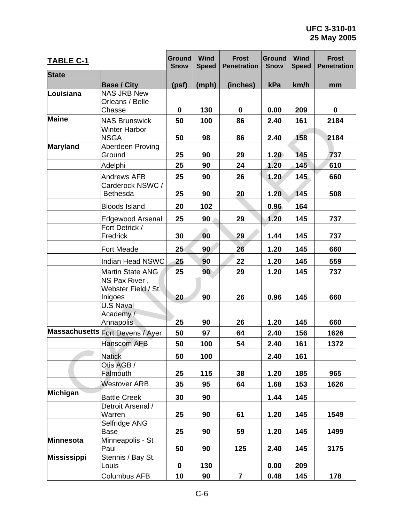| <b>TABLE C-1</b> |                                  | <b>Ground</b><br><b>Snow</b> | <b>Wind</b><br><b>Speed</b> | <b>Frost</b><br><b>Penetration</b> | <b>Ground</b><br><b>Snow</b> | Wind<br><b>Speed</b> | <b>Frost</b><br><b>Penetration</b> |
|------------------|----------------------------------|------------------------------|-----------------------------|------------------------------------|------------------------------|----------------------|------------------------------------|
| <b>State</b>     |                                  |                              |                             |                                    |                              |                      |                                    |
|                  | <b>Base / City</b>               | (psf)                        | (mph)                       | (inches)                           | kPa                          | km/h                 | mm                                 |
| Louisiana        | <b>NAS JRB New</b>               |                              |                             |                                    |                              |                      |                                    |
|                  | Orleans / Belle                  |                              |                             |                                    |                              |                      |                                    |
|                  | Chasse                           | 0                            | 130                         | $\mathbf 0$                        | 0.00                         | 209                  | $\mathbf 0$                        |
| <b>Maine</b>     | <b>NAS Brunswick</b>             | 50                           | 100                         | 86                                 | 2.40                         | 161                  | 2184                               |
|                  | Winter Harbor                    |                              |                             |                                    |                              |                      |                                    |
|                  | <b>NSGA</b>                      | 50                           | 98                          | 86                                 | 2.40                         | 158                  | 2184                               |
| <b>Maryland</b>  | Aberdeen Proving                 |                              |                             |                                    |                              |                      |                                    |
|                  | Ground                           | 25                           | 29<br>90                    |                                    | 1.20                         | 145                  | 737                                |
|                  | Adelphi                          | 25                           | 90                          | 24                                 | 1.20                         | 145                  | 610                                |
|                  | <b>Andrews AFB</b>               | 25                           | 90                          | 26                                 | 1.20                         | 145                  | 660                                |
|                  | Carderock NSWC /                 |                              |                             |                                    |                              |                      |                                    |
|                  | <b>Bethesda</b>                  | 25                           | 90                          | 20                                 | 1.20                         | 145                  | 508                                |
|                  | <b>Bloods Island</b>             | 20                           | 102                         |                                    | 0.96                         | 164                  |                                    |
|                  | Edgewood Arsenal                 | 25                           | 90                          | 29                                 | 1.20                         | 145                  | 737                                |
|                  | Fort Detrick /                   |                              |                             |                                    |                              |                      |                                    |
|                  | Fredrick                         | 30                           | 90                          | 29                                 | 1.44                         | 145                  | 737                                |
|                  | Fort Meade                       | 25                           | 90                          | 26                                 | 1.20                         | 145                  | 660                                |
|                  | Indian Head NSWC                 | 25                           | 90                          | 22                                 | 1.20                         | 145                  | 559                                |
|                  | Martin State ANG                 | 25                           | 90                          | 29                                 | 1.20                         | 145                  | 737                                |
|                  | NS Pax River,                    |                              |                             |                                    |                              |                      |                                    |
|                  | Webster Field / St.              |                              |                             |                                    |                              |                      |                                    |
|                  | Inigoes                          | 20                           | 90                          | 26                                 | 0.96<br>145                  |                      | 660                                |
|                  | <b>U.S Naval</b>                 |                              |                             |                                    |                              |                      |                                    |
|                  | Academy/                         |                              |                             |                                    |                              |                      |                                    |
|                  | Annapolis                        | 25                           | 90                          | 26                                 | 1.20                         | 145                  | 660                                |
|                  | Massachusetts Fort Devens / Ayer | 50                           | 97                          | 64                                 | 2.40                         | 156                  | 1626                               |
|                  | <b>Hanscom AFB</b>               | 50                           | 100                         | 54                                 | 2.40                         | 161                  | 1372                               |
|                  | <b>Natick</b>                    | 50                           | 100                         |                                    | 2.40                         | 161                  |                                    |
|                  | Otis AGB /                       |                              |                             |                                    |                              |                      |                                    |
|                  | Falmouth                         | 25                           | 115                         | 38                                 | 1.20                         | 185                  | 965                                |
|                  | <b>Westover ARB</b>              | 35                           | 95                          | 64                                 | 1.68                         | 153                  | 1626                               |
| Michigan         | <b>Battle Creek</b>              | 30                           | 90                          |                                    | 1.44                         | 145                  |                                    |
|                  | Detroit Arsenal /                |                              |                             |                                    |                              |                      |                                    |
|                  | Warren                           | 25                           | 90                          | 61                                 | 1.20                         | 145                  | 1549                               |
|                  | Selfridge ANG                    |                              |                             |                                    |                              |                      |                                    |
|                  | Base                             | 25                           | 90                          | 59                                 | 1.20                         | 145                  | 1499                               |
| Minnesota        | Minneapolis - St                 |                              |                             |                                    |                              |                      |                                    |
|                  | Paul                             | 50                           | 90                          | 125                                | 2.40                         | 145                  | 3175                               |
| Mississippi      | Stennis / Bay St.                |                              |                             |                                    |                              |                      |                                    |
|                  | Louis                            | 0                            | 130                         |                                    | 0.00                         | 209                  |                                    |
|                  | Columbus AFB                     | 10                           | 90                          | $\overline{7}$                     | 0.48                         | 145                  | 178                                |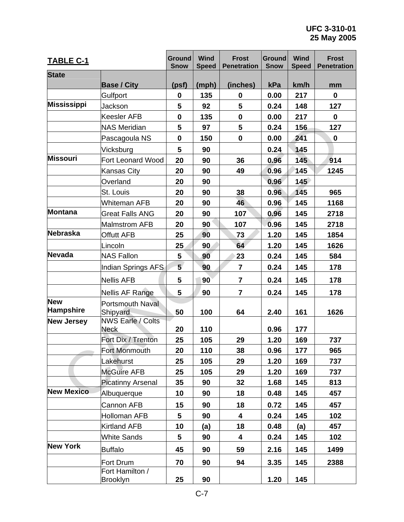| <b>TABLE C-1</b>               |                                         | <b>Ground</b><br><b>Snow</b> | Wind<br><b>Speed</b> | <b>Frost</b><br><b>Penetration</b> | <b>Ground</b><br><b>Snow</b> | Wind<br><b>Speed</b> | <b>Frost</b><br><b>Penetration</b> |
|--------------------------------|-----------------------------------------|------------------------------|----------------------|------------------------------------|------------------------------|----------------------|------------------------------------|
| <b>State</b>                   |                                         |                              |                      |                                    |                              |                      |                                    |
|                                | <b>Base / City</b>                      | (psf)                        | (mph)                | (inches)                           | kPa                          | km/h                 | mm                                 |
|                                | Gulfport                                | 0                            | 135                  | 0                                  | 0.00                         | 217                  | $\mathbf 0$                        |
| <b>Mississippi</b>             | Jackson                                 | 5                            | 92                   | 5                                  | 0.24                         | 148                  | 127                                |
|                                | <b>Keesler AFB</b>                      | $\mathbf 0$                  | 135                  | $\mathbf 0$                        | 0.00                         | 217                  | $\mathbf 0$                        |
|                                | <b>NAS Meridian</b>                     | 5                            | 97                   | 5                                  | 0.24                         | 156                  | 127                                |
|                                | Pascagoula NS                           | $\mathbf 0$                  | 150                  | $\mathbf 0$                        | 0.00                         | 241                  | $\mathbf 0$                        |
|                                | Vicksburg                               | 5                            | 90                   |                                    | 0.24                         | 145                  |                                    |
| <b>Missouri</b>                | <b>Fort Leonard Wood</b>                | 20                           | 90                   | 36                                 | 0.96                         | 145                  | 914                                |
|                                | Kansas City                             | 20                           | 90                   | 49                                 | 0.96                         | 145                  | 1245                               |
|                                | Overland                                | 20<br>90<br>90<br>38<br>20   |                      | 0.96                               | 145                          |                      |                                    |
|                                | St. Louis                               |                              |                      | 0.96                               | 145                          | 965                  |                                    |
|                                | <b>Whiteman AFB</b>                     | 20                           | 90                   | 46                                 | 0.96                         | 145                  | 1168                               |
| Montana                        | <b>Great Falls ANG</b>                  | 20                           | 90                   | 107                                | 0.96                         | 145                  | 2718                               |
|                                | <b>Malmstrom AFB</b>                    | 20                           | 90                   | 107                                | 0.96                         | 145                  | 2718                               |
| <b>Nebraska</b>                | <b>Offutt AFB</b>                       | 25                           | 90                   | 73                                 | 1.20                         | 145                  | 1854                               |
|                                | Lincoln                                 | 25                           | 90                   | 64                                 | 1.20                         | 145                  | 1626                               |
| Nevada                         | <b>NAS Fallon</b><br>5                  |                              | 90                   | 23                                 | 0.24                         | 145                  | 584                                |
|                                | Indian Springs AFS                      | 5 <sup>′</sup>               | 90                   | $\overline{7}$                     | 0.24                         | 145                  | 178                                |
|                                | <b>Nellis AFB</b>                       | 5                            | 90                   | $\overline{7}$                     | 0.24                         | 145                  | 178                                |
|                                | Nellis AF Range                         | 5                            | 90                   | $\overline{7}$                     | 0.24                         | 145                  | 178                                |
| <b>New</b><br><b>Hampshire</b> | Portsmouth Naval<br>Shipyard            | 50                           | 100                  | 64                                 | 2.40                         | 161                  | 1626                               |
| <b>New Jersey</b>              | <b>NWS Earle / Colts</b><br><b>Neck</b> | 20                           | 110                  |                                    | 0.96                         | 177                  |                                    |
|                                | Fort Dix / Trenton                      | 25                           | 105                  | 29                                 | 1.20                         | 169                  | 737                                |
|                                | Fort Monmouth                           | 20                           | 110                  | 38                                 | 0.96                         | 177                  | 965                                |
|                                | Lakehurst                               | 25                           | 105                  | 29                                 | 1.20                         | 169                  | 737                                |
|                                | <b>McGuire AFB</b>                      | 25                           | 105                  | 29                                 | 1.20                         | 169                  | 737                                |
|                                | <b>Picatinny Arsenal</b>                | 35                           | 90                   | 32                                 | 1.68                         | 145                  | 813                                |
| <b>New Mexico</b>              | Albuquerque                             | 10                           | 90                   | 18                                 | 0.48                         | 145                  | 457                                |
|                                | Cannon AFB                              | 15                           | 90                   | 18                                 | 0.72                         | 145                  | 457                                |
|                                | <b>Holloman AFB</b>                     | 5                            | 90                   | 4                                  | 0.24                         | 145                  | 102                                |
|                                | <b>Kirtland AFB</b>                     | 10                           | (a)                  | 18                                 | 0.48                         | (a)                  | 457                                |
|                                | <b>White Sands</b>                      | 5                            | 90                   | 4                                  | 0.24                         | 145                  | 102                                |
| <b>New York</b>                | <b>Buffalo</b>                          | 45                           | 90                   | 59                                 | 2.16                         | 145                  | 1499                               |
|                                | Fort Drum                               | 70                           | 90                   | 94                                 | 3.35                         | 145                  | 2388                               |
|                                | Fort Hamilton /                         |                              |                      |                                    |                              |                      |                                    |
|                                | <b>Brooklyn</b>                         | 25                           | 90                   |                                    | 1.20                         | 145                  |                                    |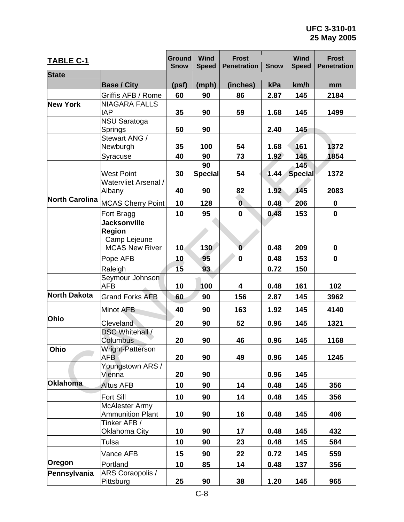| <b>TABLE C-1</b>      |                                 | <b>Ground</b><br><b>Snow</b> | <b>Wind</b><br><b>Speed</b> | <b>Frost</b><br><b>Penetration</b> | <b>Snow</b> | Wind<br><b>Speed</b> | <b>Frost</b><br><b>Penetration</b> |
|-----------------------|---------------------------------|------------------------------|-----------------------------|------------------------------------|-------------|----------------------|------------------------------------|
| <b>State</b>          |                                 |                              |                             |                                    |             |                      |                                    |
|                       | <b>Base / City</b>              | (psf)                        | (mph)                       | (inches)                           | kPa         | km/h                 | mm                                 |
|                       | Griffis AFB / Rome              | 60                           | 90                          | 86                                 | 2.87        | 145                  | 2184                               |
| <b>New York</b>       | NIAGARA FALLS                   |                              |                             |                                    |             |                      |                                    |
|                       | <b>IAP</b>                      | 35                           | 90                          | 59                                 | 1.68        | 145                  | 1499                               |
|                       | NSU Saratoga<br>Springs         | 50                           | 90                          |                                    | 2.40        | 145                  |                                    |
|                       | Stewart ANG /                   |                              |                             |                                    |             |                      |                                    |
|                       | Newburgh                        | 35                           | 100                         | 54                                 | 1.68        | 161                  | 1372                               |
|                       | Syracuse                        | 40                           | 90                          | 73                                 | 1.92        | 145                  | 1854                               |
|                       |                                 |                              | 90                          |                                    |             | 145                  |                                    |
|                       | <b>West Point</b>               | 30                           | <b>Special</b>              | 54                                 | 1.44        | Special              | 1372                               |
|                       | <b>Watervliet Arsenal /</b>     |                              |                             |                                    |             |                      |                                    |
|                       | Albany                          | 40                           | 90<br>82                    |                                    | 1.92        | 145                  | 2083                               |
| <b>North Carolina</b> | <b>MCAS Cherry Point</b>        | 10                           | 128                         | $\mathbf 0$                        | 0.48        | 206                  | $\mathbf 0$                        |
|                       | Fort Bragg                      | 10                           | 95                          | $\mathbf 0$                        | 0.48        | 153                  | $\mathbf 0$                        |
|                       | <b>Jacksonville</b>             |                              |                             |                                    |             |                      |                                    |
|                       | Region                          |                              |                             |                                    |             |                      |                                    |
|                       | Camp Lejeune                    |                              |                             |                                    |             |                      |                                    |
|                       | <b>MCAS New River</b>           | 10 <sub>1</sub>              | 130                         | $\mathbf 0$                        | 0.48        | 209                  | $\mathbf 0$                        |
|                       | Pope AFB                        | 10                           | 95                          | $\mathbf 0$                        | 0.48        | 153                  | $\mathbf 0$                        |
|                       | Raleigh                         | 15                           | 93                          |                                    | 0.72        | 150                  |                                    |
|                       | Seymour Johnson<br><b>AFB</b>   | 10                           | 100                         | 4                                  | 0.48        | 161                  | 102                                |
| North Dakota          | <b>Grand Forks AFB</b>          | 60                           | 90                          | 156                                | 2.87        | 145                  | 3962                               |
|                       | <b>Minot AFB</b>                | 40                           | 90                          | 163                                | 1.92        | 145                  | 4140                               |
| Ohio                  | Cleveland                       | 20                           | 90                          | 52                                 | 0.96        | 145                  | 1321                               |
|                       | <b>DSC Whitehall /</b>          |                              |                             |                                    |             |                      |                                    |
|                       | Columbus                        | 20                           | 90                          | 46                                 | 0.96        | 145                  | 1168                               |
| Ohio                  | <b>Wright-Patterson</b><br>AFB. | 20                           | 90                          | 49                                 | 0.96        | 145                  | 1245                               |
|                       | Youngstown ARS /                |                              |                             |                                    |             |                      |                                    |
| <b>Oklahoma</b>       | Vienna                          | 20                           | 90                          |                                    | 0.96        | 145                  |                                    |
|                       | Altus AFB                       | 10                           | 90                          | 14                                 | 0.48        | 145                  | 356                                |
|                       | <b>Fort Sill</b>                | 10                           | 90                          | 14                                 | 0.48        | 145                  | 356                                |
|                       | McAlester Army                  |                              |                             |                                    |             |                      |                                    |
|                       | <b>Ammunition Plant</b>         | 10                           | 90                          | 16                                 | 0.48        | 145                  | 406                                |
|                       | Tinker AFB /<br>Oklahoma City   | 10                           | 90                          | 17                                 | 0.48        | 145                  | 432                                |
|                       | Tulsa                           | 10                           | 90                          | 23                                 | 0.48        | 145                  | 584                                |
|                       |                                 |                              |                             |                                    |             |                      |                                    |
|                       | Vance AFB                       | 15                           | 90                          | 22                                 | 0.72        | 145                  | 559                                |
| Oregon                | Portland                        | 10                           | 85                          | 14                                 | 0.48        | 137                  | 356                                |
| Pennsylvania          | ARS Coraopolis /                |                              |                             |                                    |             |                      |                                    |
|                       | Pittsburg                       | 25                           | 90                          | 38                                 | 1.20        | 145                  | 965                                |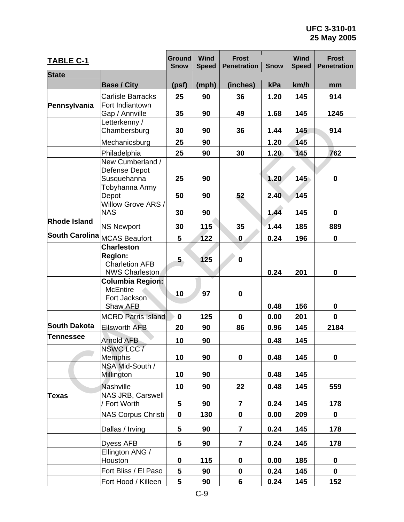| <b>TABLE C-1</b>      |                                         | <b>Ground</b><br><b>Snow</b> | <b>Wind</b><br><b>Speed</b> | <b>Frost</b><br><b>Penetration</b> | <b>Snow</b> | <b>Wind</b><br><b>Speed</b> | <b>Frost</b><br><b>Penetration</b> |
|-----------------------|-----------------------------------------|------------------------------|-----------------------------|------------------------------------|-------------|-----------------------------|------------------------------------|
| <b>State</b>          |                                         |                              |                             |                                    |             |                             |                                    |
|                       | <b>Base / City</b>                      | (psf)                        | (mph)                       | (inches)                           | kPa         | km/h                        | mm                                 |
|                       | Carlisle Barracks                       | 25                           | 90                          | 36                                 | 1.20        | 145                         | 914                                |
| Pennsylvania          | Fort Indiantown                         |                              |                             |                                    |             |                             |                                    |
|                       | Gap / Annville<br>Letterkenny /         | 35                           | 90                          | 49                                 | 1.68        | 145                         | 1245                               |
|                       | Chambersburg                            | 30                           | 90                          | 36                                 | 1.44        | 145                         | 914                                |
|                       | Mechanicsburg                           | 25                           | 90                          |                                    | 1.20        | 145                         |                                    |
|                       | Philadelphia                            | 25                           | 90                          | 30                                 | 1.20        | 145                         | 762                                |
|                       | New Cumberland /                        |                              |                             |                                    |             |                             |                                    |
|                       | Defense Depot                           |                              |                             |                                    |             |                             |                                    |
|                       | Susquehanna<br>Tobyhanna Army           | 25                           | 90                          |                                    | 1.20        | 145                         | $\pmb{0}$                          |
|                       | Depot                                   | 50                           | 90                          | 52                                 | 2.40        | 145                         |                                    |
|                       | Willow Grove ARS /                      |                              |                             |                                    |             |                             |                                    |
| <b>Rhode Island</b>   | <b>NAS</b>                              | 30                           | 90                          |                                    | 1.44        | 145                         | $\mathbf 0$                        |
|                       | <b>NS Newport</b>                       | 30                           | 115                         | 35                                 | 1.44        | 185                         | 889                                |
| <b>South Carolina</b> | <b>MCAS Beaufort</b>                    | 5                            | 122                         | $\mathbf{0}$                       | 0.24        | 196                         | $\mathbf 0$                        |
|                       | <b>Charleston</b>                       |                              |                             |                                    |             |                             |                                    |
|                       | <b>Region:</b><br><b>Charletion AFB</b> | 5                            | 125                         | $\mathbf 0$                        |             |                             |                                    |
|                       | <b>NWS Charleston</b>                   |                              |                             |                                    | 0.24        | 201                         | $\mathbf 0$                        |
|                       | <b>Columbia Region:</b>                 |                              |                             |                                    |             |                             |                                    |
|                       | <b>McEntire</b>                         | 10                           | 97                          | $\mathbf 0$                        |             |                             |                                    |
|                       | Fort Jackson<br>Shaw AFB                |                              |                             |                                    | 0.48        | 156                         | $\mathbf 0$                        |
|                       | <b>MCRD Parris Island</b>               | $\mathbf 0$                  | 125                         | $\mathbf 0$                        | 0.00        | 201                         | $\mathbf 0$                        |
| <b>South Dakota</b>   |                                         |                              |                             |                                    |             |                             |                                    |
| <b>Tennessee</b>      | <b>Ellsworth AFB</b>                    | 20                           | 90                          | 86                                 | 0.96        | 145                         | 2184                               |
|                       | <b>Arnold AFB</b>                       | 10                           | 90                          |                                    | 0.48        | 145                         |                                    |
|                       | NSWC LCC /<br><b>Memphis</b>            | 10                           | 90                          | $\mathbf 0$                        | 0.48        | 145                         | $\pmb{0}$                          |
|                       | NSA Mid-South /                         |                              |                             |                                    |             |                             |                                    |
|                       | Millington                              | 10                           | 90                          |                                    | 0.48        | 145                         |                                    |
|                       | Nashville                               | 10                           | 90                          | 22                                 | 0.48        | 145                         | 559                                |
| <b>Texas</b>          | NAS JRB, Carswell                       |                              |                             |                                    |             |                             |                                    |
|                       | / Fort Worth                            | 5                            | 90                          | $\overline{\mathbf{7}}$            | 0.24        | 145                         | 178                                |
|                       | NAS Corpus Christi                      | $\mathbf 0$                  | 130                         | $\mathbf 0$                        | 0.00        | 209                         | $\mathbf 0$                        |
|                       | Dallas / Irving                         | 5                            | 90                          | $\overline{7}$                     | 0.24        | 145                         | 178                                |
|                       | Dyess AFB                               | 5                            | 90                          | $\overline{\mathbf{7}}$            | 0.24        | 145                         | 178                                |
|                       | Ellington ANG /                         |                              |                             |                                    |             |                             |                                    |
|                       | Houston                                 | 0                            | 115                         | $\mathbf 0$                        | 0.00        | 185                         | 0                                  |
|                       | Fort Bliss / El Paso                    | 5                            | 90                          | $\mathbf 0$                        | 0.24        | 145                         | $\mathbf 0$                        |
|                       | Fort Hood / Killeen                     | 5                            | 90                          | 6                                  | 0.24        | 145                         | 152                                |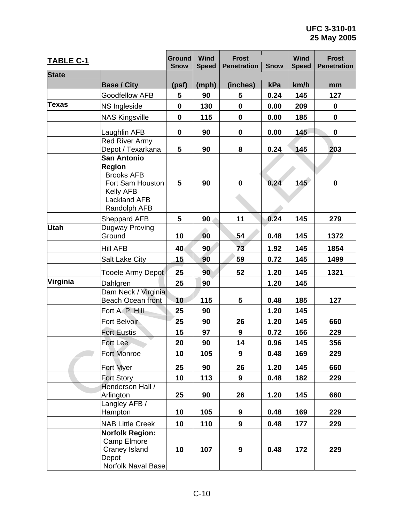| <b>TABLE C-1</b> |                                                                                                                                         | <b>Ground</b><br><b>Snow</b> | <b>Wind</b><br><b>Speed</b> | <b>Frost</b><br><b>Penetration</b> | <b>Snow</b> | Wind<br><b>Speed</b> | <b>Frost</b><br><b>Penetration</b> |
|------------------|-----------------------------------------------------------------------------------------------------------------------------------------|------------------------------|-----------------------------|------------------------------------|-------------|----------------------|------------------------------------|
| <b>State</b>     |                                                                                                                                         |                              |                             |                                    |             |                      |                                    |
|                  | <b>Base / City</b>                                                                                                                      | (psf)                        | (mph)                       | (inches)                           | kPa         | km/h                 | mm                                 |
|                  | <b>Goodfellow AFB</b>                                                                                                                   | 5                            | 90                          | 5                                  | 0.24        | 145                  | 127                                |
| <b>Texas</b>     | NS Ingleside                                                                                                                            | $\mathbf 0$                  | 130                         | $\mathbf 0$                        | 0.00        | 209                  | $\mathbf 0$                        |
|                  | <b>NAS Kingsville</b>                                                                                                                   | $\mathbf 0$                  | 115                         | $\mathbf 0$                        | 0.00        | 185                  | $\mathbf 0$                        |
|                  | Laughlin AFB                                                                                                                            | $\mathbf 0$                  | 90                          | $\bf{0}$                           | 0.00        | 145                  | $\mathbf 0$                        |
|                  | <b>Red River Army</b>                                                                                                                   |                              |                             |                                    |             |                      |                                    |
|                  | Depot / Texarkana                                                                                                                       | 5                            | 90                          | 8                                  | 0.24        | 145                  | 203                                |
|                  | <b>San Antonio</b><br><b>Region</b><br><b>Brooks AFB</b><br>Fort Sam Houston<br><b>Kelly AFB</b><br><b>Lackland AFB</b><br>Randolph AFB | 5                            | 90                          | $\mathbf 0$                        | 0.24        | 145                  | $\mathbf 0$                        |
|                  | Sheppard AFB                                                                                                                            | 5                            | 90                          | 11                                 | 0.24        | 145                  | 279                                |
| <b>Utah</b>      | Dugway Proving                                                                                                                          |                              |                             |                                    |             |                      |                                    |
|                  | Ground                                                                                                                                  | 10                           | 90                          | 54                                 | 0.48        | 145                  | 1372                               |
|                  | <b>Hill AFB</b>                                                                                                                         | 40                           | 90                          | 73                                 | 1.92        | 145                  | 1854                               |
|                  | <b>Salt Lake City</b>                                                                                                                   | 15                           | 90                          | 59                                 | 0.72        | 145                  | 1499                               |
|                  | <b>Tooele Army Depot</b>                                                                                                                | 25                           | 90                          | 52                                 | 1.20        | 145                  | 1321                               |
| Virginia         | Dahlgren                                                                                                                                | 25                           | 90                          |                                    | 1.20        | 145                  |                                    |
|                  | Dam Neck / Virginia                                                                                                                     |                              |                             |                                    |             |                      |                                    |
|                  | <b>Beach Ocean front</b>                                                                                                                | 10                           | 115                         | 5                                  | 0.48        | 185                  | 127                                |
|                  | Fort A. P. Hill                                                                                                                         | 25                           | 90                          |                                    | 1.20        | 145                  |                                    |
|                  | Fort Belvoir                                                                                                                            | 25                           | 90                          | 26                                 | 1.20        | 145                  | 660                                |
|                  | <b>Fort Eustis</b>                                                                                                                      | 15                           | 97                          | 9                                  | 0.72        | 156                  | 229                                |
|                  | Fort Lee                                                                                                                                | 20                           | 90                          | 14                                 | 0.96        | 145                  | 356                                |
|                  | <b>Fort Monroe</b>                                                                                                                      | 10                           | 105                         | 9                                  | 0.48        | 169                  | 229                                |
|                  | Fort Myer                                                                                                                               | 25                           | 90                          | 26                                 | 1.20        | 145                  | 660                                |
|                  | Fort Story                                                                                                                              | 10                           | 113                         | 9                                  | 0.48        | 182                  | 229                                |
|                  | Henderson Hall /                                                                                                                        |                              |                             |                                    |             |                      |                                    |
|                  | Arlington                                                                                                                               | 25                           | 90                          | 26                                 | 1.20        | 145                  | 660                                |
|                  | Langley AFB /                                                                                                                           |                              |                             |                                    |             |                      |                                    |
|                  | Hampton                                                                                                                                 | 10                           | 105                         | $\boldsymbol{9}$                   | 0.48        | 169                  | 229                                |
|                  | <b>NAB Little Creek</b>                                                                                                                 | 10                           | 110                         | $\boldsymbol{9}$                   | 0.48        | 177                  | 229                                |
|                  | <b>Norfolk Region:</b><br>Camp Elmore<br>Craney Island<br>Depot<br>Norfolk Naval Base                                                   | 10                           | 107                         | $\boldsymbol{9}$                   | 0.48        | 172                  | 229                                |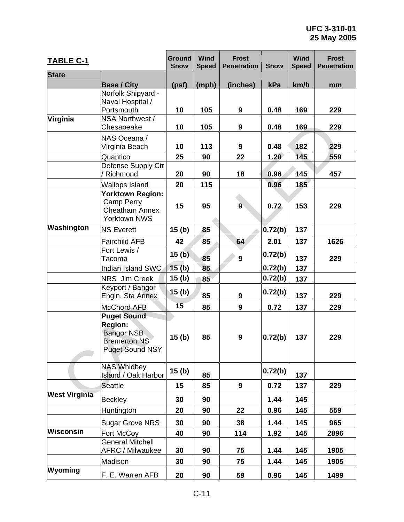| <b>TABLE C-1</b>     |                                                                                                            | <b>Ground</b><br><b>Snow</b> | <b>Wind</b><br><b>Speed</b> | <b>Frost</b><br><b>Penetration</b> | <b>Snow</b>  | <b>Wind</b><br><b>Speed</b> | <b>Frost</b><br><b>Penetration</b> |
|----------------------|------------------------------------------------------------------------------------------------------------|------------------------------|-----------------------------|------------------------------------|--------------|-----------------------------|------------------------------------|
| <b>State</b>         | <b>Base / City</b>                                                                                         | (psf)                        | (mph)                       | (inches)                           | kPa          | km/h                        | mm                                 |
| Virginia             | Norfolk Shipyard -<br>Naval Hospital /<br>Portsmouth<br>NSA Northwest /<br>Chesapeake                      | 10<br>10                     | 105<br>105                  | 9<br>$\boldsymbol{9}$              | 0.48<br>0.48 | 169<br>169                  | 229<br>229                         |
|                      | NAS Oceana /<br>Virginia Beach                                                                             | 10                           | 113                         | $\boldsymbol{9}$                   | 0.48         | 182                         | 229                                |
|                      | Quantico<br>Defense Supply Ctr<br>Richmond                                                                 | 25<br>20                     | 90<br>90                    | 22<br>18                           | 1.20<br>0.96 | 145<br>145                  | 559<br>457                         |
|                      | <b>Wallops Island</b>                                                                                      | 20                           | 115                         |                                    | 0.96         | 185                         |                                    |
|                      | <b>Yorktown Region:</b><br>Camp Perry<br><b>Cheatham Annex</b><br><b>Yorktown NWS</b>                      | 15                           | 95                          | $\overline{9}$                     | 0.72         | 153                         | 229                                |
| Washington           | <b>NS Everett</b>                                                                                          | 15 <sub>(b)</sub>            | 85                          |                                    | 0.72(b)      | 137                         |                                    |
|                      | <b>Fairchild AFB</b>                                                                                       | 42                           | 85                          | 64                                 | 2.01         | 137                         | 1626                               |
|                      | Fort Lewis /<br>Tacoma                                                                                     | 15(b)                        | 85                          | $\boldsymbol{9}$                   | 0.72(b)      | 137                         | 229                                |
|                      | Indian Island SWC                                                                                          | 15(b)                        | 85                          |                                    | 0.72(b)      | 137                         |                                    |
|                      | <b>NRS</b> Jim Creek                                                                                       | 15 <sub>(b)</sub>            | 85                          |                                    | 0.72(b)      | 137                         |                                    |
|                      | Keyport / Bangor<br>Engin. Sta Annex                                                                       | 15(b)                        | 85                          | 9                                  | 0.72(b)      | 137                         | 229                                |
|                      | <b>McChord AFB</b>                                                                                         | 15                           | 85                          | 9                                  | 0.72         | 137                         | 229                                |
|                      | <b>Puget Sound</b><br><b>Region:</b><br><b>Bangor NSB</b><br><b>Bremerton NS</b><br><b>Puget Sound NSY</b> | 15(b)                        | 85                          | 9                                  | 0.72(b)      | 137                         | 229                                |
|                      | <b>NAS Whidbey</b><br><b>Island / Oak Harbor</b>                                                           | 15 <sub>(b)</sub>            | 85                          |                                    | 0.72(b)      | 137                         |                                    |
|                      | Seattle                                                                                                    | 15                           | 85                          | 9                                  | 0.72         | 137                         | 229                                |
| <b>West Virginia</b> | <b>Beckley</b>                                                                                             | 30                           | 90                          |                                    | 1.44         | 145                         |                                    |
|                      | Huntington                                                                                                 | 20                           | 90                          | 22                                 | 0.96         | 145                         | 559                                |
|                      | <b>Sugar Grove NRS</b>                                                                                     | 30                           | 90                          | 38                                 | 1.44         | 145                         | 965                                |
| Wisconsin            | Fort McCoy                                                                                                 | 40                           | 90                          | 114                                | 1.92         | 145                         | 2896                               |
|                      | <b>General Mitchell</b><br><b>AFRC / Milwaukee</b>                                                         | 30                           | 90                          | 75                                 | 1.44         | 145                         | 1905                               |
|                      | Madison                                                                                                    | 30                           | 90                          | 75                                 | 1.44         | 145                         | 1905                               |
| Wyoming              | F. E. Warren AFB                                                                                           | 20                           | 90                          | 59                                 | 0.96         | 145                         | 1499                               |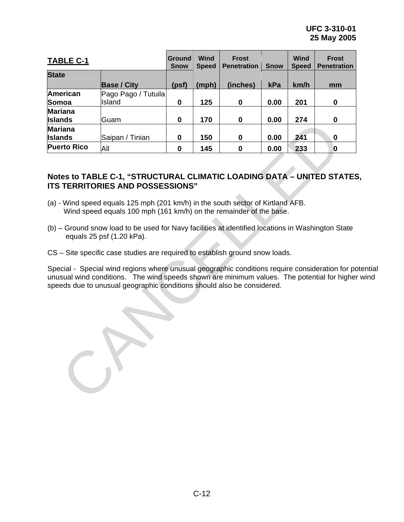| <b>TABLE C-1</b>                                                                                                                                                                                    |                                                                                                                                                                                                                                                                                      | <b>Ground</b><br><b>Snow</b> | Wind<br><b>Speed</b> | <b>Frost</b><br><b>Penetration</b> | <b>Snow</b> | Wind<br><b>Speed</b> | <b>Frost</b><br><b>Penetration</b> |  |
|-----------------------------------------------------------------------------------------------------------------------------------------------------------------------------------------------------|--------------------------------------------------------------------------------------------------------------------------------------------------------------------------------------------------------------------------------------------------------------------------------------|------------------------------|----------------------|------------------------------------|-------------|----------------------|------------------------------------|--|
| <b>State</b>                                                                                                                                                                                        | <b>Base / City</b>                                                                                                                                                                                                                                                                   | (psf)                        | (mph)                | (inches)                           | kPa         | km/h                 | mm                                 |  |
| American                                                                                                                                                                                            | Pago Pago / Tutuila                                                                                                                                                                                                                                                                  |                              |                      |                                    |             |                      |                                    |  |
| Somoa                                                                                                                                                                                               | Island                                                                                                                                                                                                                                                                               | 0                            | 125                  | 0                                  | 0.00        | 201                  | $\mathbf 0$                        |  |
| Mariana                                                                                                                                                                                             |                                                                                                                                                                                                                                                                                      |                              |                      |                                    |             |                      |                                    |  |
| <b>Islands</b>                                                                                                                                                                                      | Guam                                                                                                                                                                                                                                                                                 | 0                            | 170                  | 0                                  | 0.00        | 274                  | $\boldsymbol{0}$                   |  |
| <b>Mariana</b>                                                                                                                                                                                      |                                                                                                                                                                                                                                                                                      |                              |                      |                                    |             |                      |                                    |  |
| <b>Islands</b>                                                                                                                                                                                      | Saipan / Tinian                                                                                                                                                                                                                                                                      | 0                            | 150                  | 0                                  | 0.00        | 241                  | 0                                  |  |
| <b>Puerto Rico</b>                                                                                                                                                                                  | All                                                                                                                                                                                                                                                                                  | 0                            | 145                  | $\mathbf 0$                        | 0.00        | 233                  | $\bf{0}$                           |  |
| Notes to TABLE C-1, "STRUCTURAL CLIMATIC LOADING DATA - UNITED STATES<br><b>ITS TERRITORIES AND POSSESSIONS"</b><br>(a) - Wind speed equals 125 mph (201 km/h) in the south sector of Kirtland AFB. |                                                                                                                                                                                                                                                                                      |                              |                      |                                    |             |                      |                                    |  |
|                                                                                                                                                                                                     | Wind speed equals 100 mph (161 km/h) on the remainder of the base.<br>(b) – Ground snow load to be used for Navy facilities at identified locations in Washington State<br>equals 25 psf (1.20 kPa).<br>CS - Site specific case studies are required to establish ground snow loads. |                              |                      |                                    |             |                      |                                    |  |
|                                                                                                                                                                                                     | Special - Special wind regions where unusual geographic conditions require consideration for po<br>unusual wind conditions. The wind speeds shown are minimum values. The potential for higher<br>speeds due to unusual geographic conditions should also be considered.             |                              |                      |                                    |             |                      |                                    |  |
|                                                                                                                                                                                                     |                                                                                                                                                                                                                                                                                      |                              |                      |                                    |             |                      |                                    |  |

# **Notes to TABLE C-1, "STRUCTURAL CLIMATIC LOADING DATA – UNITED STATES, ITS TERRITORIES AND POSSESSIONS"**

- (a) Wind speed equals 125 mph (201 km/h) in the south sector of Kirtland AFB. Wind speed equals 100 mph (161 km/h) on the remainder of the base.
- (b) Ground snow load to be used for Navy facilities at identified locations in Washington State equals 25 psf (1.20 kPa).
- CS Site specific case studies are required to establish ground snow loads.

Special - Special wind regions where unusual geographic conditions require consideration for potential unusual wind conditions. The wind speeds shown are minimum values. The potential for higher wind speeds due to unusual geographic conditions should also be considered.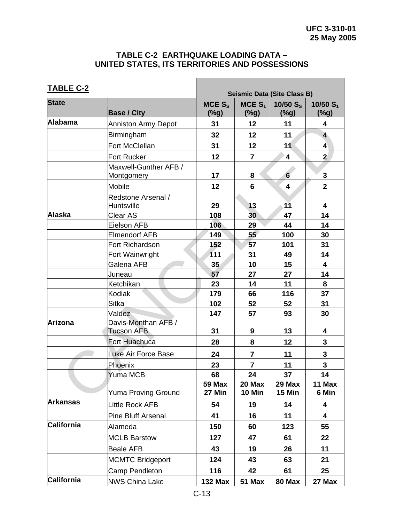## **TABLE C-2 EARTHQUAKE LOADING DATA – UNITED STATES, ITS TERRITORIES AND POSSESSIONS**

| <b>TABLE C-2</b>  |                                     | <b>Seismic Data (Site Class B)</b> |                         |                         |                         |  |
|-------------------|-------------------------------------|------------------------------------|-------------------------|-------------------------|-------------------------|--|
| <b>State</b>      | <b>Base / City</b>                  | MCE $S_{\rm s}$<br>( %g)           | MCE $S_1$<br>$(\%g)$    | 10/50 $S_s$<br>( %g)    | 10/50 $S_1$<br>$(\%g)$  |  |
| <b>Alabama</b>    | <b>Anniston Army Depot</b>          | 31                                 | 12                      | 11                      | 4                       |  |
|                   | Birmingham                          | 32                                 | 12                      | 11                      | $\overline{\mathbf{4}}$ |  |
|                   | Fort McClellan                      | 31                                 | 12                      | 11                      | 4                       |  |
|                   | <b>Fort Rucker</b>                  | 12                                 | $\overline{7}$          | $\overline{\mathbf{4}}$ | $\overline{2}$          |  |
|                   | Maxwell-Gunther AFB /<br>Montgomery | 17                                 | 8                       | $6\phantom{1}$          | 3                       |  |
|                   | <b>Mobile</b>                       | 12                                 | 6                       | 4                       | $\overline{2}$          |  |
|                   | Redstone Arsenal /<br>Huntsville    | 29                                 | 13                      | 11                      | 4                       |  |
| Alaska            | <b>Clear AS</b>                     | 108                                | 30                      | 47                      | 14                      |  |
|                   | <b>Eielson AFB</b>                  | 106                                | 29                      | 44                      | 14                      |  |
|                   | <b>Elmendorf AFB</b>                | 149                                | 55                      | 100                     | 30                      |  |
|                   | Fort Richardson                     | 152                                | 57                      | 101                     | 31                      |  |
|                   | Fort Wainwright                     | 111                                | 31                      | 49                      | 14                      |  |
|                   | Galena AFB                          | 35 <sub>5</sub>                    | 10                      | 15                      | $\overline{\mathbf{4}}$ |  |
|                   | Juneau                              | 57                                 | 27                      | 27                      | 14                      |  |
|                   | Ketchikan                           | 23                                 | 14                      | 11                      | 8                       |  |
|                   | Kodiak                              | 179                                | 66                      | 116                     | 37                      |  |
|                   | <b>Sitka</b>                        | 102                                | 52                      | 52                      | 31                      |  |
|                   | Valdez                              | 147                                | 57                      | 93                      | 30                      |  |
| <b>Arizona</b>    | Davis-Monthan AFB /<br>Tucson AFB   | 31                                 | 9                       | 13                      | 4                       |  |
|                   | Fort Huachuca                       | 28                                 | 8                       | 12                      | 3                       |  |
|                   | Luke Air Force Base                 | 24                                 | $\overline{\mathbf{7}}$ | 11                      | 3                       |  |
|                   | Phoenix                             | 23                                 | $\overline{7}$          | 11                      | 3                       |  |
|                   | Yuma MCB                            | 68                                 | 24                      | 37                      | 14                      |  |
|                   | <b>Yuma Proving Ground</b>          | 59 Max<br>27 Min                   | 20 Max<br><b>10 Min</b> | 29 Max<br><b>15 Min</b> | 11 Max<br>6 Min         |  |
| <b>Arkansas</b>   | Little Rock AFB                     | 54                                 | 19                      | 14                      | 4                       |  |
|                   | <b>Pine Bluff Arsenal</b>           | 41                                 | 16                      | 11                      | 4                       |  |
| <b>California</b> | Alameda                             | 150                                | 60                      | 123                     | 55                      |  |
|                   | <b>MCLB Barstow</b>                 | 127                                | 47                      | 61                      | 22                      |  |
|                   | <b>Beale AFB</b>                    | 43                                 | 19                      | 26                      | 11                      |  |
|                   | <b>MCMTC Bridgeport</b>             | 124                                | 43                      | 63                      | 21                      |  |
|                   | Camp Pendleton                      | 116                                | 42                      | 61                      | 25                      |  |
| <b>California</b> | <b>NWS China Lake</b>               | <b>132 Max</b>                     | <b>51 Max</b>           | 80 Max                  | 27 Max                  |  |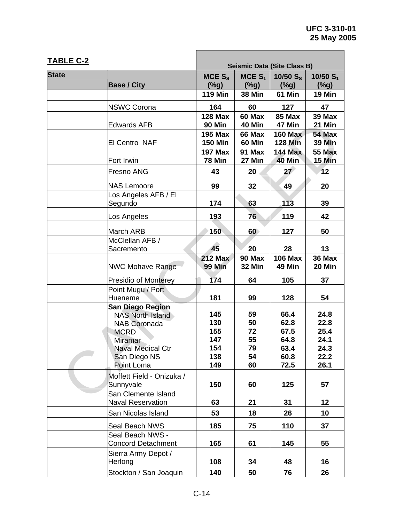$\overline{\phantom{a}}$ 

| <b>TABLE C-2</b> |                                                    | <b>Seismic Data (Site Class B)</b> |                         |                                  |                                |  |  |
|------------------|----------------------------------------------------|------------------------------------|-------------------------|----------------------------------|--------------------------------|--|--|
| <b>State</b>     | <b>Base / City</b>                                 | MCE $S_{\rm s}$<br>$(\%g)$         | MCE $S_1$<br>$(\%g)$    | 10/50 $S_s$<br>(%g)              | $10/50 S_1$<br>(%g)            |  |  |
|                  |                                                    | <b>119 Min</b>                     | <b>38 Min</b>           | 61 Min                           | 19 Min                         |  |  |
|                  | <b>NSWC Corona</b>                                 | 164                                | 60                      | 127                              | 47                             |  |  |
|                  |                                                    | <b>128 Max</b>                     | 60 Max                  | 85 Max                           | 39 Max                         |  |  |
|                  | <b>Edwards AFB</b>                                 | <b>90 Min</b>                      | <b>40 Min</b>           | 47 Min                           | <b>21 Min</b>                  |  |  |
|                  | <b>El Centro NAF</b>                               | <b>195 Max</b><br><b>150 Min</b>   | 66 Max<br><b>60 Min</b> | <b>160 Max</b><br><b>128 Min</b> | <b>54 Max</b><br><b>39 Min</b> |  |  |
|                  |                                                    | <b>197 Max</b>                     | 91 Max                  | <b>144 Max</b>                   | <b>55 Max</b>                  |  |  |
|                  | Fort Irwin                                         | <b>78 Min</b>                      | 27 Min                  | <b>40 Min</b>                    | <b>15 Min</b>                  |  |  |
|                  | <b>Fresno ANG</b>                                  | 43                                 | 20                      | 27                               | 12                             |  |  |
|                  | <b>NAS Lemoore</b>                                 | 99                                 | 32                      | 49                               | 20                             |  |  |
|                  | Los Angeles AFB / El                               |                                    |                         |                                  |                                |  |  |
|                  | Segundo                                            | 174                                | 63                      | 113                              | 39                             |  |  |
|                  | Los Angeles                                        | 193                                | 76                      | 119                              | 42                             |  |  |
|                  | March ARB                                          | 150                                | 60                      | 127                              | 50                             |  |  |
|                  | McClellan AFB /                                    |                                    |                         |                                  |                                |  |  |
|                  | Sacremento                                         | 45                                 | 20                      | 28                               | 13                             |  |  |
|                  |                                                    | <b>212 Max</b>                     | 90 Max                  | <b>106 Max</b>                   | <b>36 Max</b>                  |  |  |
|                  | <b>NWC Mohave Range</b>                            | <b>99 Min</b>                      | <b>32 Min</b>           | <b>49 Min</b>                    | 20 Min                         |  |  |
|                  | Presidio of Monterey                               | 174                                | 64                      | 105                              | 37                             |  |  |
|                  | Point Mugu / Port                                  |                                    |                         |                                  |                                |  |  |
|                  | <b>Hueneme</b>                                     | 181                                | 99                      | 128                              | 54                             |  |  |
|                  | <b>San Diego Region</b><br><b>NAS North Island</b> | 145                                | 59                      | 66.4                             | 24.8                           |  |  |
|                  | <b>NAB Coronada</b>                                | 130                                | 50                      | 62.8                             | 22.8                           |  |  |
|                  | <b>MCRD</b>                                        | 155                                | 72                      | 67.5                             | 25.4                           |  |  |
|                  | <b>Miramar</b>                                     | 147                                | 55                      | 64.8                             | 24.1                           |  |  |
|                  | <b>Naval Medical Ctr</b>                           | 154                                | 79                      | 63.4                             | 24.3                           |  |  |
|                  | San Diego NS                                       | 138                                | 54                      | 60.8                             | 22.2                           |  |  |
|                  | Point Loma                                         | 149                                | 60                      | 72.5                             | 26.1                           |  |  |
|                  | Moffett Field - Onizuka /                          |                                    |                         |                                  |                                |  |  |
|                  | Sunnyvale                                          | 150                                | 60                      | 125                              | 57                             |  |  |
|                  | San Clemente Island<br><b>Naval Reservation</b>    | 63                                 | 21                      | 31                               | 12                             |  |  |
|                  |                                                    |                                    |                         |                                  |                                |  |  |
|                  | San Nicolas Island                                 | 53                                 | 18                      | 26                               | 10                             |  |  |
|                  | Seal Beach NWS                                     | 185                                | 75                      | 110                              | 37                             |  |  |
|                  | Seal Beach NWS -                                   | 165                                | 61                      | 145                              | 55                             |  |  |
|                  | <b>Concord Detachment</b>                          |                                    |                         |                                  |                                |  |  |
|                  | Sierra Army Depot /<br>Herlong                     | 108                                | 34                      | 48                               | 16                             |  |  |
|                  | Stockton / San Joaquin                             | 140                                | 50                      | 76                               | 26                             |  |  |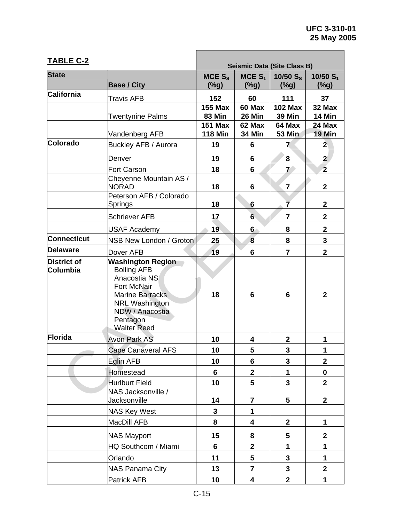$\overline{\phantom{0}}$ 

| <b>TABLE C-2</b>               |                                                                                                                                                                                       | <b>Seismic Data (Site Class B)</b> |                               |                                 |                         |  |
|--------------------------------|---------------------------------------------------------------------------------------------------------------------------------------------------------------------------------------|------------------------------------|-------------------------------|---------------------------------|-------------------------|--|
| <b>State</b>                   | <b>Base / City</b>                                                                                                                                                                    | MCE S <sub>s</sub><br>(%g)         | MCE S <sub>1</sub><br>$(\%g)$ | 10/50 $S_s$<br>$(\%g)$          | $10/50 S_1$<br>$(\%g)$  |  |
| <b>California</b>              | Travis AFB                                                                                                                                                                            | 152                                | 60                            | 111                             | 37                      |  |
|                                | <b>Twentynine Palms</b>                                                                                                                                                               | <b>155 Max</b><br><b>83 Min</b>    | 60 Max<br><b>26 Min</b>       | <b>102 Max</b><br><b>39 Min</b> | 32 Max<br><b>14 Min</b> |  |
|                                | Vandenberg AFB                                                                                                                                                                        | <b>151 Max</b><br><b>118 Min</b>   | 62 Max<br><b>34 Min</b>       | 64 Max<br><b>53 Min</b>         | 24 Max<br><b>19 Min</b> |  |
| Colorado                       | <b>Buckley AFB / Aurora</b>                                                                                                                                                           | 19                                 | 6                             | 7                               | $\overline{2}$          |  |
|                                | Denver                                                                                                                                                                                | 19                                 | 6                             | 8                               | $\overline{2}$          |  |
|                                | <b>Fort Carson</b>                                                                                                                                                                    | 18                                 | 6                             | $\mathbf{7}$                    | $\overline{2}$          |  |
|                                | Cheyenne Mountain AS /<br><b>NORAD</b>                                                                                                                                                | 18                                 | 6                             | $\overline{7}$                  | $\mathbf 2$             |  |
|                                | Peterson AFB / Colorado<br>Springs                                                                                                                                                    | 18                                 | 6                             | 7                               | $\mathbf{2}$            |  |
|                                | <b>Schriever AFB</b>                                                                                                                                                                  | 17                                 | 6 <sup>1</sup>                | $\overline{7}$                  | $\mathbf 2$             |  |
|                                | <b>USAF Academy</b>                                                                                                                                                                   | 19                                 | $6\phantom{1}$                | 8                               | $\mathbf 2$             |  |
| <b>Connecticut</b>             | <b>NSB New London / Groton</b>                                                                                                                                                        | 25                                 | 8                             | 8                               | 3                       |  |
| <b>Delaware</b>                | Dover AFB                                                                                                                                                                             | 19                                 | 6                             | $\overline{7}$                  | $\mathbf{2}$            |  |
| <b>District of</b><br>Columbia | <b>Washington Region</b><br><b>Bolling AFB</b><br>Anacostia NS<br>Fort McNair<br><b>Marine Barracks</b><br><b>NRL Washington</b><br>NDW / Anacostia<br>Pentagon<br><b>Walter Reed</b> | 18                                 | 6                             | $6\phantom{1}6$                 | $\overline{2}$          |  |
| Florida                        | <b>Avon Park AS</b>                                                                                                                                                                   | 10                                 | 4                             | $\mathbf 2$                     | 1                       |  |
|                                | Cape Canaveral AFS                                                                                                                                                                    | 10                                 | 5                             | 3                               | 1                       |  |
|                                | Eglin AFB                                                                                                                                                                             | 10                                 | $6\phantom{1}$                | 3                               | $\overline{2}$          |  |
|                                | Homestead                                                                                                                                                                             | 6                                  | $\overline{2}$                | $\mathbf{1}$                    | $\mathbf 0$             |  |
|                                | Hurlburt Field                                                                                                                                                                        | 10                                 | 5                             | $\mathbf{3}$                    | $\overline{2}$          |  |
|                                | NAS Jacksonville /<br>Jacksonville                                                                                                                                                    | 14                                 | $\overline{\mathbf{7}}$       | 5                               | $\mathbf{2}$            |  |
|                                | <b>NAS Key West</b>                                                                                                                                                                   | 3                                  | 1                             |                                 |                         |  |
|                                | MacDill AFB                                                                                                                                                                           | 8                                  | 4                             | $\mathbf{2}$                    | 1                       |  |
|                                | <b>NAS Mayport</b>                                                                                                                                                                    | 15                                 | 8                             | 5                               | $\mathbf{2}$            |  |
|                                | HQ Southcom / Miami                                                                                                                                                                   | 6                                  | $\mathbf{2}$                  | 1                               | 1                       |  |
|                                | Orlando                                                                                                                                                                               | 11                                 | 5                             | 3                               | 1                       |  |
|                                | <b>NAS Panama City</b>                                                                                                                                                                | 13                                 | $\overline{7}$                | 3                               | $\mathbf{2}$            |  |
|                                | <b>Patrick AFB</b>                                                                                                                                                                    | 10                                 | 4                             | $\overline{2}$                  | 1                       |  |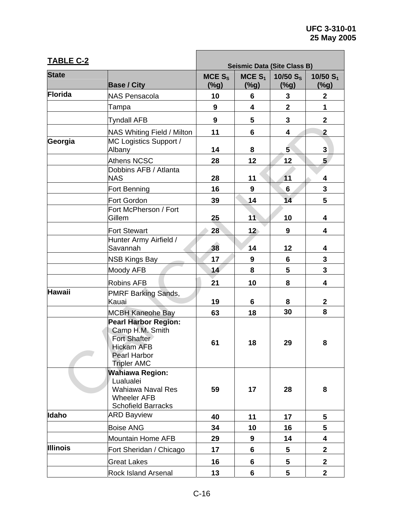$\overline{\phantom{a}}$ 

| <b>TABLE C-2</b> |                                                                                                                                  | <b>Seismic Data (Site Class B)</b> |                               |                        |                         |  |  |
|------------------|----------------------------------------------------------------------------------------------------------------------------------|------------------------------------|-------------------------------|------------------------|-------------------------|--|--|
| <b>State</b>     | <b>Base / City</b>                                                                                                               | $MCE$ S <sub>s</sub><br>(%g)       | MCE S <sub>1</sub><br>$(\%g)$ | 10/50 $S_s$<br>$(\%g)$ | 10/50 $S_1$<br>$(\%g)$  |  |  |
| <b>Florida</b>   | <b>NAS Pensacola</b>                                                                                                             | 10                                 | 6                             | 3                      | $\mathbf 2$             |  |  |
|                  | Tampa                                                                                                                            | 9                                  | 4                             | $\overline{2}$         | $\mathbf{1}$            |  |  |
|                  | <b>Tyndall AFB</b>                                                                                                               | 9                                  | 5                             | 3                      | $\mathbf 2$             |  |  |
|                  | NAS Whiting Field / Milton                                                                                                       | 11                                 | 6                             | 4                      | $\overline{2}$          |  |  |
| Georgia          | MC Logistics Support /<br>Albany                                                                                                 | 14                                 | 8                             | $5^{\circ}$            | $\mathbf{3}$            |  |  |
|                  | <b>Athens NCSC</b>                                                                                                               | 28                                 | 12                            | 12                     | 5 <sub>1</sub>          |  |  |
|                  | Dobbins AFB / Atlanta<br><b>NAS</b>                                                                                              | 28                                 | 11                            | 11                     | 4                       |  |  |
|                  | Fort Benning                                                                                                                     | 16                                 | $\boldsymbol{9}$              | 6                      | $\mathbf{3}$            |  |  |
|                  | Fort Gordon                                                                                                                      | 39                                 | 14                            | 14                     | 5                       |  |  |
|                  | Fort McPherson / Fort<br>Gillem                                                                                                  | 25                                 | 11                            | 10                     | 4                       |  |  |
|                  | <b>Fort Stewart</b>                                                                                                              | 28                                 | 12 <sup>°</sup>               | 9                      | 4                       |  |  |
|                  | Hunter Army Airfield /<br>Savannah                                                                                               | 38                                 | 14                            | 12                     | 4                       |  |  |
|                  | <b>NSB Kings Bay</b>                                                                                                             | 17                                 | 9                             | 6                      | $\mathbf{3}$            |  |  |
|                  | Moody AFB                                                                                                                        | 14                                 | 8                             | 5                      | 3                       |  |  |
|                  | <b>Robins AFB</b>                                                                                                                | 21                                 | 10                            | 8                      | 4                       |  |  |
| Hawaii           | <b>PMRF Barking Sands,</b><br>Kauai                                                                                              | 19                                 | 6                             | 8                      | $\mathbf{2}$            |  |  |
|                  | <b>MCBH Kaneohe Bay</b>                                                                                                          | 63                                 | 18                            | 30                     | 8                       |  |  |
|                  | <b>Pearl Harbor Region:</b><br>Camp H.M. Smith<br>Fort Shafter<br><b>Hickam AFB</b><br><b>Pearl Harbor</b><br><b>Tripler AMC</b> | 61                                 | 18                            | 29                     | 8                       |  |  |
|                  | <b>Wahiawa Region:</b><br>Lualualei<br><b>Wahiawa Naval Res</b><br><b>Wheeler AFB</b><br><b>Schofield Barracks</b>               | 59                                 | 17                            | 28                     | 8                       |  |  |
| <b>Idaho</b>     | <b>ARD Bayview</b>                                                                                                               | 40                                 | 11                            | 17                     | $5\phantom{.0}$         |  |  |
|                  | <b>Boise ANG</b>                                                                                                                 | 34                                 | 10                            | 16                     | 5                       |  |  |
|                  | Mountain Home AFB                                                                                                                | 29                                 | 9                             | 14                     | $\overline{\mathbf{4}}$ |  |  |
| Illinois         | Fort Sheridan / Chicago                                                                                                          | 17                                 | 6                             | 5                      | $\mathbf{2}$            |  |  |
|                  | <b>Great Lakes</b>                                                                                                               | 16                                 | 6                             | 5                      | $\mathbf{2}$            |  |  |
|                  | <b>Rock Island Arsenal</b>                                                                                                       | 13                                 | 6                             | 5                      | $\overline{2}$          |  |  |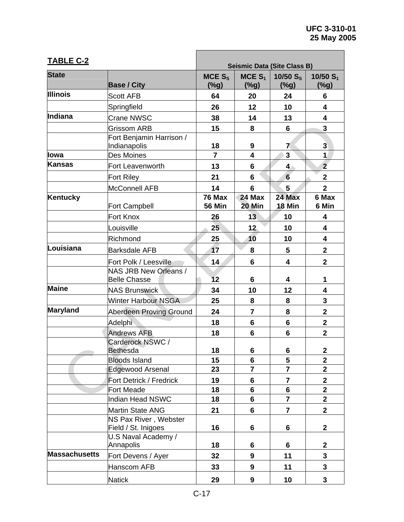$\blacksquare$ 

| <b>TABLE C-2</b>     |                                              | <b>Seismic Data (Site Class B)</b> |                               |                         |                         |  |
|----------------------|----------------------------------------------|------------------------------------|-------------------------------|-------------------------|-------------------------|--|
| <b>State</b>         | <b>Base / City</b>                           | MCE $S_{\rm s}$<br>(%g)            | MCE S <sub>1</sub><br>$(\%g)$ | 10/50 $S_s$<br>$(\%g)$  | $10/50 S_1$<br>$(\%g)$  |  |
| <b>Illinois</b>      | <b>Scott AFB</b>                             | 64                                 | 20                            | 24                      | 6                       |  |
|                      | Springfield                                  | 26                                 | 12                            | 10                      | 4                       |  |
| Indiana              | <b>Crane NWSC</b>                            | 38                                 | 14                            | 13                      | $\overline{\mathbf{4}}$ |  |
|                      | <b>Grissom ARB</b>                           | 15                                 | 8                             | $6\phantom{1}$          | 3                       |  |
|                      | Fort Benjamin Harrison /                     |                                    |                               |                         |                         |  |
|                      | Indianapolis                                 | 18                                 | 9                             | 7                       | $\overline{\mathbf{3}}$ |  |
| lowa                 | Des Moines                                   | $\overline{7}$                     | $\overline{\mathbf{4}}$       | 3                       | $\mathbf{1}$            |  |
| <b>Kansas</b>        | Fort Leavenworth                             | 13                                 | 6                             | $\overline{\mathbf{4}}$ | $\overline{2}$          |  |
|                      | Fort Riley                                   | 21                                 | 6                             | $6\overline{6}$         | $\mathbf{2}$            |  |
|                      | McConnell AFB                                | 14                                 | $6\phantom{1}$                | 5                       | $\overline{2}$          |  |
| Kentucky             | Fort Campbell                                | 76 Max<br><b>56 Min</b>            | 24 Max<br>20 Min              | 24 Max<br>18 Min        | 6 Max<br>6 Min          |  |
|                      | <b>Fort Knox</b>                             | 26                                 | 13                            | 10                      | 4                       |  |
|                      | Louisville                                   | 25                                 | 12 <sub>2</sub>               | 10                      | $\overline{\mathbf{4}}$ |  |
|                      | Richmond                                     | 25                                 | 10                            | 10                      | $\overline{\mathbf{4}}$ |  |
| Louisiana            | <b>Barksdale AFB</b>                         | 17                                 | 8                             | 5                       | $\mathbf{2}$            |  |
|                      | Fort Polk / Leesville                        | 14                                 | 6                             | 4                       | $\mathbf{2}$            |  |
|                      | NAS JRB New Orleans /<br><b>Belle Chasse</b> | 12                                 | 6                             | 4                       | 1                       |  |
| <b>Maine</b>         | <b>NAS Brunswick</b>                         | 34                                 | 10                            | 12                      | 4                       |  |
|                      | <b>Winter Harbour NSGA</b>                   | 25                                 | 8                             | 8                       | $\overline{\mathbf{3}}$ |  |
| Maryland             | Aberdeen Proving Ground                      | 24                                 | $\overline{7}$                | 8                       | $\mathbf{2}$            |  |
|                      | Adelphi                                      | 18                                 | 6                             | $6\phantom{1}$          | $\overline{2}$          |  |
|                      | <b>Andrews AFB</b>                           | 18                                 | 6                             | $6\phantom{1}$          | $\overline{2}$          |  |
|                      | Carderock NSWC /<br><b>Bethesda</b>          | 18                                 | $\bf 6$                       | 6                       | $\mathbf{2}$            |  |
|                      | <b>Bloods Island</b>                         | 15                                 | 6                             | 5                       | $\mathbf{2}$            |  |
|                      | Edgewood Arsenal                             | 23                                 | $\overline{7}$                | $\overline{7}$          | $\overline{2}$          |  |
|                      | Fort Detrick / Fredrick                      | 19                                 | 6                             | $\overline{\mathbf{7}}$ | $\mathbf{2}$            |  |
|                      | Fort Meade                                   | 18                                 | 6                             | 6                       | $\overline{2}$          |  |
|                      | <b>Indian Head NSWC</b>                      | 18                                 | $6\phantom{a}$                | $\overline{7}$          | $\overline{2}$          |  |
|                      | <b>Martin State ANG</b>                      | 21                                 | 6                             | $\overline{\mathbf{7}}$ | $\overline{2}$          |  |
|                      | NS Pax River, Webster<br>Field / St. Inigoes | 16                                 | 6                             | 6                       | $\mathbf{2}$            |  |
|                      | U.S Naval Academy /<br>Annapolis             | 18                                 | 6                             | 6                       | $\overline{2}$          |  |
| <b>Massachusetts</b> | Fort Devens / Ayer                           | 32                                 | 9                             | 11                      | 3                       |  |
|                      | Hanscom AFB                                  | 33                                 | 9                             | 11                      | $\mathbf{3}$            |  |
|                      | <b>Natick</b>                                | 29                                 | 9                             | 10                      | $\mathbf{3}$            |  |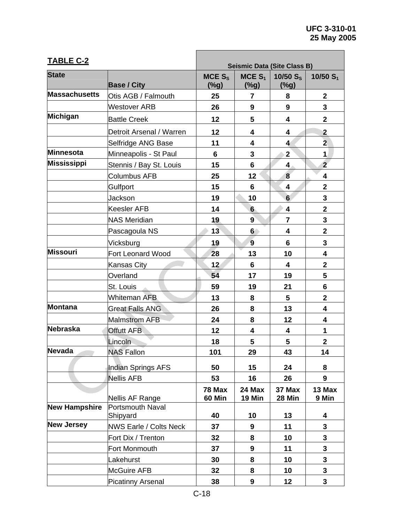$\overline{\phantom{0}}$ 

| <b>TABLE C-2</b>     |                               | <b>Seismic Data (Site Class B)</b> |                            |                         |                 |  |
|----------------------|-------------------------------|------------------------------------|----------------------------|-------------------------|-----------------|--|
| <b>State</b>         | <b>Base / City</b>            | MCE S <sub>s</sub><br>(%g)         | MCE S <sub>1</sub><br>(%g) | 10/50 $S_s$<br>$(\%g)$  | $10/50 S_1$     |  |
| <b>Massachusetts</b> | Otis AGB / Falmouth           | 25                                 | $\overline{7}$             | 8                       | $\overline{2}$  |  |
|                      | <b>Westover ARB</b>           | 26                                 | 9                          | 9                       | 3               |  |
| Michigan             | <b>Battle Creek</b>           | 12                                 | 5                          | $\overline{\mathbf{4}}$ | $\overline{2}$  |  |
|                      | Detroit Arsenal / Warren      | 12                                 | 4                          | 4                       | $\overline{2}$  |  |
|                      | Selfridge ANG Base            | 11                                 | 4                          | $\overline{\mathbf{4}}$ | $\overline{2}$  |  |
| Minnesota            | Minneapolis - St Paul         | 6                                  | 3                          | $\mathbf{2}$            | 1               |  |
| Mississippi          | Stennis / Bay St. Louis       | 15                                 | 6                          | 4                       | $\overline{2}$  |  |
|                      | <b>Columbus AFB</b>           | 25                                 | 12                         | 8                       | 4               |  |
|                      | Gulfport                      | 15                                 | $6\phantom{1}$             | 4                       | $\overline{2}$  |  |
|                      | Jackson                       | 19                                 | 10                         | $6\phantom{1}$          | 3               |  |
|                      | Keesler AFB                   | 14                                 | 6                          | 4                       | $\overline{2}$  |  |
|                      | <b>NAS Meridian</b>           | 19                                 | $\mathbf{9}$               | $\overline{7}$          | 3               |  |
|                      | Pascagoula NS                 | 13                                 | 6 <sup>1</sup>             | 4                       | $\overline{2}$  |  |
|                      | Vicksburg                     | 19                                 | 9                          | $6\phantom{1}6$         | 3               |  |
| Missouri             | <b>Fort Leonard Wood</b>      | 28                                 | 13                         | 10                      | 4               |  |
|                      | Kansas City                   | 12                                 | 6                          | 4                       | $\overline{2}$  |  |
|                      | Overland                      | 54                                 | 17                         | 19                      | 5               |  |
|                      | St. Louis                     | 59                                 | 19                         | 21                      | 6               |  |
|                      | Whiteman AFB                  | 13                                 | 8                          | 5                       | $\overline{2}$  |  |
| <b>Montana</b>       | <b>Great Falls ANG</b>        | 26                                 | 8                          | 13                      | 4               |  |
|                      | <b>Malmstrom AFB</b>          | 24                                 | 8                          | 12                      | 4               |  |
| Nebraska             | <b>Offutt AFB</b>             | 12                                 | 4                          | 4                       | 1               |  |
|                      | Lincoln                       | 18                                 | 5                          | 5                       | $\overline{2}$  |  |
| Nevada               | <b>NAS Fallon</b>             | 101                                | 29                         | 43                      | 14              |  |
|                      | Indian Springs AFS            | 50                                 | 15                         | 24                      | 8               |  |
|                      | Nellis AFB                    | 53                                 | 16                         | 26                      | 9               |  |
|                      | Nellis AF Range               | <b>78 Max</b><br><b>60 Min</b>     | 24 Max<br><b>19 Min</b>    | 37 Max<br><b>28 Min</b> | 13 Max<br>9 Min |  |
| <b>New Hampshire</b> | Portsmouth Naval<br>Shipyard  | 40                                 | 10                         | 13                      | 4               |  |
| <b>New Jersey</b>    | <b>NWS Earle / Colts Neck</b> | 37                                 | 9                          | 11                      | 3               |  |
|                      | Fort Dix / Trenton            | 32                                 | 8                          | 10                      | 3               |  |
|                      | <b>Fort Monmouth</b>          | 37                                 | 9                          | 11                      | 3               |  |
|                      | Lakehurst                     | 30                                 | 8                          | 10                      | 3               |  |
|                      | McGuire AFB                   | 32                                 | 8                          | 10                      | 3               |  |
|                      | <b>Picatinny Arsenal</b>      | 38                                 | 9                          | 12                      | 3               |  |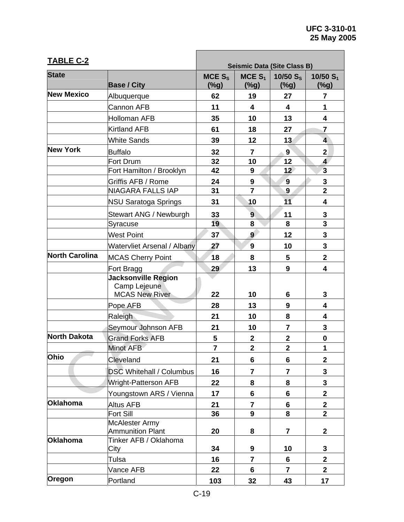| <b>TABLE C-2</b>      | <b>Seismic Data (Site Class B)</b>               |                            |                               |                         |                         |  |
|-----------------------|--------------------------------------------------|----------------------------|-------------------------------|-------------------------|-------------------------|--|
| <b>State</b>          | <b>Base / City</b>                               | MCE S <sub>s</sub><br>(%g) | MCE S <sub>1</sub><br>$(\%g)$ | 10/50 $S_s$<br>(%g)     | $10/50 S_1$<br>$(\%g)$  |  |
| <b>New Mexico</b>     | Albuquerque                                      | 62                         | 19                            | 27                      | $\overline{\mathbf{r}}$ |  |
|                       | Cannon AFB                                       | 11                         | 4                             | 4                       | 1                       |  |
|                       | <b>Holloman AFB</b>                              | 35                         | 10                            | 13                      | 4                       |  |
|                       | <b>Kirtland AFB</b>                              | 61                         | 18                            | 27                      | $\overline{7}$          |  |
|                       | <b>White Sands</b>                               | 39                         | 12                            | 13                      | $\overline{\mathbf{4}}$ |  |
| <b>New York</b>       | <b>Buffalo</b>                                   | 32                         | $\overline{7}$                | $\boldsymbol{9}$        | $\mathbf{2}$            |  |
|                       | Fort Drum                                        | 32                         | 10                            | 12                      | $\overline{\mathbf{4}}$ |  |
|                       | Fort Hamilton / Brooklyn                         | 42                         | 9                             | 12 <sup>7</sup>         | $\overline{\mathbf{3}}$ |  |
|                       | Griffis AFB / Rome                               | 24                         | 9                             | $\mathbf{9}$            | $\mathbf{3}$            |  |
|                       | <b>NIAGARA FALLS IAP</b>                         | 31                         | $\overline{7}$                | $\mathbf{9}$            | $\overline{2}$          |  |
|                       | <b>NSU Saratoga Springs</b>                      | 31                         | 10                            | 11                      | $\overline{\mathbf{4}}$ |  |
|                       | Stewart ANG / Newburgh                           | 33                         | 9                             | 11                      | $\mathbf 3$             |  |
|                       | Syracuse                                         | 19                         | 8                             | 8                       | 3                       |  |
|                       | <b>West Point</b>                                | 37                         | 9                             | 12                      | 3                       |  |
|                       | <b>Watervliet Arsenal / Albany</b>               | 27                         | $\boldsymbol{9}$              | 10                      | 3                       |  |
| <b>North Carolina</b> | <b>MCAS Cherry Point</b>                         | 18                         | 8                             | 5                       | $\mathbf{2}$            |  |
|                       | Fort Bragg                                       | 29                         | 13                            | 9                       | $\overline{\mathbf{4}}$ |  |
|                       | <b>Jacksonville Region</b><br>Camp Lejeune       |                            |                               |                         |                         |  |
|                       | <b>MCAS New River</b>                            | 22                         | 10                            | 6                       | 3                       |  |
|                       | Pope AFB                                         | 28                         | 13                            | 9                       | 4                       |  |
|                       | Raleigh                                          | 21                         | 10                            | 8                       | 4                       |  |
|                       | Seymour Johnson AFB                              | 21                         | 10                            | $\overline{7}$          | 3                       |  |
| <b>North Dakota</b>   | <b>Grand Forks AFB</b>                           | 5                          | $\mathbf{2}$                  | $\overline{2}$          | $\bf{0}$                |  |
|                       | Minot AFB                                        | $\overline{7}$             | $\mathbf{2}$                  | $\mathbf{2}$            | 1                       |  |
| <b>Ohio</b>           | Cleveland                                        | 21                         | $6\phantom{1}$                | 6                       | $\mathbf{2}$            |  |
|                       | <b>DSC Whitehall / Columbus</b>                  | 16                         | $\overline{\mathbf{7}}$       | $\overline{\mathbf{7}}$ | $\mathbf{3}$            |  |
|                       | <b>Wright-Patterson AFB</b>                      | 22                         | 8                             | 8                       | $\overline{\mathbf{3}}$ |  |
|                       | Youngstown ARS / Vienna                          | 17                         | $6\phantom{a}$                | 6                       | $\overline{2}$          |  |
| <b>Oklahoma</b>       | Altus AFB                                        | 21                         | $\overline{\mathbf{7}}$       | $6\phantom{1}$          | $\overline{2}$          |  |
|                       | <b>Fort Sill</b>                                 | 36                         | $\boldsymbol{9}$              | 8                       | $\overline{2}$          |  |
|                       | <b>McAlester Army</b><br><b>Ammunition Plant</b> | 20                         | 8                             | $\overline{\mathbf{7}}$ | $\mathbf{2}$            |  |
| <b>Oklahoma</b>       | Tinker AFB / Oklahoma<br>City                    | 34                         | 9                             | 10                      | 3                       |  |
|                       | Tulsa                                            | 16                         | $\overline{\mathbf{r}}$       | 6                       | $\mathbf{2}$            |  |
|                       | Vance AFB                                        | 22                         | 6                             | $\overline{7}$          | $\overline{2}$          |  |
| Oregon                | Portland                                         | 103                        | 32                            | 43                      | 17                      |  |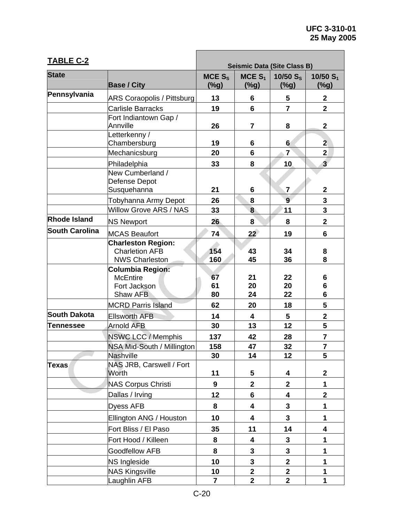| <b>TABLE C-2</b>      |                                                                        | <b>Seismic Data (Site Class B)</b> |                               |                         |                                |  |  |
|-----------------------|------------------------------------------------------------------------|------------------------------------|-------------------------------|-------------------------|--------------------------------|--|--|
| <b>State</b>          | <b>Base / City</b>                                                     | MCE S <sub>s</sub><br>(%g)         | MCE S <sub>1</sub><br>$(\%g)$ | 10/50 $S_s$<br>$(\%g)$  | $10/50 S_1$<br>( %g)           |  |  |
| Pennsylvania          | <b>ARS Coraopolis / Pittsburg</b>                                      | 13                                 | $6\phantom{1}$                | 5                       | $\overline{2}$                 |  |  |
|                       | <b>Carlisle Barracks</b>                                               | 19                                 | 6                             | $\overline{7}$          | $\mathbf{2}$                   |  |  |
|                       | Fort Indiantown Gap /<br>Annville                                      | 26                                 | $\overline{7}$                | 8                       | $\overline{2}$                 |  |  |
|                       | Letterkenny /<br>Chambersburg                                          | 19                                 | 6                             | 6                       | $\overline{\mathbf{2}}$        |  |  |
|                       | Mechanicsburg                                                          | 20                                 | $6\phantom{1}$                | $\overline{7}$          | $\overline{2}$                 |  |  |
|                       | Philadelphia                                                           | 33                                 | 8                             | 10                      | $\overline{\mathbf{3}}$        |  |  |
|                       | New Cumberland /<br>Defense Depot<br>Susquehanna                       | 21                                 | 6                             | $\overline{7}$          | $\overline{2}$                 |  |  |
|                       | Tobyhanna Army Depot                                                   | 26                                 | 8                             | 9                       | 3                              |  |  |
|                       | Willow Grove ARS / NAS                                                 | 33                                 | 8                             | 11                      | $\overline{\mathbf{3}}$        |  |  |
| <b>Rhode Island</b>   | <b>NS Newport</b>                                                      | 26                                 | 8                             | 8                       | $\mathbf 2$                    |  |  |
| <b>South Carolina</b> | <b>MCAS Beaufort</b>                                                   | 74                                 | 22                            | 19                      | 6                              |  |  |
|                       | <b>Charleston Region:</b><br><b>Charletion AFB</b>                     | 154                                | 43                            | 34                      | 8                              |  |  |
|                       | <b>NWS Charleston</b>                                                  | 160                                | 45                            | 36                      | 8                              |  |  |
|                       | <b>Columbia Region:</b><br><b>McEntire</b><br>Fort Jackson<br>Shaw AFB | 67<br>61<br>80                     | 21<br>20<br>24                | 22<br>20<br>22          | 6<br>$\bf 6$<br>$6\phantom{1}$ |  |  |
|                       | <b>MCRD Parris Island</b>                                              | 62                                 | 20                            | 18                      | 5                              |  |  |
| South Dakota          | <b>Ellsworth AFB</b>                                                   | 14                                 | $\overline{\mathbf{4}}$       | 5                       | $\mathbf{2}$                   |  |  |
| Tennessee             | <b>Arnold AFB</b>                                                      | 30                                 | 13                            | 12                      | 5                              |  |  |
|                       | NSWC LCC / Memphis                                                     | 137                                | 42                            | 28                      | $\overline{\mathbf{7}}$        |  |  |
|                       | NSA Mid-South / Millington                                             | 158                                | 47                            | 32                      | 7                              |  |  |
|                       | <b>Nashville</b>                                                       | 30                                 | 14                            | 12                      | 5                              |  |  |
| Texas                 | NAS JRB, Carswell / Fort<br><b>Worth</b>                               | 11                                 | 5                             | 4                       | $\mathbf 2$                    |  |  |
|                       | <b>NAS Corpus Christi</b>                                              | 9                                  | $\mathbf{2}$                  | $\mathbf 2$             | $\mathbf{1}$                   |  |  |
|                       | Dallas / Irving                                                        | 12                                 | 6                             | $\overline{\mathbf{4}}$ | $\overline{\mathbf{2}}$        |  |  |
|                       | Dyess AFB                                                              | 8                                  | 4                             | 3                       | 1                              |  |  |
|                       | Ellington ANG / Houston                                                | 10                                 | $\overline{\mathbf{4}}$       | $\mathbf{3}$            | $\mathbf{1}$                   |  |  |
|                       | Fort Bliss / El Paso                                                   | 35                                 | 11                            | 14                      | 4                              |  |  |
|                       | Fort Hood / Killeen                                                    | 8                                  | 4                             | 3                       | $\mathbf{1}$                   |  |  |
|                       | Goodfellow AFB                                                         | 8                                  | $\mathbf{3}$                  | $\mathbf{3}$            | 1                              |  |  |
|                       | <b>NS Ingleside</b>                                                    | 10                                 | 3                             | $\mathbf{2}$            | 1                              |  |  |
|                       | <b>NAS Kingsville</b>                                                  | 10                                 | $\overline{2}$                | $\overline{2}$          | $\mathbf{1}$                   |  |  |
|                       | Laughlin AFB                                                           | $\overline{7}$                     | $\overline{2}$                | $\overline{2}$          | 1                              |  |  |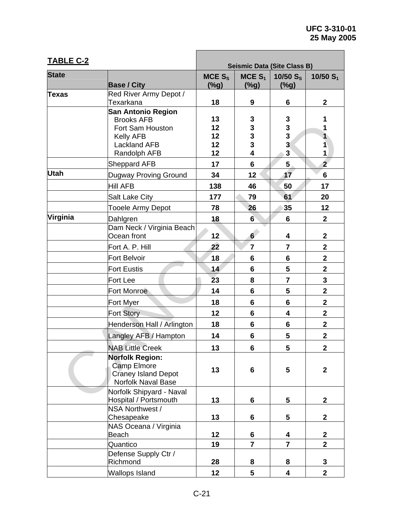$\overline{\phantom{a}}$ 

| <b>TABLE C-2</b> |                                          | <b>Seismic Data (Site Class B)</b> |                         |                               |                         |  |
|------------------|------------------------------------------|------------------------------------|-------------------------|-------------------------------|-------------------------|--|
| <b>State</b>     |                                          |                                    |                         |                               |                         |  |
|                  | <b>Base / City</b>                       | MCE S <sub>s</sub><br>( %)         | MCE $S_1$<br>( %g)      | 10/50 S <sub>s</sub><br>( %g) | 10/50 $S_1$             |  |
| <b>Texas</b>     | Red River Army Depot /                   |                                    |                         |                               |                         |  |
|                  | Texarkana                                | 18                                 | 9                       | 6                             | $\mathbf{2}$            |  |
|                  | <b>San Antonio Region</b>                |                                    |                         |                               |                         |  |
|                  | <b>Brooks AFB</b>                        | 13                                 | 3                       | 3                             | 1                       |  |
|                  | Fort Sam Houston                         | 12                                 | 3                       | 3                             | 1                       |  |
|                  | <b>Kelly AFB</b><br><b>Lackland AFB</b>  | 12<br>12                           | 3<br>3                  | 3<br>3                        |                         |  |
|                  | Randolph AFB                             | 12                                 | $\overline{\mathbf{4}}$ | 3                             | 1<br>1                  |  |
|                  | <b>Sheppard AFB</b>                      | 17                                 | 6                       | 5 <sub>1</sub>                | $\overline{2}$          |  |
| <b>Utah</b>      |                                          | 34                                 | 12                      | 17                            | 6                       |  |
|                  | Dugway Proving Ground                    |                                    |                         |                               |                         |  |
|                  | <b>Hill AFB</b>                          | 138                                | 46                      | 50                            | 17                      |  |
|                  | <b>Salt Lake City</b>                    | 177                                | 79                      | 61                            | 20                      |  |
|                  | <b>Tooele Army Depot</b>                 | 78                                 | 26                      | 35                            | 12                      |  |
| Virginia         | Dahlgren                                 | 18                                 | $6 \overline{6}$        | $6\phantom{1}6$               | $\overline{2}$          |  |
|                  | Dam Neck / Virginia Beach                |                                    |                         |                               |                         |  |
|                  | Ocean front                              | 12                                 | $6\phantom{1}$          | 4                             | $\mathbf{2}$            |  |
|                  | Fort A. P. Hill                          | 22                                 | $\overline{7}$          | $\overline{7}$                | $\mathbf{2}$            |  |
|                  | Fort Belvoir                             | 18                                 | 6                       | $6\phantom{1}6$               | $\overline{\mathbf{2}}$ |  |
|                  | <b>Fort Eustis</b>                       | 14                                 | $6\phantom{1}$          | 5                             | $\overline{\mathbf{2}}$ |  |
|                  | Fort Lee                                 | 23                                 | 8                       | $\overline{7}$                | $\mathbf{3}$            |  |
|                  | <b>Fort Monroe</b>                       | 14                                 | 6                       | 5                             | $\overline{2}$          |  |
|                  | Fort Myer                                | 18                                 | 6                       | 6                             | $\mathbf{2}$            |  |
|                  | Fort Story                               | 12                                 | 6                       | 4                             | $\mathbf 2$             |  |
|                  | Henderson Hall / Arlington               | 18                                 | 6                       | 6                             | $\overline{2}$          |  |
|                  | Langley AFB / Hampton                    | 14                                 | 6                       | 5                             | $\mathbf{2}$            |  |
|                  | <b>NAB Little Creek</b>                  | 13                                 | 6                       | 5                             | $\mathbf{2}$            |  |
|                  | <b>Norfolk Region:</b>                   |                                    |                         |                               |                         |  |
|                  | Camp Elmore                              | 13                                 | $6\phantom{1}$          | 5                             | $\mathbf{2}$            |  |
|                  | <b>Craney Island Depot</b>               |                                    |                         |                               |                         |  |
|                  | Norfolk Naval Base                       |                                    |                         |                               |                         |  |
|                  | Norfolk Shipyard - Naval                 |                                    |                         | 5                             |                         |  |
|                  | Hospital / Portsmouth<br>NSA Northwest / | 13                                 | 6                       |                               | $\overline{2}$          |  |
|                  | Chesapeake                               | 13                                 | 6                       | 5                             | $\mathbf{2}$            |  |
|                  | NAS Oceana / Virginia                    |                                    |                         |                               |                         |  |
|                  | Beach                                    | 12                                 | 6                       | 4                             | $\mathbf{2}$            |  |
|                  | Quantico                                 | 19                                 | $\overline{7}$          | $\overline{7}$                | $\overline{2}$          |  |
|                  | Defense Supply Ctr /                     |                                    |                         |                               |                         |  |
|                  | Richmond                                 | 28                                 | 8                       | 8                             | $\mathbf{3}$            |  |
|                  | Wallops Island                           | 12                                 | 5                       | 4                             | $\mathbf{2}$            |  |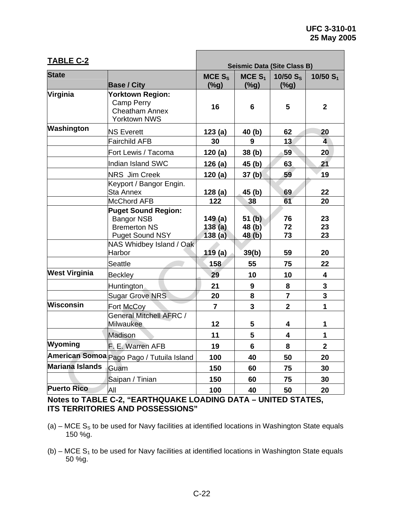|                        | <b>Seismic Data (Site Class B)</b>                                                               |                            |                                       |                     |                         |  |
|------------------------|--------------------------------------------------------------------------------------------------|----------------------------|---------------------------------------|---------------------|-------------------------|--|
| <b>State</b>           | <b>Base / City</b>                                                                               | MCE S <sub>s</sub><br>(%g) | MCE $S_1$<br>(%g)                     | 10/50 $S_s$<br>(%g) | $10/50 S_1$             |  |
| Virginia               | <b>Yorktown Region:</b><br>Camp Perry<br><b>Cheatham Annex</b><br><b>Yorktown NWS</b>            | 16                         | 6                                     | 5                   | $\mathbf{2}$            |  |
| Washington             | <b>NS Everett</b>                                                                                | 123(a)                     | 40 (b)                                | 62                  | 20                      |  |
|                        | <b>Fairchild AFB</b>                                                                             | 30                         | 9                                     | 13                  | $\overline{\mathbf{4}}$ |  |
|                        | Fort Lewis / Tacoma                                                                              | 120(a)                     | 38(b)                                 | 59                  | 20                      |  |
|                        | Indian Island SWC                                                                                | 126(a)                     | 45 (b)                                | 63                  | 21                      |  |
|                        | <b>NRS</b> Jim Creek                                                                             | 120(a)                     | 37 <sub>(b)</sub>                     | 59                  | 19                      |  |
|                        | Keyport / Bangor Engin.<br><b>Sta Annex</b>                                                      | 128(a)                     | 45 <sub>(b)</sub>                     | 69                  | 22                      |  |
|                        | <b>McChord AFB</b>                                                                               | 122                        | 38                                    | 61                  | 20                      |  |
|                        | <b>Puget Sound Region:</b><br><b>Bangor NSB</b><br><b>Bremerton NS</b><br><b>Puget Sound NSY</b> | 149(a)<br>138(a)<br>138(a) | 51 <sub>(b)</sub><br>48 (b)<br>48 (b) | 76<br>72<br>73      | 23<br>23<br>23          |  |
|                        | NAS Whidbey Island / Oak<br>Harbor                                                               | 119(a)                     | 39(b)                                 | 59                  | 20                      |  |
|                        | Seattle                                                                                          | 158                        | 55                                    | 75                  | 22                      |  |
| <b>West Virginia</b>   | Beckley                                                                                          | 29                         | 10                                    | 10                  | 4                       |  |
|                        | <b>Huntington</b>                                                                                | 21                         | 9                                     | 8                   | 3                       |  |
|                        | <b>Sugar Grove NRS</b>                                                                           | 20                         | 8                                     | $\overline{7}$      | 3                       |  |
| Wisconsin              | Fort McCoy                                                                                       | $\overline{\mathbf{7}}$    | 3                                     | $\mathbf{2}$        | $\mathbf{1}$            |  |
|                        | <b>General Mitchell AFRC /</b><br><b>Milwaukee</b>                                               | 12                         | 5                                     | 4                   | 1                       |  |
|                        | <b>Madison</b>                                                                                   | 11                         | 5                                     | 4                   | 1                       |  |
| Wyoming                | F. E. Warren AFB                                                                                 | 19                         | 6                                     | 8                   | 2                       |  |
|                        | American Somoa Pago Pago / Tutuila Island                                                        | 100                        | 40                                    | 50                  | 20                      |  |
| <b>Mariana Islands</b> | Guam                                                                                             | 150                        | 60                                    | 75                  | 30                      |  |
|                        | Saipan / Tinian                                                                                  | 150                        | 60                                    | 75                  | 30                      |  |
| <b>Puerto Rico</b>     | All                                                                                              | 100                        | 40                                    | 50                  | 20                      |  |

**Notes to TABLE C-2, "EARTHQUAKE LOADING DATA – UNITED STATES, ITS TERRITORIES AND POSSESSIONS"**

- (a) MCE  $S<sub>s</sub>$  to be used for Navy facilities at identified locations in Washington State equals 150 %g.
- (b) MCE  $S_1$  to be used for Navy facilities at identified locations in Washington State equals 50 %g.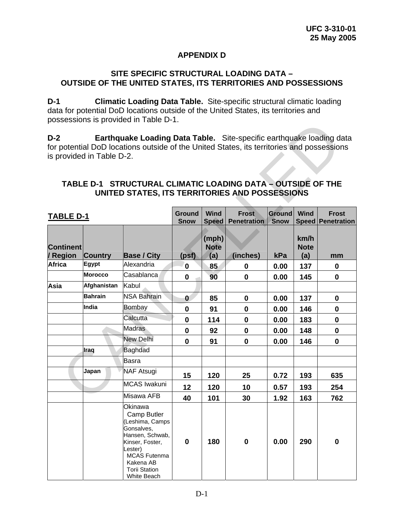## **APPENDIX D**

### **SITE SPECIFIC STRUCTURAL LOADING DATA – OUTSIDE OF THE UNITED STATES, ITS TERRITORIES AND POSSESSIONS**

**D-1 Climatic Loading Data Table.** Site-specific structural climatic loading data for potential DoD locations outside of the United States, its territories and possessions is provided in Table D-1.

|                              |                           | possessions is provided in Table D-T.                                                                                                                                                                                                   |                              |                             |                                    |                              |                            |                                          |
|------------------------------|---------------------------|-----------------------------------------------------------------------------------------------------------------------------------------------------------------------------------------------------------------------------------------|------------------------------|-----------------------------|------------------------------------|------------------------------|----------------------------|------------------------------------------|
| $D-2$                        | is provided in Table D-2. | <b>Earthquake Loading Data Table.</b> Site-specific earthquake loading data<br>for potential DoD locations outside of the United States, its territories and possessions<br>TABLE D-1 STRUCTURAL CLIMATIC LOADING DATA - OUTSIDE OF THE |                              |                             |                                    |                              |                            |                                          |
|                              |                           | UNITED STATES, ITS TERRITORIES AND POSSESSIONS                                                                                                                                                                                          |                              |                             |                                    |                              |                            |                                          |
| <b>TABLE D-1</b>             |                           |                                                                                                                                                                                                                                         | <b>Ground</b><br><b>Snow</b> | <b>Wind</b><br><b>Speed</b> | <b>Frost</b><br><b>Penetration</b> | <b>Ground</b><br><b>Snow</b> | <b>Wind</b>                | <b>Frost</b><br><b>Speed Penetration</b> |
| <b>Continent</b><br>/ Region | <b>Country</b>            | <b>Base / City</b>                                                                                                                                                                                                                      | (psf)                        | (mph)<br><b>Note</b><br>(a) | (inches)                           | kPa                          | km/h<br><b>Note</b><br>(a) | mm                                       |
| <b>Africa</b>                | <b>Egypt</b>              | Alexandria                                                                                                                                                                                                                              | 0                            | 85                          | 0                                  | 0.00                         | 137                        | 0                                        |
|                              | <b>Morocco</b>            | Casablanca                                                                                                                                                                                                                              | 0                            | 90                          | $\mathbf{0}$                       | 0.00                         | 145                        | $\mathbf 0$                              |
| Asia                         | Afghanistan               | Kabul                                                                                                                                                                                                                                   |                              |                             |                                    |                              |                            |                                          |
|                              | <b>Bahrain</b>            | <b>NSA Bahrain</b>                                                                                                                                                                                                                      | $\bf{0}$                     | 85                          | $\mathbf 0$                        | 0.00                         | 137                        | $\mathbf 0$                              |
|                              | India                     | Bombay                                                                                                                                                                                                                                  | 0                            | 91                          | $\mathbf 0$                        | 0.00                         | 146                        | $\mathbf 0$                              |
|                              |                           | Calcutta                                                                                                                                                                                                                                | $\mathbf 0$                  | 114                         | $\mathbf 0$                        | 0.00                         | 183                        | $\mathbf 0$                              |
|                              |                           | <b>Madras</b>                                                                                                                                                                                                                           | 0                            | 92                          | $\mathbf 0$                        | 0.00                         | 148                        | $\mathbf 0$                              |
|                              |                           | <b>New Delhi</b>                                                                                                                                                                                                                        | $\mathbf 0$                  | 91                          | $\mathbf 0$                        | 0.00                         | 146                        | $\mathbf 0$                              |
|                              | Iraq                      | <b>Baghdad</b>                                                                                                                                                                                                                          |                              |                             |                                    |                              |                            |                                          |
|                              |                           | Basra                                                                                                                                                                                                                                   |                              |                             |                                    |                              |                            |                                          |
|                              | Japan                     | NAF Atsugi                                                                                                                                                                                                                              | 15                           | 120                         | 25                                 | 0.72                         | 193                        | 635                                      |
|                              |                           | <b>MCAS Iwakuni</b>                                                                                                                                                                                                                     | 12                           | 120                         | 10                                 | 0.57                         | 193                        | 254                                      |
|                              |                           | Misawa AFB                                                                                                                                                                                                                              | 40                           | 101                         | 30                                 | 1.92                         | 163                        | 762                                      |
|                              |                           | Okinawa<br>Camp Butler<br>(Leshima, Camps<br>Gonsalves,<br>Hansen, Schwab,<br>Kinser, Foster,<br>Lester)<br><b>MCAS Futenma</b><br>Kakena AB<br><b>Torii Station</b><br>White Beach                                                     | 0                            | 180                         | $\mathbf 0$                        | 0.00                         | 290                        | 0                                        |

## **TABLE D-1 STRUCTURAL CLIMATIC LOADING DATA – OUTSIDE OF THE UNITED STATES, ITS TERRITORIES AND POSSESSIONS**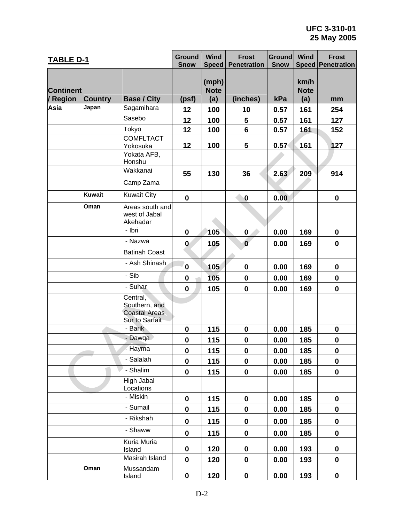|                              | <b>TABLE D-1</b> |                                                                     | <b>Ground</b><br><b>Snow</b> | <b>Wind</b><br><b>Speed</b> | <b>Frost</b><br><b>Penetration</b> | <b>Ground</b><br><b>Snow</b> | Wind<br><b>Speed</b>       | <b>Frost</b><br><b>Penetration</b> |
|------------------------------|------------------|---------------------------------------------------------------------|------------------------------|-----------------------------|------------------------------------|------------------------------|----------------------------|------------------------------------|
| <b>Continent</b><br>/ Region | <b>Country</b>   | <b>Base / City</b>                                                  | (psf)                        | (mph)<br><b>Note</b><br>(a) | (inches)                           | kPa                          | km/h<br><b>Note</b><br>(a) | mm                                 |
| Asia                         | Japan            | Sagamihara                                                          | 12                           | 100                         | 10                                 | 0.57                         | 161                        | 254                                |
|                              |                  | Sasebo                                                              | 12                           | 100                         | 5                                  | 0.57                         | 161                        | 127                                |
|                              |                  | Tokyo                                                               | 12                           | 100                         | 6                                  | 0.57                         | 161                        | 152                                |
|                              |                  | <b>COMFLTACT</b>                                                    |                              |                             |                                    |                              |                            |                                    |
|                              |                  | Yokosuka                                                            | 12                           | 100                         | 5                                  | 0.57                         | 161                        | 127                                |
|                              |                  | Yokata AFB,<br>Honshu                                               |                              |                             |                                    |                              |                            |                                    |
|                              |                  | Wakkanai                                                            | 55                           | 130                         | 36                                 | 2.63                         | 209                        | 914                                |
|                              |                  | Camp Zama                                                           |                              |                             |                                    |                              |                            |                                    |
|                              | <b>Kuwait</b>    | <b>Kuwait City</b>                                                  | $\mathbf 0$                  |                             | 0                                  | 0.00                         |                            | $\mathbf 0$                        |
|                              | Oman             | Areas south and<br>west of Jabal<br>Akehadar                        |                              |                             |                                    |                              |                            |                                    |
|                              |                  | - Ibri                                                              | $\mathbf 0$                  | 105                         | $\mathbf 0$                        | 0.00                         | 169                        | $\mathbf{0}$                       |
|                              |                  | - Nazwa                                                             | $\bf{0}$                     | 105                         | $\mathbf{0}$                       | 0.00                         | 169                        | $\mathbf 0$                        |
|                              |                  | <b>Batinah Coast</b>                                                |                              |                             |                                    |                              |                            |                                    |
|                              |                  | - Ash Shinash                                                       | $\mathbf 0$                  | 105                         | $\mathbf 0$                        | 0.00                         | 169                        | $\mathbf 0$                        |
|                              |                  | - Sib                                                               | $\mathbf 0$                  | 105                         | $\mathbf 0$                        | 0.00                         | 169                        | 0                                  |
|                              |                  | - Suhar                                                             | $\mathbf 0$                  | 105                         | $\mathbf 0$                        | 0.00                         | 169                        | $\mathbf 0$                        |
|                              |                  | Central,<br>Southern, and<br><b>Coastal Areas</b><br>Sur to Sarfait |                              |                             |                                    |                              |                            |                                    |
|                              |                  | - Barik                                                             | $\mathbf 0$                  | 115                         | $\mathbf 0$                        | 0.00                         | 185                        | $\mathbf 0$                        |
|                              |                  | - Dawqa                                                             | $\mathbf 0$                  | 115                         | $\mathbf 0$                        | 0.00                         | 185                        | $\pmb{0}$                          |
|                              |                  | - Hayma                                                             | $\mathbf 0$                  | 115                         | $\mathbf 0$                        | 0.00                         | 185                        | $\mathbf 0$                        |
|                              |                  | - Salalah                                                           | 0                            | 115                         | 0                                  | 0.00                         | 185                        | $\boldsymbol{0}$                   |
|                              |                  | - Shalim                                                            | $\mathbf 0$                  | 115                         | $\mathbf 0$                        | 0.00                         | 185                        | $\mathbf 0$                        |
|                              |                  | High Jabal                                                          |                              |                             |                                    |                              |                            |                                    |
|                              |                  | Locations                                                           |                              |                             |                                    |                              |                            |                                    |
|                              |                  | - Miskin                                                            | $\mathbf 0$                  | 115                         | $\mathbf 0$                        | 0.00                         | 185                        | $\mathbf 0$                        |
|                              |                  | - Sumail                                                            | $\mathbf 0$                  | 115                         | 0                                  | 0.00                         | 185                        | $\mathbf 0$                        |
|                              |                  | - Rikshah                                                           | $\mathbf 0$                  | 115                         | $\mathbf 0$                        | 0.00                         | 185                        | $\mathbf 0$                        |
|                              |                  | - Shaww                                                             | 0                            | 115                         | 0                                  | 0.00                         | 185                        | 0                                  |
|                              |                  | Kuria Muria                                                         |                              |                             |                                    |                              |                            |                                    |
|                              |                  | Island<br>Masirah Island                                            | 0                            | 120                         | 0                                  | 0.00                         | 193                        | 0                                  |
|                              |                  |                                                                     | $\mathbf 0$                  | 120                         | 0                                  | 0.00                         | 193                        | $\mathbf 0$                        |
|                              | Oman             | Mussandam<br>Island                                                 | 0                            | 120                         | 0                                  | 0.00                         | 193                        | $\mathbf 0$                        |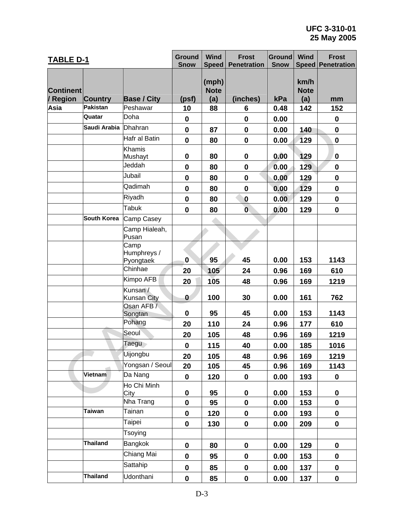|                              | <b>TABLE D-1</b>   |                                |                      | <b>Wind</b><br><b>Speed</b> | <b>Frost</b><br><b>Penetration</b> | Ground<br><b>Snow</b> | <b>Wind</b>                | <b>Frost</b><br><b>Speed Penetration</b> |
|------------------------------|--------------------|--------------------------------|----------------------|-----------------------------|------------------------------------|-----------------------|----------------------------|------------------------------------------|
| <b>Continent</b><br>/ Region | <b>Country</b>     | <b>Base / City</b>             | <b>Snow</b><br>(psf) | (mph)<br><b>Note</b><br>(a) | (inches)                           | kPa                   | km/h<br><b>Note</b><br>(a) | mm                                       |
| Asia                         | Pakistan           | Peshawar                       | 10                   | 88                          | 6                                  | 0.48                  | 142                        | 152                                      |
|                              | Quatar             | Doha                           | 0                    |                             | $\bf{0}$                           | 0.00                  |                            | $\bf{0}$                                 |
|                              | Saudi Arabia       | <b>Dhahran</b>                 | $\mathbf 0$          | 87                          | $\mathbf 0$                        | 0.00                  | 140                        | $\mathbf 0$                              |
|                              |                    | Hafr al Batin                  | $\mathbf 0$          | 80                          | $\mathbf 0$                        | 0.00                  | 129                        | $\mathbf 0$                              |
|                              |                    | Khamis<br>Mushayt              | 0                    | 80                          | $\mathbf 0$                        | 0.00                  | 129                        | $\mathbf 0$                              |
|                              |                    | Jeddah                         | $\mathbf 0$          | 80                          | $\mathbf 0$                        | 0.00                  | 129                        | 0                                        |
|                              |                    | Jubail                         | 0                    | 80                          | $\pmb{0}$                          | 0.00                  | 129                        | $\mathbf 0$                              |
|                              |                    | Qadimah                        | $\mathbf 0$          | 80                          | $\mathbf 0$                        | 0.00                  | 129                        | 0                                        |
|                              |                    | Riyadh                         | 0                    | 80                          | $\mathbf 0$                        | 0.00                  | 129                        | $\pmb{0}$                                |
|                              |                    | <b>Tabuk</b>                   | $\mathbf 0$          | 80                          | $\overline{\mathbf{0}}$            | 0.00                  | 129                        | $\mathbf 0$                              |
|                              | <b>South Korea</b> | Camp Casey                     |                      |                             |                                    |                       |                            |                                          |
|                              |                    | Camp Hialeah,<br>Pusan         |                      |                             |                                    |                       |                            |                                          |
|                              |                    | Camp<br>Humphreys /            |                      |                             |                                    |                       |                            |                                          |
|                              |                    | Pyongtaek<br>Chinhae           | 0                    | 95                          | 45                                 | 0.00                  | 153                        | 1143                                     |
|                              |                    |                                | 20                   | 105                         | 24                                 | 0.96                  | 169                        | 610                                      |
|                              |                    | Kimpo AFB                      | 20                   | 105                         | 48                                 | 0.96                  | 169                        | 1219                                     |
|                              |                    | Kunsan /<br><b>Kunsan City</b> | 0                    | 100                         | 30                                 | 0.00                  | 161                        | 762                                      |
|                              |                    | Osan AFB /<br>Songtan          | 0                    | 95                          | 45                                 | 0.00                  | 153                        | 1143                                     |
|                              |                    | Pohang                         | 20                   | 110                         | 24                                 | 0.96                  | 177                        | 610                                      |
|                              |                    | Seoul                          | 20                   | 105                         | 48                                 | 0.96                  | 169                        | 1219                                     |
|                              |                    | Taegu                          | $\boldsymbol{0}$     | 115                         | 40                                 | 0.00                  | 185                        | 1016                                     |
|                              |                    | Uijongbu                       | 20                   | 105                         | 48                                 | 0.96                  | 169                        | 1219                                     |
|                              |                    | Yongsan / Seoul                | 20                   | 105                         | 45                                 | 0.96                  | 169                        | 1143                                     |
|                              | Vietnam            | Da Nang                        | $\mathbf 0$          | 120                         | 0                                  | 0.00                  | 193                        | $\mathbf 0$                              |
|                              |                    | Ho Chi Minh<br>City            | 0                    | 95                          | 0                                  | 0.00                  | 153                        | 0                                        |
|                              |                    | Nha Trang                      | $\mathbf 0$          | 95                          | $\mathbf 0$                        | 0.00                  | 153                        | 0                                        |
|                              | <b>Taiwan</b>      | Tainan                         | $\mathbf 0$          | 120                         | $\mathbf 0$                        | 0.00                  | 193                        | $\mathbf 0$                              |
|                              |                    | Taipei                         | 0                    | 130                         | $\mathbf 0$                        | 0.00                  | 209                        | $\mathbf 0$                              |
|                              |                    | Tsoying                        |                      |                             |                                    |                       |                            |                                          |
|                              | <b>Thailand</b>    | Bangkok                        | $\mathbf 0$          | 80                          | $\mathbf 0$                        | 0.00                  | 129                        | $\mathbf 0$                              |
|                              |                    | Chiang Mai                     | 0                    | 95                          | $\mathbf 0$                        | 0.00                  | 153                        | $\mathbf 0$                              |
|                              |                    | Sattahip                       | 0                    | 85                          | 0                                  | 0.00                  | 137                        | 0                                        |
|                              | <b>Thailand</b>    | Udonthani                      | 0                    | 85                          | 0                                  | 0.00                  | 137                        | 0                                        |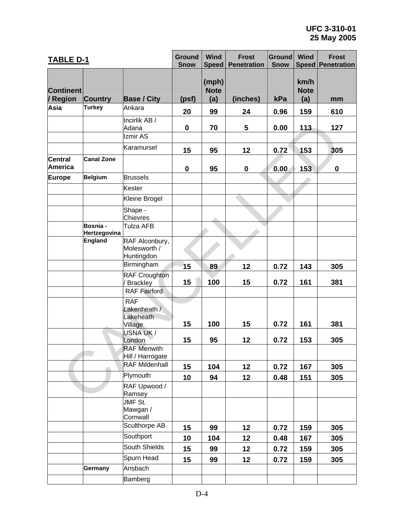|                              | <b>TABLE D-1</b>         |                                                    | <b>Ground</b><br><b>Snow</b> | <b>Wind</b><br><b>Speed</b> | <b>Frost</b><br><b>Penetration</b> | <b>Ground</b><br><b>Snow</b> | <b>Wind</b><br><b>Speed</b> | <b>Frost</b><br><b>Penetration</b> |
|------------------------------|--------------------------|----------------------------------------------------|------------------------------|-----------------------------|------------------------------------|------------------------------|-----------------------------|------------------------------------|
| <b>Continent</b><br>/ Region | <b>Country</b>           | <b>Base / City</b>                                 | (psf)                        | (mph)<br><b>Note</b><br>(a) | (inches)                           | kPa                          | km/h<br><b>Note</b><br>(a)  | mm                                 |
| Asia                         | <b>Turkey</b>            | Ankara                                             | 20                           | 99                          | 24                                 | 0.96                         | 159                         | 610                                |
|                              |                          | Incirlik AB /<br>Adana<br>Izmir AS                 | $\mathbf 0$                  | 70                          | 5                                  | 0.00                         | 113                         | 127                                |
|                              |                          | Karamursel                                         | 15                           | 95                          | 12                                 | 0.72                         | 153                         | 305                                |
| <b>Central</b><br>America    | <b>Canal Zone</b>        |                                                    | $\mathbf 0$                  | 95                          | $\mathbf 0$                        | 0.00                         | 153                         | $\mathbf 0$                        |
| <b>Europe</b>                | <b>Belgium</b>           | <b>Brussels</b>                                    |                              |                             |                                    |                              |                             |                                    |
|                              |                          | Kester                                             |                              |                             |                                    |                              |                             |                                    |
|                              |                          | Kleine Brogel                                      |                              |                             |                                    |                              |                             |                                    |
|                              |                          | Shape -<br>Chievres                                |                              |                             |                                    |                              |                             |                                    |
|                              | Bosnia -<br>Hertzegovina | Tulza AFB                                          |                              |                             |                                    |                              |                             |                                    |
|                              | <b>England</b>           | RAF Alconbury,<br>Molesworth /<br>Huntingdon       |                              |                             |                                    |                              |                             |                                    |
|                              |                          | Birmingham                                         | 15                           | 89                          | 12                                 | 0.72                         | 143                         | 305                                |
|                              |                          | <b>RAF Croughton</b><br>Brackley                   | 15                           | 100                         | 15                                 | 0.72                         | 161                         | 381                                |
|                              |                          | <b>RAF Fairford</b>                                |                              |                             |                                    |                              |                             |                                    |
|                              |                          | <b>RAF</b><br>Lakenheath /<br>Lakeheath<br>Village | 15                           | 100                         | 15                                 | 0.72                         | 161                         | 381                                |
|                              |                          | USNA UK /<br>London                                | 15                           | 95                          | 12                                 | 0.72                         | 153                         | 305                                |
|                              |                          | <b>RAF Menwith</b><br>Hill / Harrogate             |                              |                             |                                    |                              |                             |                                    |
|                              |                          | <b>RAF Mildenhall</b>                              | 15                           | 104                         | 12                                 | 0.72                         | 167                         | 305                                |
|                              |                          | Plymouth                                           | 10                           | 94                          | 12                                 | 0.48                         | 151                         | 305                                |
|                              |                          | RAF Upwood /<br>Ramsey                             |                              |                             |                                    |                              |                             |                                    |
|                              |                          | JMF St.<br>Mawgan /<br>Cornwall                    |                              |                             |                                    |                              |                             |                                    |
|                              |                          | Sculthorpe AB                                      | 15                           | 99                          | 12                                 | 0.72                         | 159                         | 305                                |
|                              |                          | Southport                                          | 10                           | 104                         | 12                                 | 0.48                         | 167                         | 305                                |
|                              |                          | South Shields                                      | 15                           | 99                          | 12                                 | 0.72                         | 159                         | 305                                |
|                              |                          | Spurn Head                                         | 15                           | 99                          | 12 <sub>2</sub>                    | 0.72                         | 159                         | 305                                |
|                              | Germany                  | Ansbach                                            |                              |                             |                                    |                              |                             |                                    |
|                              |                          | Bamberg                                            |                              |                             |                                    |                              |                             |                                    |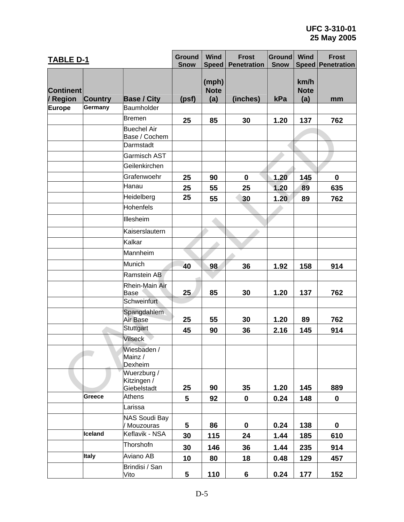|                              | <b>TABLE D-1</b> |                                           | <b>Ground</b><br><b>Snow</b> | <b>Wind</b><br><b>Speed</b> | <b>Frost</b><br><b>Penetration</b> | <b>Ground</b><br><b>Snow</b> | Wind<br><b>Speed</b>       | <b>Frost</b><br><b>Penetration</b> |
|------------------------------|------------------|-------------------------------------------|------------------------------|-----------------------------|------------------------------------|------------------------------|----------------------------|------------------------------------|
| <b>Continent</b><br>/ Region | <b>Country</b>   | <b>Base / City</b>                        | (psf)                        | (mph)<br><b>Note</b><br>(a) | (inches)                           | kPa                          | km/h<br><b>Note</b><br>(a) | mm                                 |
| Europe                       | Germany          | Baumholder                                |                              |                             |                                    |                              |                            |                                    |
|                              |                  | <b>Bremen</b>                             | 25                           | 85                          | 30                                 | 1.20                         | 137                        | 762                                |
|                              |                  | <b>Buechel Air</b><br>Base / Cochem       |                              |                             |                                    |                              |                            |                                    |
|                              |                  | Darmstadt                                 |                              |                             |                                    |                              |                            |                                    |
|                              |                  | Garmisch AST                              |                              |                             |                                    |                              |                            |                                    |
|                              |                  | Geilenkirchen                             |                              |                             |                                    |                              |                            |                                    |
|                              |                  | Grafenwoehr                               | 25                           | 90                          | $\mathbf 0$                        | 1.20                         | 145                        | $\mathbf 0$                        |
|                              |                  | Hanau                                     | 25                           | 55                          | 25                                 | 1.20                         | 89                         | 635                                |
|                              |                  | Heidelberg                                | 25                           | 55                          | 30                                 | 1.20                         | 89                         | 762                                |
|                              |                  | Hohenfels                                 |                              |                             |                                    |                              |                            |                                    |
|                              |                  | Illesheim                                 |                              |                             |                                    |                              |                            |                                    |
|                              |                  | Kaiserslautern                            |                              |                             |                                    |                              |                            |                                    |
|                              |                  | Kalkar                                    |                              |                             |                                    |                              |                            |                                    |
|                              |                  | Mannheim                                  |                              |                             |                                    |                              |                            |                                    |
|                              |                  | Munich                                    | 40                           | 98                          | 36                                 | 1.92                         | 158                        | 914                                |
|                              |                  | Ramstein AB                               |                              |                             |                                    |                              |                            |                                    |
|                              |                  | Rhein-Main Air<br>Base                    | 25                           | 85                          | 30                                 | 1.20                         | 137                        | 762                                |
|                              |                  | Schweinfurt                               |                              |                             |                                    |                              |                            |                                    |
|                              |                  | Spangdahlem<br>Air Base                   | 25                           | 55                          | 30                                 | 1.20                         | 89                         | 762                                |
|                              |                  | Stuttgart                                 | 45                           | 90                          | 36                                 | 2.16                         | 145                        | 914                                |
|                              |                  | <b>Vilseck</b>                            |                              |                             |                                    |                              |                            |                                    |
|                              |                  | Wiesbaden /<br>Mainz /<br>Dexheim         |                              |                             |                                    |                              |                            |                                    |
|                              |                  | Wuerzburg /<br>Kitzingen /<br>Giebelstadt | 25                           | 90                          | 35                                 | 1.20                         | 145                        | 889                                |
|                              | Greece           | Athens                                    | 5                            | 92                          | $\mathbf 0$                        | 0.24                         | 148                        | $\mathbf 0$                        |
|                              |                  | Larissa                                   |                              |                             |                                    |                              |                            |                                    |
|                              |                  | <b>NAS Soudi Bay</b><br>/ Mouzouras       | 5                            | 86                          | 0                                  | 0.24                         | 138                        | $\mathbf 0$                        |
|                              | Iceland          | Keflavik - NSA                            | 30                           | 115                         | 24                                 | 1.44                         | 185                        | 610                                |
|                              |                  | Thorshofn                                 | 30                           | 146                         | 36                                 | 1.44                         | 235                        | 914                                |
|                              | Italy            | Aviano AB                                 | 10                           | 80                          | 18                                 | 0.48                         | 129                        | 457                                |
|                              |                  | Brindisi / San<br>Vito                    | 5                            | 110                         | 6                                  | 0.24                         | 177                        | 152                                |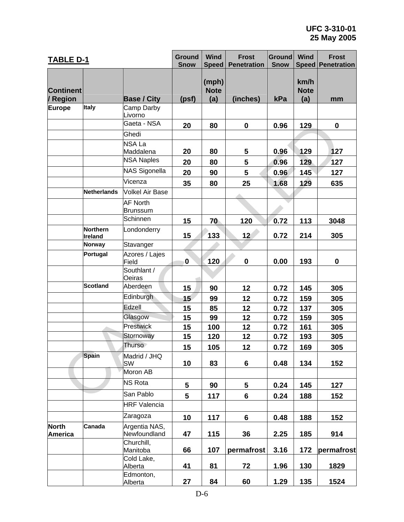| <b>TABLE D-1</b>             |                            |                                    | <b>Ground</b><br><b>Snow</b> | <b>Wind</b><br><b>Speed</b> | <b>Frost</b><br><b>Penetration</b> | <b>Ground</b><br><b>Snow</b> | <b>Wind</b>                | <b>Frost</b><br><b>Speed Penetration</b> |
|------------------------------|----------------------------|------------------------------------|------------------------------|-----------------------------|------------------------------------|------------------------------|----------------------------|------------------------------------------|
| <b>Continent</b><br>/ Region |                            | <b>Base / City</b>                 | (psf)                        | (mph)<br><b>Note</b><br>(a) | (inches)                           | kPa                          | km/h<br><b>Note</b><br>(a) | mm                                       |
| Europe                       | Italy                      | Camp Darby<br>Livorno              |                              |                             |                                    |                              |                            |                                          |
|                              |                            | Gaeta - NSA                        | 20                           | 80                          | $\mathbf 0$                        | 0.96                         | 129                        | $\mathbf 0$                              |
|                              |                            | Ghedi                              |                              |                             |                                    |                              |                            |                                          |
|                              |                            | <b>NSALa</b><br>Maddalena          | 20                           | 80                          | 5                                  | 0.96                         | 129                        | 127                                      |
|                              |                            | <b>NSA Naples</b>                  | 20                           | 80                          | 5                                  | 0.96                         | 129                        | 127                                      |
|                              |                            | <b>NAS Sigonella</b>               | 20                           | 90                          | 5                                  | 0.96                         | 145                        | 127                                      |
|                              |                            | Vicenza                            | 35                           | 80                          | 25                                 | 1.68                         | 129                        | 635                                      |
|                              | Netherlands                | <b>Volkel Air Base</b>             |                              |                             |                                    |                              |                            |                                          |
|                              |                            | <b>AF North</b><br><b>Brunssum</b> |                              |                             |                                    |                              |                            |                                          |
|                              |                            | Schinnen                           | 15                           | 70                          | 120                                | 0.72                         | 113                        | 3048                                     |
|                              | <b>Northern</b><br>Ireland | Londonderry                        | 15                           | 133                         | 12                                 | 0.72                         | 214                        | 305                                      |
|                              | <b>Norway</b>              | Stavanger                          |                              |                             |                                    |                              |                            |                                          |
|                              | Portugal                   | Azores / Lajes<br>Field            | $\mathbf{0}$                 | 120                         | 0                                  | 0.00                         | 193                        | 0                                        |
|                              |                            | Southlant /<br>Oeiras              |                              |                             |                                    |                              |                            |                                          |
|                              | <b>Scotland</b>            | Aberdeen                           | 15                           | 90                          | 12                                 | 0.72                         | 145                        | 305                                      |
|                              |                            | Edinburgh                          | 15                           | 99                          | 12                                 | 0.72                         | 159                        | 305                                      |
|                              |                            | Edzell                             | 15                           | 85                          | 12                                 | 0.72                         | 137                        | 305                                      |
|                              |                            | Glasgow                            | 15                           | 99                          | 12                                 | 0.72                         | 159                        | 305                                      |
|                              |                            | Prestwick                          | 15                           | 100                         | 12                                 | 0.72                         | 161                        | 305                                      |
|                              |                            | Stornoway                          | 15                           | 120                         | 12                                 | 0.72                         | 193                        | 305                                      |
|                              |                            | Thurso                             | 15                           | 105                         | 12                                 | 0.72                         | 169                        | 305                                      |
|                              | <b>Spain</b>               | Madrid / JHQ<br>SW                 | 10                           | 83                          | $6\phantom{a}$                     | 0.48                         | 134                        | 152                                      |
|                              |                            | Moron AB                           |                              |                             |                                    |                              |                            |                                          |
|                              |                            | <b>NS Rota</b>                     | 5                            | 90                          | $5\phantom{.0}$                    | 0.24                         | 145                        | 127                                      |
|                              |                            | San Pablo                          | 5                            | 117                         | 6                                  | 0.24                         | 188                        | 152                                      |
|                              |                            | <b>HRF Valencia</b>                |                              |                             |                                    |                              |                            |                                          |
|                              |                            | Zaragoza                           | 10                           | 117                         | 6                                  | 0.48                         | 188                        | 152                                      |
| <b>North</b><br>America      | Canada                     | Argentia NAS,<br>Newfoundland      | 47                           | 115                         | 36                                 | 2.25                         | 185                        | 914                                      |
|                              |                            | Churchill,<br>Manitoba             | 66                           | 107                         | permafrost                         | 3.16                         | 172                        | permafrost                               |
|                              |                            | Cold Lake,<br>Alberta              | 41                           | 81                          | 72                                 | 1.96                         | 130                        | 1829                                     |
|                              |                            | Edmonton,<br>Alberta               | 27                           | 84                          | 60                                 | 1.29                         | 135                        | 1524                                     |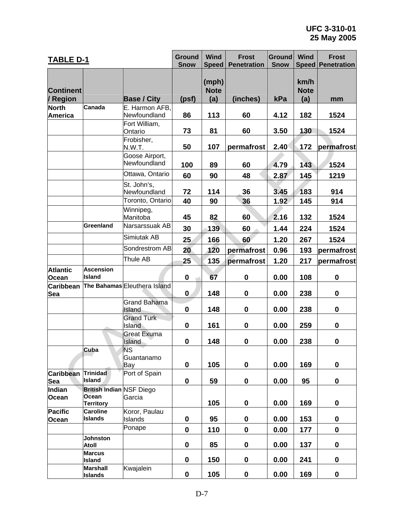| <b>TABLE D-1</b>               |                                                              |                                | <b>Ground</b><br><b>Snow</b> | <b>Wind</b><br><b>Speed</b> | <b>Frost</b><br><b>Penetration</b> | <b>Ground</b><br><b>Snow</b> | <b>Wind</b><br><b>Speed</b> | <b>Frost</b><br>Penetration |
|--------------------------------|--------------------------------------------------------------|--------------------------------|------------------------------|-----------------------------|------------------------------------|------------------------------|-----------------------------|-----------------------------|
| <b>Continent</b><br>/ Region   |                                                              | <b>Base / City</b>             | (psf)                        | (mph)<br><b>Note</b><br>(a) | (inches)                           | kPa                          | km/h<br><b>Note</b><br>(a)  | mm                          |
| <b>North</b><br>America        | Canada                                                       | E. Harmon AFB,<br>Newfoundland | 86                           | 113                         | 60                                 | 4.12                         | 182                         | 1524                        |
|                                |                                                              | Fort William,<br>Ontario       | 73                           | 81                          | 60                                 | 3.50                         | 130                         | 1524                        |
|                                |                                                              | Frobisher,<br><b>N.W.T.</b>    | 50                           | 107                         | permafrost                         | 2.40                         | 172                         | permafrost                  |
|                                |                                                              | Goose Airport,<br>Newfoundland | 100                          | 89                          | 60                                 | 4.79                         | 143                         | 1524                        |
|                                |                                                              | Ottawa, Ontario                | 60                           | 90                          | 48                                 | 2.87                         | 145                         | 1219                        |
|                                |                                                              | St. John's,<br>Newfoundland    | 72                           | 114                         | 36                                 | 3.45                         | 183                         | 914                         |
|                                |                                                              | Toronto, Ontario               | 40                           | 90                          | 36                                 | 1.92                         | 145                         | 914                         |
|                                |                                                              | Winnipeg,<br>Manitoba          | 45                           | 82                          | 60                                 | 2.16                         | 132                         | 1524                        |
|                                | Greenland                                                    | Narsarssuak AB                 | 30                           | 139                         | 60                                 | 1.44                         | 224                         | 1524                        |
|                                |                                                              | Simiutak AB                    | 25                           | 166                         | 60                                 | 1.20                         | 267                         | 1524                        |
|                                |                                                              | Sondrestrom AB                 | 20                           | 120                         | permafrost                         | 0.96                         | 193                         | permafrost                  |
|                                |                                                              | Thule AB                       | 25<br>135                    |                             | permafrost                         | 1.20                         | 217                         | permafrost                  |
| <b>Atlantic</b><br>Ocean       | <b>Ascension</b><br><b>Island</b>                            |                                | 0                            | 67                          | 0                                  | 0.00                         | 108                         | 0                           |
| <b>Caribbean</b><br>Sea        |                                                              | The Bahamas Eleuthera Island   | $\mathbf{0}$                 | 148                         | $\mathbf 0$                        | 0.00                         | 238                         | 0                           |
|                                |                                                              | <b>Grand Bahama</b><br>Island  | $\mathbf 0$                  | 148                         | $\mathbf 0$                        | 0.00                         | 238                         | 0                           |
|                                |                                                              | <b>Grand Turk</b><br>Island    | 0                            | 161                         | 0                                  | 0.00                         | 259                         | 0                           |
|                                |                                                              | <b>Great Exuma</b><br>Island   | $\mathbf 0$                  | 148                         | $\mathbf 0$                        | 0.00                         | 238                         | 0                           |
|                                | Cuba                                                         | <b>NS</b><br>Guantanamo<br>Bay | 0                            | 105                         | 0                                  | 0.00                         | 169                         | 0                           |
| <b>Caribbean</b><br><b>Sea</b> | <b>Trinidad</b><br><b>Island</b>                             | Port of Spain                  | $\boldsymbol{0}$             | 59                          | 0                                  | 0.00                         | 95                          | 0                           |
| Indian<br>Ocean                | <b>British Indian NSF Diego</b><br>Ocean<br><b>Territory</b> | Garcia                         |                              | 105                         | $\mathbf 0$                        | 0.00                         | 169                         | 0                           |
| Pacific<br>Ocean               | <b>Caroline</b><br><b>Islands</b>                            | Koror, Paulau<br>Islands       | 0                            | 95                          | 0                                  | 0.00                         | 153                         | 0                           |
|                                |                                                              | Ponape                         | $\mathbf 0$                  | 110                         | $\mathbf 0$                        | 0.00                         | 177                         | 0                           |
|                                | Johnston<br><b>Atoll</b>                                     |                                | $\mathbf 0$                  | 85                          | 0                                  | 0.00                         | 137                         | 0                           |
|                                | <b>Marcus</b><br><b>Island</b>                               |                                | 0                            | 150                         | 0                                  | 0.00                         | 241                         | 0                           |
|                                | <b>Marshall</b><br><b>Islands</b>                            | Kwajalein                      | 0                            | 105                         | 0                                  | 0.00                         | 169                         | 0                           |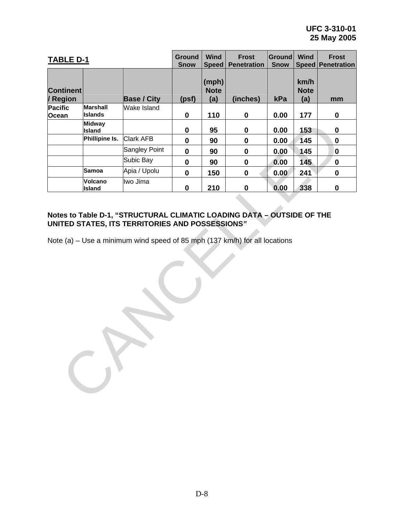| <b>TABLE D-1</b>             |                                   |                                                                            | <b>Ground</b><br><b>Snow</b> | <b>Wind</b><br><b>Speed</b> | <b>Frost</b><br><b>Penetration</b> | <b>Ground</b><br><b>Snow</b> | <b>Wind</b><br><b>Speed</b> | <b>Frost</b><br><b>Penetration</b> |  |  |
|------------------------------|-----------------------------------|----------------------------------------------------------------------------|------------------------------|-----------------------------|------------------------------------|------------------------------|-----------------------------|------------------------------------|--|--|
| <b>Continent</b><br>/ Region |                                   | <b>Base / City</b>                                                         | (psf)                        | (mph)<br><b>Note</b><br>(a) | (inches)                           | kPa                          | km/h<br><b>Note</b><br>(a)  | mm                                 |  |  |
| Pacific<br>Ocean             | <b>Marshall</b><br><b>Islands</b> | Wake Island                                                                | $\mathbf 0$                  | 110                         | 0                                  | 0.00                         | 177                         | 0                                  |  |  |
|                              | <b>Midway</b><br><b>Island</b>    |                                                                            | $\bf{0}$                     | 95                          | 0                                  | 0.00                         | 153                         | $\bf{0}$                           |  |  |
|                              | Phillipine Is.                    | <b>Clark AFB</b>                                                           | $\mathbf 0$                  | 90                          | 0                                  | 0.00                         | 145                         | $\pmb{0}$                          |  |  |
|                              |                                   | <b>Sangley Point</b>                                                       | $\mathbf 0$                  | 90                          | $\mathbf 0$                        | 0.00                         | 145                         | 0                                  |  |  |
|                              |                                   | Subic Bay                                                                  | $\mathbf 0$                  | 90                          | $\mathbf 0$                        | 0.00                         | 145                         | $\mathbf 0$                        |  |  |
|                              | Samoa                             | Apia / Upolu                                                               | $\mathbf 0$                  | 150                         | $\bf{0}$                           | 0.00                         | 241                         | 0                                  |  |  |
|                              | <b>Volcano</b><br><b>Island</b>   | Iwo Jima                                                                   | $\mathbf 0$                  | 210                         | 0                                  | 0.00                         | 338                         | $\mathbf 0$                        |  |  |
|                              |                                   | Note (a) – Use a minimum wind speed of 85 mph (137 km/h) for all locations |                              |                             |                                    |                              |                             |                                    |  |  |
|                              |                                   |                                                                            |                              |                             |                                    |                              |                             |                                    |  |  |

#### **Notes to Table D-1, "STRUCTURAL CLIMATIC LOADING DATA – OUTSIDE OF THE UNITED STATES, ITS TERRITORIES AND POSSESSIONS***"*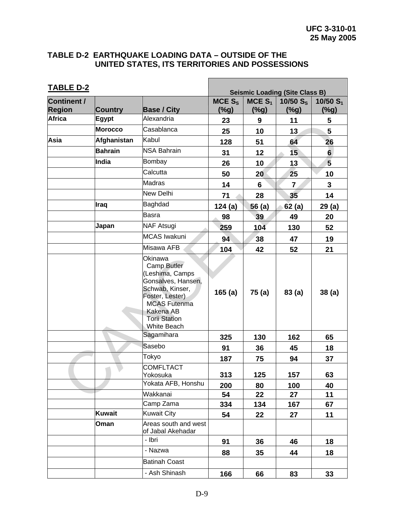## **TABLE D-2 EARTHQUAKE LOADING DATA – OUTSIDE OF THE UNITED STATES, ITS TERRITORIES AND POSSESSIONS**

| <b>TABLE D-2</b>   |                |                                                                                                                                                                              | <b>Seismic Loading (Site Class B)</b> |                   |                |                |  |
|--------------------|----------------|------------------------------------------------------------------------------------------------------------------------------------------------------------------------------|---------------------------------------|-------------------|----------------|----------------|--|
| <b>Continent /</b> |                |                                                                                                                                                                              | $MCE$ S <sub>s</sub>                  | MCES <sub>1</sub> | 10/50 $S_s$    | 10/50 $S_1$    |  |
| <b>Region</b>      | <b>Country</b> | <b>Base / City</b>                                                                                                                                                           | (%g)                                  | $(\%g)$           | $(\%g)$        | $(\%g)$        |  |
| <b>Africa</b>      | <b>Egypt</b>   | Alexandria                                                                                                                                                                   | 23                                    | 9                 | 11             | 5              |  |
|                    | <b>Morocco</b> | Casablanca                                                                                                                                                                   | 25                                    | 10                | 13             | 5              |  |
| Asia               | Afghanistan    | Kabul                                                                                                                                                                        | 128                                   | 51                | 64             | 26             |  |
|                    | <b>Bahrain</b> | <b>NSA Bahrain</b>                                                                                                                                                           | 31                                    | 12                | 15             | $6\phantom{1}$ |  |
|                    | India          | Bombay                                                                                                                                                                       | 26                                    | 10                | 13             | 5              |  |
|                    |                | Calcutta                                                                                                                                                                     | 50                                    | 20                | 25             | 10             |  |
|                    |                | Madras                                                                                                                                                                       | 14                                    | 6                 | $\overline{7}$ | 3              |  |
|                    |                | New Delhi                                                                                                                                                                    | 71                                    | 28                | 35             | 14             |  |
|                    | Iraq           | Baghdad                                                                                                                                                                      | 124(a)                                | 56(a)             | 62(a)          | 29(a)          |  |
|                    |                | Basra                                                                                                                                                                        | 98                                    | 39                | 49             | 20             |  |
|                    | Japan          | <b>NAF Atsugi</b>                                                                                                                                                            | 259                                   | 104               | 130            | 52             |  |
|                    |                | <b>MCAS Iwakuni</b>                                                                                                                                                          | 94                                    | 38                | 47             | 19             |  |
|                    |                | Misawa AFB                                                                                                                                                                   | 104                                   | 42                | 52             | 21             |  |
|                    |                | Camp Butler<br>(Leshima, Camps<br>Gonsalves, Hansen,<br>Schwab, Kinser,<br>Foster, Lester)<br><b>MCAS</b> Futenma<br>Kakena AB<br><b>Torii Station</b><br><b>White Beach</b> | 165(a)                                | 75 (a)            | 83(a)          | 38(a)          |  |
|                    |                | Sagamihara                                                                                                                                                                   | 325                                   | 130               | 162            | 65             |  |
|                    |                | Sasebo                                                                                                                                                                       | 91                                    | 36                | 45             | 18             |  |
|                    |                | Tokyo                                                                                                                                                                        | 187                                   | 75                | 94             | 37             |  |
|                    |                | <b>COMFLTACT</b><br>Yokosuka<br>Yokata AFB, Honshu                                                                                                                           | 313<br>200                            | 125<br>80         | 157<br>100     | 63<br>40       |  |
|                    |                | Wakkanai                                                                                                                                                                     | 54                                    | 22                | 27             | 11             |  |
|                    |                | Camp Zama                                                                                                                                                                    | 334                                   | 134               | 167            | 67             |  |
|                    | <b>Kuwait</b>  | <b>Kuwait City</b>                                                                                                                                                           | 54                                    | 22                | 27             | 11             |  |
|                    | Oman           | Areas south and west<br>of Jabal Akehadar                                                                                                                                    |                                       |                   |                |                |  |
|                    |                | - Ibri                                                                                                                                                                       | 91                                    | 36                | 46             | 18             |  |
|                    |                | - Nazwa                                                                                                                                                                      | 88                                    | 35                | 44             | 18             |  |
|                    |                | <b>Batinah Coast</b>                                                                                                                                                         |                                       |                   |                |                |  |
|                    |                | - Ash Shinash                                                                                                                                                                | 166                                   | 66                | 83             | 33             |  |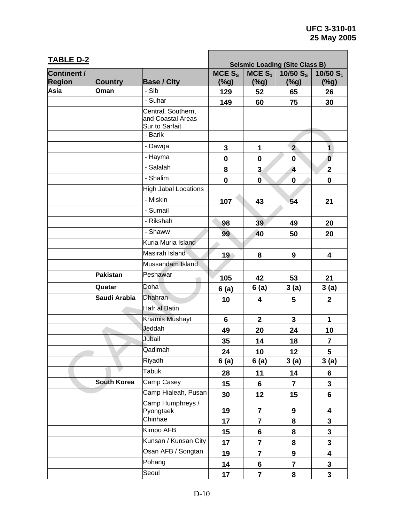$\overline{\phantom{a}}$ 

| <b>TABLE D-2</b>                    |                    |                                                           | <b>Seismic Loading (Site Class B)</b> |                         |                        |                         |  |
|-------------------------------------|--------------------|-----------------------------------------------------------|---------------------------------------|-------------------------|------------------------|-------------------------|--|
| <b>Continent /</b><br><b>Region</b> | <b>Country</b>     | <b>Base / City</b>                                        | MCE S <sub>s</sub><br>$(\%g)$         | MCE $S_1$<br>$(\%g)$    | 10/50 $S_s$<br>$(\%g)$ | 10/50 $S_1$<br>(%g)     |  |
| Asia                                | Oman               | - Sib                                                     | 129                                   | 52                      | 65                     | 26                      |  |
|                                     |                    | - Suhar                                                   | 149                                   | 60                      | 75                     | 30                      |  |
|                                     |                    | Central, Southern,<br>and Coastal Areas<br>Sur to Sarfait |                                       |                         |                        |                         |  |
|                                     |                    | - Barik                                                   |                                       |                         |                        |                         |  |
|                                     |                    | - Dawqa                                                   | 3                                     | $\mathbf{1}$            | $\overline{2}$         | $\overline{1}$          |  |
|                                     |                    | - Hayma                                                   | $\mathbf 0$                           | $\mathbf 0$             | $\mathbf 0$            | $\mathbf 0$             |  |
|                                     |                    | - Salalah                                                 | 8                                     | $\overline{\mathbf{3}}$ | $\overline{4}$         | $\mathbf{2}$            |  |
|                                     |                    | - Shalim                                                  | $\mathbf 0$                           | $\mathbf{0}$            | $\mathbf 0$            | $\mathbf 0$             |  |
|                                     |                    | <b>High Jabal Locations</b>                               |                                       |                         |                        |                         |  |
|                                     |                    | - Miskin                                                  | 107                                   | 43                      | 54                     | 21                      |  |
|                                     |                    | - Sumail                                                  |                                       |                         |                        |                         |  |
|                                     |                    | - Rikshah                                                 | 98                                    | 39                      | 49                     | 20                      |  |
|                                     |                    | - Shaww                                                   | 99                                    | 40                      | 50                     | 20                      |  |
|                                     |                    | Kuria Muria Island                                        |                                       |                         |                        |                         |  |
|                                     |                    | Masirah Island                                            | 19                                    | 8                       | 9                      | 4                       |  |
|                                     |                    | Mussandam Island                                          |                                       |                         |                        |                         |  |
|                                     | Pakistan           | Peshawar                                                  | 105                                   | 42                      | 53                     | 21                      |  |
|                                     | Quatar             | Doha                                                      | 6(a)                                  | 6(a)                    | 3(a)                   | 3(a)                    |  |
|                                     | Saudi Arabia       | <b>Dhahran</b>                                            | 10                                    | 4                       | 5                      | $\mathbf{2}$            |  |
|                                     |                    | Hafr al Batin                                             |                                       |                         |                        |                         |  |
|                                     |                    | <b>Khamis Mushayt</b>                                     | 6                                     | $\mathbf{2}$            | 3                      | 1                       |  |
|                                     |                    | Jeddah                                                    | 49                                    | 20                      | 24                     | 10                      |  |
|                                     |                    | Jubail                                                    | 35                                    | 14                      | 18                     | $\overline{\mathbf{7}}$ |  |
|                                     |                    | Qadimah                                                   | 24                                    | 10                      | 12                     | 5                       |  |
|                                     |                    | Riyadh                                                    | 6(a)                                  | 6(a)                    | 3(a)                   | 3(a)                    |  |
|                                     |                    | <b>Tabuk</b>                                              | 28                                    | 11                      | 14                     | $6\phantom{1}$          |  |
|                                     | <b>South Korea</b> | Camp Casey                                                | 15                                    | 6                       | $\overline{7}$         | $\mathbf{3}$            |  |
|                                     |                    | Camp Hialeah, Pusan                                       | 30                                    | 12                      | 15                     | 6                       |  |
|                                     |                    | Camp Humphreys /                                          |                                       |                         |                        |                         |  |
|                                     |                    | Pyongtaek                                                 | 19                                    | 7                       | 9                      | 4                       |  |
|                                     |                    | Chinhae                                                   | 17                                    | $\overline{7}$          | 8                      | $\mathbf{3}$            |  |
|                                     |                    | Kimpo AFB                                                 | 15                                    | $6\phantom{a}$          | 8                      | $\mathbf{3}$            |  |
|                                     |                    | Kunsan / Kunsan City                                      | 17                                    | $\overline{\mathbf{r}}$ | 8                      | $\overline{\mathbf{3}}$ |  |
|                                     |                    | Osan AFB / Songtan                                        | 19                                    | $\overline{7}$          | $\boldsymbol{9}$       | $\overline{\mathbf{4}}$ |  |
|                                     |                    | Pohang                                                    | 14                                    | 6                       | $\overline{7}$         | $\mathbf{3}$            |  |
|                                     |                    | Seoul                                                     | 17                                    | $\overline{7}$          | 8                      | $\overline{\mathbf{3}}$ |  |

 $\mathbf{r}$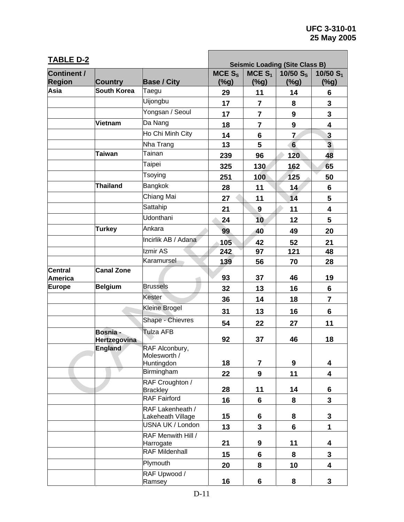$\overline{\phantom{0}}$ 

| <b>TABLE D-2</b>   |                    | <b>Seismic Loading (Site Class B)</b> |                    |                         |                |                         |
|--------------------|--------------------|---------------------------------------|--------------------|-------------------------|----------------|-------------------------|
| <b>Continent /</b> |                    |                                       | MCE S <sub>s</sub> | MCE S <sub>1</sub>      | 10/50 $S_s$    | $10/50 S_1$             |
| <b>Region</b>      | <b>Country</b>     | <b>Base / City</b>                    | (%g)               | (%g)                    | (%g)           | ( %g)                   |
| Asia               | <b>South Korea</b> | Taegu                                 | 29                 | 11                      | 14             | 6                       |
|                    |                    | Uijongbu                              | 17                 | $\overline{7}$          | 8              | 3                       |
|                    |                    | Yongsan / Seoul                       | 17                 | $\overline{7}$          | 9              | $\mathbf{3}$            |
|                    | <b>Vietnam</b>     | Da Nang                               | 18                 | $\overline{7}$          | 9              | 4                       |
|                    |                    | Ho Chi Minh City                      | 14                 | 6                       | $\overline{7}$ | 3                       |
|                    |                    | Nha Trang                             | 13                 | 5                       | 6              | $\overline{3}$          |
|                    | <b>Taiwan</b>      | Tainan                                | 239                | 96                      | 120            | 48                      |
|                    |                    | Taipei                                | 325                | 130                     | 162            | 65                      |
|                    |                    | Tsoying                               | 251                | 100                     | 125            | 50                      |
|                    | <b>Thailand</b>    | Bangkok                               | 28                 | 11                      | 14             | 6                       |
|                    |                    | Chiang Mai                            | 27                 | 11                      | 14             | 5                       |
|                    |                    | Sattahip                              | 21                 | 9                       | 11             | $\overline{\mathbf{4}}$ |
|                    |                    | Udonthani                             | 24                 | 10                      | 12             | 5                       |
|                    | <b>Turkey</b>      | Ankara                                | 99                 | 40                      | 49             | 20                      |
|                    |                    | Incirlik AB / Adana                   | 105                |                         |                |                         |
|                    |                    | Izmir AS                              | 242                | 42<br>97                | 52<br>121      | 21<br>48                |
|                    |                    | Karamursel                            | 139                | 56                      | 70             | 28                      |
| <b>Central</b>     | <b>Canal Zone</b>  |                                       |                    |                         |                |                         |
| <b>America</b>     |                    |                                       | 93                 | 37                      | 46             | 19                      |
| <b>Europe</b>      | <b>Belgium</b>     | <b>Brussels</b>                       | 32                 | 13                      | 16             | 6                       |
|                    |                    | Kester                                | 36                 | 14                      | 18             | $\overline{\mathbf{7}}$ |
|                    |                    | <b>Kleine Brogel</b>                  | 31                 | 13                      | 16             | 6                       |
|                    |                    | Shape - Chievres                      | 54                 | 22                      | 27             | 11                      |
|                    | Bosnia -           | Tulza AFB                             |                    |                         |                |                         |
|                    | Hertzegovina       |                                       | 92                 | 37                      | 46             | 18                      |
|                    | <b>England</b>     | RAF Alconbury,<br>Molesworth /        |                    |                         |                |                         |
|                    |                    | Huntingdon                            | 18                 | $\overline{7}$          | 9              | 4                       |
|                    |                    | Birmingham                            | 22                 | 9                       | 11             | $\overline{\mathbf{4}}$ |
|                    |                    | RAF Croughton /                       |                    |                         |                |                         |
|                    |                    | <b>Brackley</b>                       | 28                 | 11                      | 14             | 6                       |
|                    |                    | <b>RAF Fairford</b>                   | 16                 | $6\phantom{1}$          | 8              | $\overline{\mathbf{3}}$ |
|                    |                    | RAF Lakenheath /<br>Lakeheath Village | 15                 | $6\phantom{1}$          | 8              | 3                       |
|                    |                    | USNA UK / London                      | 13                 | $\overline{\mathbf{3}}$ | $6\phantom{a}$ | $\mathbf{1}$            |
|                    |                    | RAF Menwith Hill /                    |                    |                         |                |                         |
|                    |                    | Harrogate                             | 21                 | 9                       | 11             | 4                       |
|                    |                    | <b>RAF Mildenhall</b>                 | 15                 | 6                       | 8              | 3                       |
|                    |                    | Plymouth                              | 20                 | 8                       | 10             | $\overline{\mathbf{4}}$ |
|                    |                    | RAF Upwood /                          |                    |                         |                |                         |
|                    |                    | Ramsey                                | 16                 | $6\phantom{1}$          | 8              | 3                       |

 $\mathbf{r}$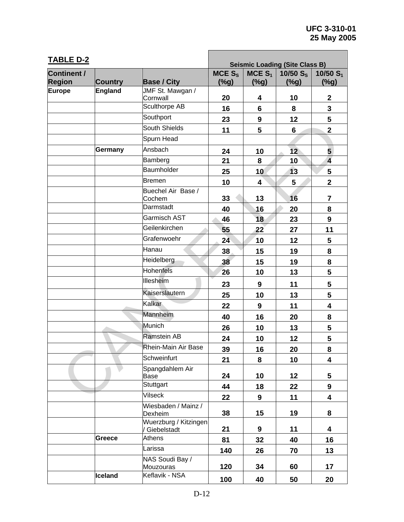Ť.

| <b>TABLE D-2</b>                    |                |                                        | <b>Seismic Loading (Site Class B)</b> |                            |                     |                         |  |
|-------------------------------------|----------------|----------------------------------------|---------------------------------------|----------------------------|---------------------|-------------------------|--|
| <b>Continent /</b><br><b>Region</b> | <b>Country</b> | <b>Base / City</b>                     | MCE S <sub>s</sub><br>(%g)            | MCE S <sub>1</sub><br>(%g) | 10/50 $S_s$<br>(%g) | 10/50 $S_1$<br>( %g)    |  |
| <b>Europe</b>                       | <b>England</b> | JMF St. Mawgan /                       |                                       |                            |                     |                         |  |
|                                     |                | Cornwall                               | 20                                    | 4                          | 10                  | $\mathbf 2$             |  |
|                                     |                | Sculthorpe AB                          | 16                                    | 6                          | 8                   | $\overline{\mathbf{3}}$ |  |
|                                     |                | Southport                              | 23                                    | 9                          | 12                  | 5                       |  |
|                                     |                | South Shields                          | 11                                    | 5                          | 6                   | $\overline{2}$          |  |
|                                     |                | Spurn Head                             |                                       |                            |                     |                         |  |
|                                     | Germany        | Ansbach                                | 24                                    | 10                         | 12                  | 5                       |  |
|                                     |                | Bamberg                                | 21                                    | 8                          | 10                  | $\overline{4}$          |  |
|                                     |                | Baumholder                             | 25                                    | 10                         | 13                  | 5                       |  |
|                                     |                | Bremen                                 | 10                                    | $\overline{\mathbf{4}}$    | 5                   | $\overline{2}$          |  |
|                                     |                | Buechel Air Base /<br>Cochem           | 33                                    | 13                         | 16                  | $\overline{7}$          |  |
|                                     |                | Darmstadt                              | 40                                    | 16                         | 20                  | 8                       |  |
|                                     |                | Garmisch AST                           | 46                                    | 18                         | 23                  | $\boldsymbol{9}$        |  |
|                                     |                | Geilenkirchen                          | 55                                    | 22                         | 27                  | 11                      |  |
|                                     |                | Grafenwoehr                            | 24                                    | 10                         | 12                  | 5                       |  |
|                                     |                | Hanau                                  | 38                                    | 15                         | 19                  | 8                       |  |
|                                     |                | <b>Heidelberg</b>                      | 38                                    | 15                         | 19                  | 8                       |  |
|                                     |                | <b>Hohenfels</b>                       | 26                                    | 10                         | 13                  | 5                       |  |
|                                     |                | Illesheim                              |                                       |                            |                     |                         |  |
|                                     |                | Kaiserslautern                         | 23                                    | 9                          | 11                  | 5                       |  |
|                                     |                | Kalkar                                 | 25                                    | 10                         | 13                  | 5                       |  |
|                                     |                | Mannheim                               | 22                                    | 9                          | 11                  | 4                       |  |
|                                     |                |                                        | 40                                    | 16                         | 20                  | 8                       |  |
|                                     |                | Munich                                 | 26                                    | 10                         | 13                  | 5                       |  |
|                                     |                | Ramstein AB                            | 24                                    | 10                         | 12                  | 5                       |  |
|                                     |                | Rhein-Main Air Base                    | 39                                    | 16                         | 20                  | $\bf{8}$                |  |
|                                     |                | Schweinfurt                            | 21                                    | 8                          | 10                  | 4                       |  |
|                                     |                | Spangdahlem Air<br>Base                | 24                                    | 10                         | 12                  | 5                       |  |
|                                     |                | Stuttgart                              | 44                                    | 18                         | 22                  | 9                       |  |
|                                     |                | <b>Vilseck</b>                         | 22                                    | 9                          | 11                  | 4                       |  |
|                                     |                | Wiesbaden / Mainz /<br>Dexheim         | 38                                    | 15                         | 19                  | 8                       |  |
|                                     |                | Wuerzburg / Kitzingen<br>/ Giebelstadt | 21                                    | 9                          | 11                  | 4                       |  |
|                                     | <b>Greece</b>  | Athens                                 | 81                                    | 32                         | 40                  | 16                      |  |
|                                     |                | Larissa                                | 140                                   | 26                         | 70                  | 13                      |  |
|                                     |                | NAS Soudi Bay /<br>Mouzouras           | 120                                   | 34                         | 60                  | 17                      |  |
|                                     | Iceland        | Keflavik - NSA                         | 100                                   | 40                         | 50                  | 20                      |  |

 $\mathbf{r}$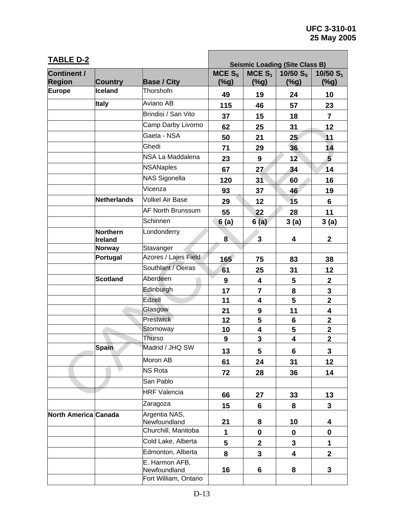| <b>TABLE D-2</b>                    |                            |                                | <b>Seismic Loading (Site Class B)</b> |                            |                         |                         |  |
|-------------------------------------|----------------------------|--------------------------------|---------------------------------------|----------------------------|-------------------------|-------------------------|--|
| <b>Continent /</b><br><b>Region</b> | <b>Country</b>             | <b>Base / City</b>             | $MCE$ S <sub>s</sub><br>$(\%g)$       | MCE S <sub>1</sub><br>(%g) | 10/50 $S_s$<br>$(\%g)$  | 10/50 $S_1$<br>( %g)    |  |
| <b>Europe</b>                       | Iceland                    | Thorshofn                      | 49                                    | 19                         | 24                      | 10                      |  |
|                                     | <b>Italy</b>               | Aviano AB                      | 115                                   | 46                         | 57                      | 23                      |  |
|                                     |                            | Brindisi / San Vito            | 37                                    | 15                         | 18                      | $\overline{\mathbf{7}}$ |  |
|                                     |                            | Camp Darby Livorno             |                                       |                            |                         |                         |  |
|                                     |                            | Gaeta - NSA                    | 62                                    | 25                         | 31                      | 12                      |  |
|                                     |                            | Ghedi                          | 50                                    | 21                         | 25                      | 11                      |  |
|                                     |                            | <b>NSA La Maddalena</b>        | 71                                    | 29                         | 36                      | 14                      |  |
|                                     |                            | <b>NSANaples</b>               | 23                                    | 9                          | 12                      | $5\phantom{.}$          |  |
|                                     |                            | NAS Sigonella                  | 67                                    | 27                         | 34                      | 14                      |  |
|                                     |                            |                                | 120                                   | 31                         | 60                      | 16                      |  |
|                                     |                            | Vicenza                        | 93                                    | 37                         | 46                      | 19                      |  |
|                                     | <b>Netherlands</b>         | <b>Volkel Air Base</b>         | 29                                    | 12                         | 15                      | 6                       |  |
|                                     |                            | <b>AF North Brunssum</b>       | 55                                    | 22                         | 28                      | 11                      |  |
|                                     |                            | Schinnen                       | 6(a)                                  | 6(a)                       | 3(a)                    | 3(a)                    |  |
|                                     | Northern<br><b>Ireland</b> | Londonderry                    | 8                                     | $\mathbf{3}$               | 4                       | $\boldsymbol{2}$        |  |
|                                     | <b>Norway</b>              | Stavanger                      |                                       |                            |                         |                         |  |
|                                     | Portugal                   | Azores / Lajes Field           | 165                                   | 75                         | 83                      | 38                      |  |
|                                     |                            | Southlant / Oeiras             | 61                                    | 25                         | 31                      | 12                      |  |
|                                     | <b>Scotland</b>            | Aberdeen                       | 9                                     | $\overline{\mathbf{4}}$    | 5                       | $\boldsymbol{2}$        |  |
|                                     |                            | Edinburgh                      | 17                                    | $\overline{7}$             | 8                       | $\mathbf{3}$            |  |
|                                     |                            | Edzell                         | 11                                    | $\overline{\mathbf{4}}$    | 5                       | $\overline{\mathbf{2}}$ |  |
|                                     |                            | Glasgow                        | 21                                    | 9                          | 11                      | $\overline{\mathbf{4}}$ |  |
|                                     |                            | Prestwick                      | 12                                    | 5                          | 6                       | $\mathbf{2}$            |  |
|                                     |                            | Stornoway                      | 10                                    | $\overline{\mathbf{4}}$    | 5                       | $\overline{2}$          |  |
|                                     |                            | Thurso                         | $\boldsymbol{9}$                      | 3                          | $\overline{\mathbf{4}}$ | $\overline{\mathbf{2}}$ |  |
|                                     | <b>Spain</b>               | Madrid / JHQ SW                | 13                                    | 5                          | 6                       | 3                       |  |
|                                     |                            | Moron AB                       | 61                                    | 24                         | 31                      | 12                      |  |
|                                     |                            | <b>NS Rota</b>                 | 72                                    | 28                         | 36                      | 14                      |  |
|                                     |                            | San Pablo                      |                                       |                            |                         |                         |  |
|                                     |                            | <b>HRF Valencia</b>            | 66                                    | 27                         | 33                      | 13                      |  |
|                                     |                            | Zaragoza                       | 15                                    | 6                          | 8                       | 3                       |  |
| North America Canada                |                            | Argentia NAS,                  |                                       |                            |                         |                         |  |
|                                     |                            | Newfoundland                   | 21                                    | 8                          | 10                      | 4                       |  |
|                                     |                            | Churchill, Manitoba            | $\mathbf 1$                           | $\mathbf 0$                | $\mathbf 0$             | $\mathbf 0$             |  |
|                                     |                            | Cold Lake, Alberta             | 5                                     | $\mathbf{2}$               | $\mathbf{3}$            | 1                       |  |
|                                     |                            | Edmonton, Alberta              | 8                                     | $\mathbf{3}$               | $\overline{\mathbf{4}}$ | $\overline{\mathbf{2}}$ |  |
|                                     |                            | E. Harmon AFB,<br>Newfoundland | 16                                    | 6                          | 8                       | 3                       |  |
|                                     |                            | Fort William, Ontario          |                                       |                            |                         |                         |  |

п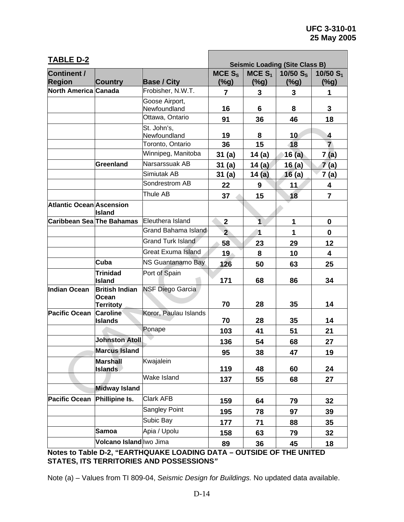| <b>TABLE D-2</b>                 |                                             |                             | <b>Seismic Loading (Site Class B)</b> |                         |                 |                |  |
|----------------------------------|---------------------------------------------|-----------------------------|---------------------------------------|-------------------------|-----------------|----------------|--|
| <b>Continent /</b>               |                                             |                             | MCE S <sub>s</sub>                    | MCE $S_1$               | 10/50 $S_s$     | 10/50 $S_1$    |  |
| <b>Region</b>                    | <b>Country</b>                              | <b>Base / City</b>          | $(\%g)$                               | $(\%g)$                 | $(\%g)$         | $(\%g)$        |  |
| North America Canada             |                                             | Frobisher, N.W.T.           | $\overline{7}$                        | 3                       | 3               | 1              |  |
|                                  |                                             | Goose Airport,              |                                       |                         |                 |                |  |
|                                  |                                             | Newfoundland                | 16                                    | 6                       | 8               | 3              |  |
|                                  |                                             | Ottawa, Ontario             | 91                                    | 36                      | 46              | 18             |  |
|                                  |                                             | St. John's,<br>Newfoundland | 19                                    | 8                       | 10 <sup>°</sup> | 4              |  |
|                                  |                                             | Toronto, Ontario            | 36                                    | 15                      | 18              | $\overline{7}$ |  |
|                                  |                                             | Winnipeg, Manitoba          | 31(a)                                 | 14(a)                   | 16(a)           | 7(a)           |  |
|                                  | Greenland                                   | Narsarssuak AB              | 31(a)                                 | 14 $(a)$                | 16(a)           | 7(a)           |  |
|                                  |                                             | Simiutak AB                 | 31(a)                                 | 14(a)                   | 16(a)           | 7(a)           |  |
|                                  |                                             | Sondrestrom AB              | 22                                    | 9                       | 11              | 4              |  |
|                                  |                                             | Thule AB                    | 37                                    | 15                      | 18              | $\overline{7}$ |  |
| <b>Atlantic Ocean Ascension</b>  | <b>Island</b>                               |                             |                                       |                         |                 |                |  |
| <b>Caribbean Sea The Bahamas</b> |                                             | Eleuthera Island            | $\mathbf{2}$                          | $\overline{\mathbf{1}}$ | 1               | $\mathbf 0$    |  |
|                                  |                                             | Grand Bahama Island         | $2^{\circ}$                           | 1                       | 1               | 0              |  |
|                                  |                                             | Grand Turk Island           | 58                                    | 23                      | 29              | 12             |  |
|                                  |                                             | <b>Great Exuma Island</b>   | 19                                    | 8                       | 10              | 4              |  |
|                                  | Cuba                                        | <b>NS Guantanamo Bay</b>    | 126                                   | 50                      | 63              | 25             |  |
|                                  | <b>Trinidad</b><br><b>Island</b>            | Port of Spain               | 171                                   | 68                      | 86              | 34             |  |
| Indian Ocean                     | <b>British Indian</b><br>Ocean<br>Territoty | NSF Diego Garcia            | 70                                    | 28                      | 35              | 14             |  |
| <b>Pacific Ocean</b>             | <b>Caroline</b>                             | Koror, Paulau Islands       |                                       |                         |                 |                |  |
|                                  | <b>Islands</b>                              | Ponape                      | 70                                    | 28                      | 35              | 14             |  |
|                                  | <b>Johnston Atoll</b>                       |                             | 103                                   | 41                      | 51              | 21             |  |
|                                  |                                             |                             | 136                                   | 54                      | 68              | 27             |  |
|                                  | <b>Marcus Island</b>                        |                             | 95                                    | 38                      | 47              | 19             |  |
|                                  | <b>Marshall</b><br><b>Islands</b>           | Kwajalein                   | 119                                   | 48                      | 60              | 24             |  |
|                                  |                                             | Wake Island                 | 137                                   | 55                      | 68              | 27             |  |
|                                  | <b>Midway Island</b>                        |                             |                                       |                         |                 |                |  |
| <b>Pacific Ocean</b>             | Phillipine Is.                              | <b>Clark AFB</b>            | 159                                   | 64                      | 79              | 32             |  |
|                                  |                                             | Sangley Point               | 195                                   | 78                      | 97              | 39             |  |
|                                  |                                             | Subic Bay                   | 177                                   | 71                      | 88              | 35             |  |
|                                  | <b>Samoa</b>                                | Apia / Upolu                | 158                                   | 63                      | 79              | 32             |  |
|                                  | Volcano Island Iwo Jima                     |                             | 89                                    | 36                      | 45              | 18             |  |

**Notes to Table D-2, "EARTHQUAKE LOADING DATA – OUTSIDE OF THE UNITED STATES, ITS TERRITORIES AND POSSESSIONS***"* 

Note (a) – Values from TI 809-04, *Seismic Design for Buildings.* No updated data available.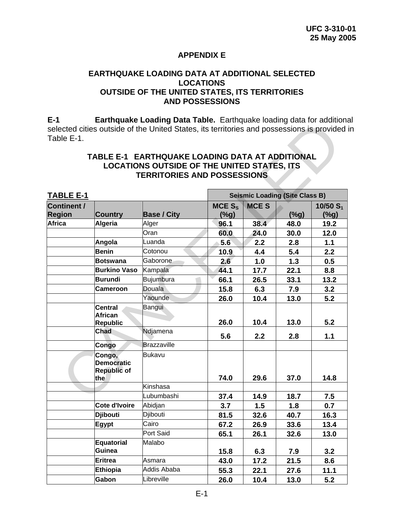#### **APPENDIX E**

#### **LOCATIONS OUTSIDE OF THE UNITED STATES, ITS TERRITORIES AND POSSESSIONS EARTHQUAKE LOADING DATA AT ADDITIONAL SELECTED**

**E-1 Earthquake Loading Data Table.** Earthquake loading data for additional selected cities outside of the United States, its territories and possessions is provided in Table E-1.

| E-1<br>Table E-1.  |                                                          | <b>Earthquake Loading Data Table.</b> Earthquake loading data for additiona<br>selected cities outside of the United States, its territories and possessions is provided |                      |             |                                       |         |  |
|--------------------|----------------------------------------------------------|--------------------------------------------------------------------------------------------------------------------------------------------------------------------------|----------------------|-------------|---------------------------------------|---------|--|
|                    |                                                          | TABLE E-1 EARTHQUAKE LOADING DATA AT ADDITIONAL<br><b>LOCATIONS OUTSIDE OF THE UNITED STATES, ITS</b><br><b>TERRITORIES AND POSSESSIONS</b>                              |                      |             |                                       |         |  |
| <b>TABLE E-1</b>   |                                                          |                                                                                                                                                                          |                      |             | <b>Seismic Loading (Site Class B)</b> |         |  |
| <b>Continent /</b> |                                                          |                                                                                                                                                                          | $MCE$ S <sub>s</sub> | <b>MCES</b> |                                       |         |  |
| <b>Region</b>      | <b>Country</b>                                           | <b>Base / City</b>                                                                                                                                                       | (%g)                 |             | $(\%g)$                               | $(\%g)$ |  |
| <b>Africa</b>      | <b>Algeria</b>                                           | Alger                                                                                                                                                                    | 96.1                 | 38.4        | 48.0                                  | 19.2    |  |
|                    |                                                          | Oran                                                                                                                                                                     | 60.0                 | 24.0        | 30.0                                  | 12.0    |  |
|                    | Angola                                                   | Luanda                                                                                                                                                                   | 5.6                  | 2.2         | 2.8                                   | 1.1     |  |
|                    | <b>Benin</b>                                             | Cotonou                                                                                                                                                                  | 10.9                 | 4.4         | 5.4                                   | 2.2     |  |
|                    | <b>Botswana</b>                                          | Gaborone                                                                                                                                                                 | 2.6                  | 1.0         | 1.3                                   | 0.5     |  |
|                    | <b>Burkino Vaso</b>                                      | Kampala                                                                                                                                                                  | 44.1                 | 17.7        | 22.1                                  | 8.8     |  |
|                    | <b>Burundi</b>                                           | <b>Bujumbura</b>                                                                                                                                                         | 66.1                 | 26.5        | 33.1                                  | 13.2    |  |
|                    | <b>Cameroon</b>                                          | <b>Douala</b>                                                                                                                                                            | 15.8                 | 6.3         | 7.9                                   | 3.2     |  |
|                    |                                                          | Yaounde                                                                                                                                                                  | 26.0                 | 10.4        | 13.0                                  | 5.2     |  |
|                    | <b>Central</b><br><b>African</b><br><b>Republic</b>      | <b>Bangui</b>                                                                                                                                                            | 26.0                 | 10.4        | 13.0                                  | 5.2     |  |
|                    | <b>Chad</b>                                              | Ndjamena                                                                                                                                                                 | 5.6                  | 2.2         | 2.8                                   | 1.1     |  |
|                    | Congo                                                    | Brazzaville                                                                                                                                                              |                      |             |                                       |         |  |
|                    | Congo,<br><b>Democratic</b><br><b>Republic of</b><br>the | <b>Bukavu</b>                                                                                                                                                            | 74.0                 | 29.6        | 37.0                                  | 14.8    |  |
|                    |                                                          | Kinshasa                                                                                                                                                                 |                      |             |                                       |         |  |
|                    |                                                          | Lubumbashi                                                                                                                                                               | 37.4                 | 14.9        | 18.7                                  | 7.5     |  |
|                    | <b>Cote d'Ivoire</b>                                     | Abidjan                                                                                                                                                                  | 3.7                  | 1.5         | 1.8                                   | 0.7     |  |
|                    | <b>Djibouti</b>                                          | Djibouti                                                                                                                                                                 | 81.5                 | 32.6        | 40.7                                  | 16.3    |  |
|                    | <b>Egypt</b>                                             | Cairo                                                                                                                                                                    | 67.2                 | 26.9        | 33.6                                  | 13.4    |  |
|                    |                                                          | Port Said                                                                                                                                                                | 65.1                 | 26.1        | 32.6                                  | 13.0    |  |
|                    | Equatorial<br>Guinea                                     | Malabo                                                                                                                                                                   | 15.8                 | 6.3         | 7.9                                   | 3.2     |  |
|                    | <b>Eritrea</b>                                           | Asmara                                                                                                                                                                   | 43.0                 | 17.2        | 21.5                                  | 8.6     |  |
|                    | <b>Ethiopia</b>                                          | Addis Ababa                                                                                                                                                              | 55.3                 | 22.1        | 27.6                                  | 11.1    |  |
|                    | Gabon                                                    | Libreville                                                                                                                                                               | 26.0                 | 10.4        | 13.0                                  | 5.2     |  |

## **TABLE E-1 EARTHQUAKE LOADING DATA AT ADDITIONAL LOCATIONS OUTSIDE OF THE UNITED STATES, ITS TERRITORIES AND POSSESSIONS**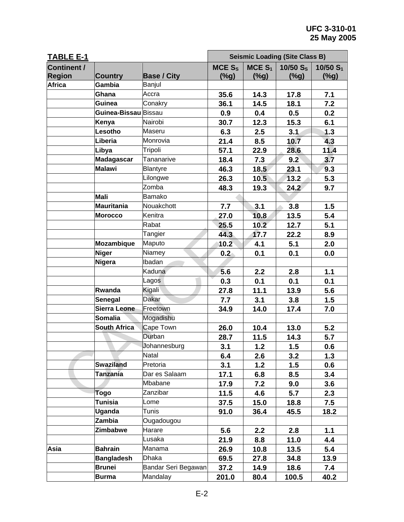| <b>TABLE E-1</b>   |                      |                     |                    | <b>Seismic Loading (Site Class B)</b> |             |             |  |
|--------------------|----------------------|---------------------|--------------------|---------------------------------------|-------------|-------------|--|
| <b>Continent /</b> |                      |                     | MCE S <sub>s</sub> | MCE S <sub>1</sub>                    | 10/50 $S_s$ | 10/50 $S_1$ |  |
| <b>Region</b>      | <b>Country</b>       | <b>Base / City</b>  | (%g)               | $(\%g)$                               | (%g)        | $(\%g)$     |  |
| Africa             | Gambia               | Banjul              |                    |                                       |             |             |  |
|                    | Ghana                | Accra               | 35.6               | 14.3                                  | 17.8        | 7.1         |  |
|                    | Guinea               | Conakry             | 36.1               | 14.5                                  | 18.1        | 7.2         |  |
|                    | Guinea-Bissau Bissau |                     | 0.9                | 0.4                                   | 0.5         | 0.2         |  |
|                    | Kenya                | Nairobi             | 30.7               | 12.3                                  | 15.3        | 6.1         |  |
|                    | Lesotho              | Maseru              | 6.3                | 2.5                                   | 3.1         | 1.3         |  |
|                    | Liberia              | Monrovia            | 21.4               | 8.5                                   | 10.7        | 4.3         |  |
|                    | Libya                | Tripoli             | 57.1               | 22.9                                  | 28.6        | 11.4        |  |
|                    | <b>Madagascar</b>    | Tananarive          | 18.4               | 7.3                                   | 9.2         | 3.7         |  |
|                    | Malawi               | Blantyre            | 46.3               | 18.5                                  | 23.1        | 9.3         |  |
|                    |                      | Lilongwe            | 26.3               | 10.5                                  | 13.2        | 5.3         |  |
|                    |                      | Zomba               | 48.3               | 19.3                                  | 24.2        | 9.7         |  |
|                    | <b>Mali</b>          | Bamako              |                    |                                       |             |             |  |
|                    | Mauritania           | Nouakchott          | 7.7                | 3.1                                   | 3.8         | 1.5         |  |
|                    | <b>Morocco</b>       | Kenitra             | 27.0               | 10.8                                  | 13.5        | 5.4         |  |
|                    |                      | Rabat               | 25.5               | 10.2                                  | 12.7        | 5.1         |  |
|                    |                      | Tangier             | 44.3               | 17.7                                  | 22.2        | 8.9         |  |
|                    | Mozambique           | Maputo              | 10.2               | 4.1                                   | 5.1         | 2.0         |  |
|                    | Niger                | Niamey              | 0.2                | 0.1                                   | 0.1         | 0.0         |  |
|                    | <b>Nigera</b>        | Ibadan              |                    |                                       |             |             |  |
|                    |                      | Kaduna              | 5.6                | 2.2                                   | 2.8         | $1.1$       |  |
|                    |                      | Lagos               | 0.3                | 0.1                                   | 0.1         | 0.1         |  |
|                    | Rwanda               | Kigali              | 27.8               | 11.1                                  | 13.9        | 5.6         |  |
|                    | <b>Senegal</b>       | <b>Dakar</b>        | 7.7                | 3.1                                   | 3.8         | 1.5         |  |
|                    | <b>Sierra Leone</b>  | Freetown            | 34.9               | 14.0                                  | 17.4        | 7.0         |  |
|                    | <b>Somalia</b>       | Mogadishu           |                    |                                       |             |             |  |
|                    | <b>South Africa</b>  | Cape Town           | 26.0               | 10.4                                  | 13.0        | 5.2         |  |
|                    |                      | Durban              | 28.7               | 11.5                                  | 14.3        | 5.7         |  |
|                    |                      | Johannesburg        | 3.1                | $1.2$                                 | 1.5         | 0.6         |  |
|                    |                      | Natal               | 6.4                | 2.6                                   | 3.2         | 1.3         |  |
|                    | <b>Swaziland</b>     | Pretoria            | 3.1                | 1.2                                   | 1.5         | 0.6         |  |
|                    | <b>Tanzania</b>      | Dar es Salaam       | 17.1               | 6.8                                   | 8.5         | 3.4         |  |
|                    |                      | Mbabane             | 17.9               | 7.2                                   | 9.0         | 3.6         |  |
|                    | <b>Togo</b>          | Zanzibar            | 11.5               | 4.6                                   | 5.7         | 2.3         |  |
|                    | <b>Tunisia</b>       | Lome                | 37.5               | 15.0                                  | 18.8        | 7.5         |  |
|                    | Uganda               | Tunis               | 91.0               | 36.4                                  | 45.5        | 18.2        |  |
|                    | Zambia               | Ougadougou          |                    |                                       |             |             |  |
|                    | <b>Zimbabwe</b>      | Harare              | 5.6                | 2.2                                   | 2.8         | $1.1$       |  |
|                    |                      | Lusaka              | 21.9               | 8.8                                   | 11.0        | 4.4         |  |
| Asia               | <b>Bahrain</b>       | Manama              | 26.9               | 10.8                                  | 13.5        | 5.4         |  |
|                    | <b>Bangladesh</b>    | Dhaka               | 69.5               | 27.8                                  | 34.8        | 13.9        |  |
|                    | <b>Brunei</b>        | Bandar Seri Begawan | 37.2               | 14.9                                  | 18.6        | 7.4         |  |
|                    | <b>Burma</b>         | Mandalay            | 201.0              | 80.4                                  | 100.5       | 40.2        |  |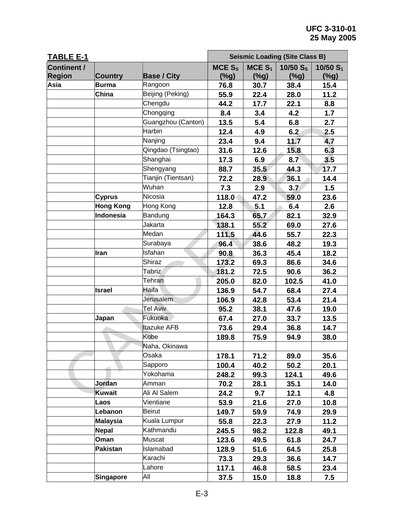| <b>TABLE E-1</b>   |                  |                    | <b>Seismic Loading (Site Class B)</b> |                    |             |             |  |
|--------------------|------------------|--------------------|---------------------------------------|--------------------|-------------|-------------|--|
| <b>Continent /</b> |                  |                    | MCE S <sub>s</sub>                    | MCE S <sub>1</sub> | 10/50 $S_s$ | 10/50 $S_1$ |  |
| <b>Region</b>      | <b>Country</b>   | <b>Base / City</b> | ( %g)                                 | $(\%g)$            | (%g)        | $(\%g)$     |  |
| Asia               | <b>Burma</b>     | Rangoon            | 76.8                                  | 30.7               | 38.4        | 15.4        |  |
|                    | China            | Beijing (Peking)   | 55.9                                  | 22.4               | 28.0        | 11.2        |  |
|                    |                  | Chengdu            | 44.2                                  | 17.7               | 22.1        | 8.8         |  |
|                    |                  | Chongqing          | 8.4                                   | 3.4                | 4.2         | 1.7         |  |
|                    |                  | Guangzhou (Canton) | 13.5                                  | 5.4                | 6.8         | 2.7         |  |
|                    |                  | Harbin             | 12.4                                  | 4.9                | 6.2         | 2.5         |  |
|                    |                  | Nanjing            | 23.4                                  | 9.4                | 11.7        | 4.7         |  |
|                    |                  | Qingdao (Tsingtao) | 31.6                                  | 12.6               | 15.8        | 6.3         |  |
|                    |                  | Shanghai           | 17.3                                  | 6.9                | 8.7         | 3.5         |  |
|                    |                  | Shengyang          | 88.7                                  | 35.5               | 44.3        | 17.7        |  |
|                    |                  | Tianjin (Tientsan) | 72.2                                  | 28.9               | 36.1        | 14.4        |  |
|                    |                  | Wuhan              | 7.3                                   | 2.9                | 3.7         | 1.5         |  |
|                    | <b>Cyprus</b>    | Nicosia            | 118.0                                 | 47.2               | 59.0        | 23.6        |  |
|                    | <b>Hong Kong</b> | Hong Kong          | 12.8                                  | 5.1                | 6.4         | 2.6         |  |
|                    | Indonesia        | Bandung            | 164.3                                 | 65.7               | 82.1        | 32.9        |  |
|                    |                  | Jakarta            | 138.1                                 | 55.2               | 69.0        | 27.6        |  |
|                    |                  | Medan              | 111.5                                 | 44.6               | 55.7        | 22.3        |  |
|                    |                  | Surabaya           | 96.4                                  | 38.6               | 48.2        | 19.3        |  |
|                    | <b>Iran</b>      | Isfahan            | 90.8                                  | 36.3               | 45.4        | 18.2        |  |
|                    |                  | Shiraz             | 173.2                                 | 69.3               | 86.6        | 34.6        |  |
|                    |                  | <b>Tabriz</b>      | 181.2                                 | 72.5               | 90.6        | 36.2        |  |
|                    |                  | Tehran             | 205.0                                 | 82.0               | 102.5       | 41.0        |  |
|                    | <b>Israel</b>    | <b>Haifa</b>       | 136.9                                 | 54.7               | 68.4        | 27.4        |  |
|                    |                  | Jerusalem          | 106.9                                 | 42.8               | 53.4        | 21.4        |  |
|                    |                  | <b>Tel Aviv</b>    | 95.2                                  | 38.1               | 47.6        | 19.0        |  |
|                    | Japan            | Fukuoka            | 67.4                                  | 27.0               | 33.7        | 13.5        |  |
|                    |                  | <b>Itazuke AFB</b> | 73.6                                  | 29.4               | 36.8        | 14.7        |  |
|                    |                  | Kobe               | 189.8                                 | 75.9               | 94.9        | 38.0        |  |
|                    |                  | Naha, Okinawa      |                                       |                    |             |             |  |
|                    |                  | Osaka              | 178.1                                 | 71.2               | 89.0        | 35.6        |  |
|                    |                  | Sapporo            | 100.4                                 | 40.2               | 50.2        | 20.1        |  |
|                    |                  | Yokohama           | 248.2                                 | 99.3               | 124.1       | 49.6        |  |
|                    | Jordan           | Amman              | 70.2                                  | 28.1               | 35.1        | 14.0        |  |
|                    | <b>Kuwait</b>    | Ali Al Salem       | 24.2                                  | 9.7                | 12.1        | 4.8         |  |
|                    | Laos             | Vientiane          | 53.9                                  | 21.6               | 27.0        | 10.8        |  |
|                    | Lebanon          | <b>Beirut</b>      | 149.7                                 | 59.9               | 74.9        | 29.9        |  |
|                    | <b>Malaysia</b>  | Kuala Lumpur       | 55.8                                  | 22.3               | 27.9        | 11.2        |  |
|                    | Nepal            | Kathmandu          | 245.5                                 | 98.2               | 122.8       | 49.1        |  |
|                    | Oman             | Muscat             | 123.6                                 | 49.5               | 61.8        | 24.7        |  |
|                    | <b>Pakistan</b>  | Islamabad          | 128.9                                 | 51.6               | 64.5        | 25.8        |  |
|                    |                  | Karachi            | 73.3                                  | 29.3               | 36.6        | 14.7        |  |
|                    |                  | Lahore             | 117.1                                 | 46.8               | 58.5        | 23.4        |  |
|                    | <b>Singapore</b> | All                | 37.5                                  | 15.0               | 18.8        | 7.5         |  |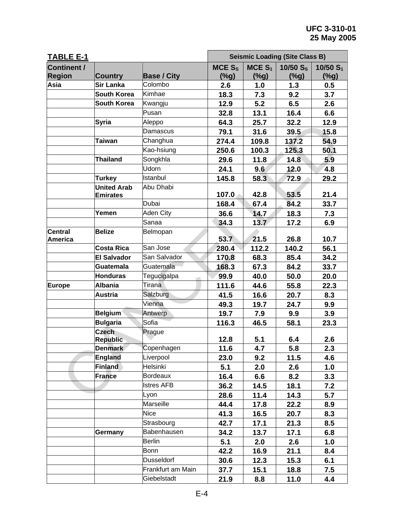| <b>TABLE E-1</b>   |                    |                    | <b>Seismic Loading (Site Class B)</b> |                    |             |             |
|--------------------|--------------------|--------------------|---------------------------------------|--------------------|-------------|-------------|
| <b>Continent /</b> |                    |                    | MCE S <sub>s</sub>                    | MCE S <sub>1</sub> | 10/50 $S_s$ | 10/50 $S_1$ |
| <b>Region</b>      | <b>Country</b>     | <b>Base / City</b> | ( %)                                  | (%g)               | (%g)        | (%g)        |
| Asia               | <b>Sir Lanka</b>   | Colombo            | 2.6                                   | 1.0                | 1.3         | 0.5         |
|                    | <b>South Korea</b> | Kimhae             | 18.3                                  | 7.3                | 9.2         | 3.7         |
|                    | <b>South Korea</b> | Kwangju            | 12.9                                  | 5.2                | 6.5         | 2.6         |
|                    |                    | Pusan              | 32.8                                  | 13.1               | 16.4        | 6.6         |
|                    | <b>Syria</b>       | Aleppo             | 64.3                                  | 25.7               | 32.2        | 12.9        |
|                    |                    | Damascus           | 79.1                                  | 31.6               | 39.5        | 15.8        |
|                    | <b>Taiwan</b>      | Changhua           | 274.4                                 | 109.8              | 137.2       | 54.9        |
|                    |                    | Kao-hsiung         | 250.6                                 | 100.3              | 125.3       | 50.1        |
|                    | <b>Thailand</b>    | Songkhla           | 29.6                                  | 11.8               | 14.8        | 5.9         |
|                    |                    | Udorn              | 24.1                                  | 9.6                | 12.0        | 4.8         |
|                    | <b>Turkey</b>      | Istanbul           | 145.8                                 | 58.3               | 72.9        | 29.2        |
|                    | <b>United Arab</b> | Abu Dhabi          |                                       |                    |             |             |
|                    | <b>Emirates</b>    |                    | 107.0                                 | 42.8               | 53.5        | 21.4        |
|                    |                    | Dubai              | 168.4                                 | 67.4               | 84.2        | 33.7        |
|                    | Yemen              | <b>Aden City</b>   | 36.6                                  | 14.7               | 18.3        | 7.3         |
|                    |                    | Sanaa              | 34.3                                  | 13.7               | 17.2        | 6.9         |
| <b>Central</b>     | <b>Belize</b>      | Belmopan           |                                       |                    |             |             |
| America            |                    |                    | 53.7                                  | 21.5               | 26.8        | 10.7        |
|                    | <b>Costa Rica</b>  | San Jose           | 280.4                                 | 112.2              | 140.2       | 56.1        |
|                    | <b>El Salvador</b> | San Salvador       | 170.8                                 | 68.3               | 85.4        | 34.2        |
|                    | Guatemala          | Guatemala          | 168.3                                 | 67.3               | 84.2        | 33.7        |
|                    | <b>Honduras</b>    | Tegucigalpa        | 99.9                                  | 40.0               | 50.0        | 20.0        |
| Europe             | <b>Albania</b>     | Tirana             | 111.6                                 | 44.6               | 55.8        | 22.3        |
|                    | <b>Austria</b>     | Salzburg           | 41.5                                  | 16.6               | 20.7        | 8.3         |
|                    |                    | Vienna             | 49.3                                  | 19.7               | 24.7        | 9.9         |
|                    | <b>Belgium</b>     | Antwerp            | 19.7                                  | 7.9                | 9.9         | 3.9         |
|                    | <b>Bulgaria</b>    | Sofia              | 116.3                                 | 46.5               | 58.1        | 23.3        |
|                    | <b>Czech</b>       | Prague             |                                       |                    |             |             |
|                    | <b>Republic</b>    | Copenhagen         | 12.8                                  | 5.1                | 6.4         | 2.6         |
|                    | <b>Denmark</b>     | Liverpool          | 11.6                                  | 4.7                | 5.8         | 2.3         |
|                    | England<br>Finland | Helsinki           | 23.0                                  | 9.2                | 11.5        | 4.6         |
|                    | <b>France</b>      | <b>Bordeaux</b>    | 5.1                                   | 2.0                | 2.6         | 1.0         |
|                    |                    | <b>Istres AFB</b>  | 16.4                                  | 6.6                | 8.2         | 3.3         |
|                    |                    |                    | 36.2                                  | 14.5               | 18.1        | 7.2         |
|                    |                    | Lyon               | 28.6                                  | 11.4               | 14.3        | 5.7         |
|                    |                    | Marseille          | 44.4                                  | 17.8               | 22.2        | 8.9         |
|                    |                    | <b>Nice</b>        | 41.3                                  | 16.5               | 20.7        | 8.3         |
|                    |                    | Strasbourg         | 42.7                                  | 17.1               | 21.3        | 8.5         |
|                    | <b>Germany</b>     | Babenhausen        | 34.2                                  | 13.7               | 17.1        | 6.8         |
|                    |                    | <b>Berlin</b>      | 5.1                                   | 2.0                | 2.6         | 1.0         |
|                    |                    | <b>Bonn</b>        | 42.2                                  | 16.9               | 21.1        | 8.4         |
|                    |                    | <b>Dusseldorf</b>  | 30.6                                  | 12.3               | 15.3        | 6.1         |
|                    |                    | Frankfurt am Main  | 37.7                                  | 15.1               | 18.8        | 7.5         |
|                    |                    | Giebelstadt        | 21.9                                  | 8.8                | 11.0        | 4.4         |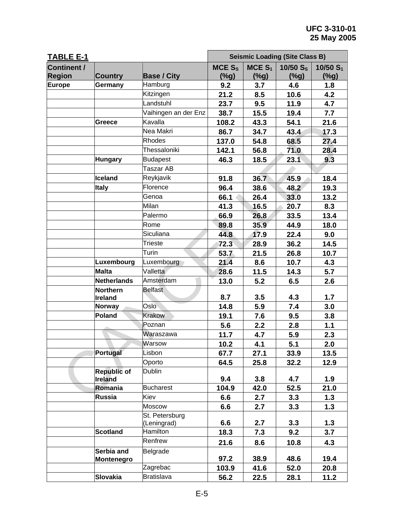| <b>TABLE E-1</b>   |                    |                               | <b>Seismic Loading (Site Class B)</b> |           |             |             |
|--------------------|--------------------|-------------------------------|---------------------------------------|-----------|-------------|-------------|
| <b>Continent /</b> |                    |                               | MCE S <sub>s</sub>                    | MCE $S_1$ | 10/50 $S_s$ | 10/50 $S_1$ |
| <b>Region</b>      | <b>Country</b>     | <b>Base / City</b>            | (%g)                                  | $(\%g)$   | $(\%g)$     | (%g)        |
| Europe             | Germany            | Hamburg                       | 9.2                                   | 3.7       | 4.6         | 1.8         |
|                    |                    | Kitzingen                     | 21.2                                  | 8.5       | 10.6        | 4.2         |
|                    |                    | Landstuhl                     | 23.7                                  | 9.5       | 11.9        | 4.7         |
|                    |                    | Vaihingen an der Enz          | 38.7                                  | 15.5      | 19.4        | 7.7         |
|                    | <b>Greece</b>      | Kavalla                       | 108.2                                 | 43.3      | 54.1        | 21.6        |
|                    |                    | Nea Makri                     | 86.7                                  | 34.7      | 43.4        | 17.3        |
|                    |                    | Rhodes                        | 137.0                                 | 54.8      | 68.5        | 27.4        |
|                    |                    | Thessaloniki                  | 142.1                                 | 56.8      | 71.0        | 28.4        |
|                    | <b>Hungary</b>     | <b>Budapest</b>               | 46.3                                  | 18.5      | 23.1        | 9.3         |
|                    |                    | <b>Taszar AB</b>              |                                       |           |             |             |
|                    | Iceland            | Reykjavik                     | 91.8                                  | 36.7      | 45.9        | 18.4        |
|                    | <b>Italy</b>       | Florence                      | 96.4                                  | 38.6      | 48.2        | 19.3        |
|                    |                    | Genoa                         | 66.1                                  | 26.4      | 33.0        | 13.2        |
|                    |                    | Milan                         | 41.3                                  | 16.5      | 20.7        | 8.3         |
|                    |                    | Palermo                       | 66.9                                  | 26.8      | 33.5        | 13.4        |
|                    |                    | Rome                          | 89.8                                  | 35.9      | 44.9        | 18.0        |
|                    |                    | Siculiana                     | 44.8                                  | 17.9      | 22.4        | 9.0         |
|                    |                    | Trieste                       | 72.3                                  | 28.9      | 36.2        | 14.5        |
|                    |                    | Turin                         | 53.7                                  | 21.5      | 26.8        | 10.7        |
|                    | Luxembourg         | Luxembourg                    | 21.4                                  | 8.6       | 10.7        | 4.3         |
|                    | Malta              | Valletta                      | 28.6                                  | 11.5      | 14.3        | 5.7         |
|                    | Netherlands        | Amsterdam                     | 13.0                                  | 5.2       | 6.5         | 2.6         |
|                    | Northern           | <b>Belfast</b>                |                                       |           |             |             |
|                    | Ireland            |                               | 8.7                                   | 3.5       | 4.3         | 1.7         |
|                    | Norway             | Oslo                          | 14.8                                  | 5.9       | 7.4         | 3.0         |
|                    | Poland             | <b>Krakow</b>                 | 19.1                                  | 7.6       | 9.5         | 3.8         |
|                    |                    | Poznan                        | 5.6                                   | 2.2       | 2.8         | $1.1$       |
|                    |                    | Waraszawa                     | 11.7                                  | 4.7       | 5.9         | 2.3         |
|                    |                    | Warsow                        | 10.2                                  | 4.1       | 5.1         | 2.0         |
|                    | Portugal           | Lisbon                        | 67.7                                  | 27.1      | 33.9        | 13.5        |
|                    |                    | Oporto                        | 64.5                                  | 25.8      | 32.2        | 12.9        |
|                    | <b>Republic of</b> | <b>Dublin</b>                 |                                       |           |             |             |
|                    | <b>Ireland</b>     |                               | 9.4                                   | 3.8       | 4.7         | 1.9         |
|                    | Romania            | <b>Bucharest</b>              | 104.9                                 | 42.0      | 52.5        | 21.0        |
|                    | <b>Russia</b>      | Kiev                          | 6.6                                   | 2.7       | 3.3         | 1.3         |
|                    |                    | Moscow                        | 6.6                                   | 2.7       | 3.3         | 1.3         |
|                    |                    | St. Petersburg<br>(Leningrad) | 6.6                                   | 2.7       | 3.3         | 1.3         |
|                    | <b>Scotland</b>    | Hamilton                      | 18.3                                  | 7.3       | 9.2         | 3.7         |
|                    |                    | Renfrew                       | 21.6                                  |           | 10.8        | 4.3         |
|                    | Serbia and         | Belgrade                      |                                       | 8.6       |             |             |
|                    | <b>Montenegro</b>  |                               | 97.2                                  | 38.9      | 48.6        | 19.4        |
|                    |                    | Zagrebac                      | 103.9                                 | 41.6      | 52.0        | 20.8        |
|                    | <b>Slovakia</b>    | Bratislava                    | 56.2                                  | 22.5      | 28.1        | 11.2        |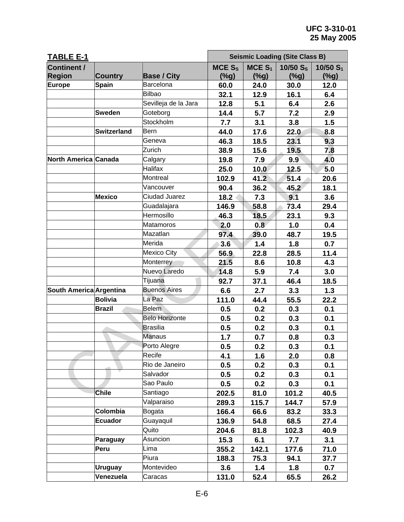| <b>TABLE E-1</b>        |                    |                       | <b>Seismic Loading (Site Class B)</b> |                    |             |             |
|-------------------------|--------------------|-----------------------|---------------------------------------|--------------------|-------------|-------------|
| <b>Continent /</b>      |                    |                       | MCE S <sub>s</sub>                    | MCE S <sub>1</sub> | 10/50 $S_s$ | 10/50 $S_1$ |
| <b>Region</b>           | <b>Country</b>     | <b>Base / City</b>    | ( %)                                  | $(\%g)$            | (%g)        | $(\%g)$     |
| Europe                  | <b>Spain</b>       | Barcelona             | 60.0                                  | 24.0               | 30.0        | 12.0        |
|                         |                    | <b>Bilbao</b>         | 32.1                                  | 12.9               | 16.1        | 6.4         |
|                         |                    | Sevilleja de la Jara  | 12.8                                  | 5.1                | 6.4         | 2.6         |
|                         | <b>Sweden</b>      | Goteborg              | 14.4                                  | 5.7                | 7.2         | 2.9         |
|                         |                    | Stockholm             | 7.7                                   | 3.1                | 3.8         | 1.5         |
|                         | <b>Switzerland</b> | Bern                  | 44.0                                  | 17.6               | 22.0        | 8.8         |
|                         |                    | Geneva                | 46.3                                  | 18.5               | 23.1        | 9.3         |
|                         |                    | Zurich                | 38.9                                  | 15.6               | 19.5        | 7.8         |
| North America Canada    |                    | Calgary               | 19.8                                  | 7.9                | 9.9         | 4.0         |
|                         |                    | <b>Halifax</b>        | 25.0                                  | 10.0               | 12.5        | 5.0         |
|                         |                    | Montreal              | 102.9                                 | 41.2               | 51.4        | 20.6        |
|                         |                    | Vancouver             | 90.4                                  | 36.2               | 45.2        | 18.1        |
|                         | <b>Mexico</b>      | Ciudad Juarez         | 18.2                                  | 7.3                | 9.1         | 3.6         |
|                         |                    | Guadalajara           | 146.9                                 | 58.8               | 73.4        | 29.4        |
|                         |                    | Hermosillo            | 46.3                                  | 18.5               | 23.1        | 9.3         |
|                         |                    | <b>Matamoros</b>      | 2.0                                   | 0.8                | 1.0         | 0.4         |
|                         |                    | Mazatlan              | 97.4                                  | 39.0               | 48.7        | 19.5        |
|                         |                    | Merida                | 3.6                                   | 1.4                | 1.8         | 0.7         |
|                         |                    | <b>Mexico City</b>    | 56.9                                  | 22.8               | 28.5        | 11.4        |
|                         |                    | Monterrey             | 21.5                                  | 8.6                | 10.8        | 4.3         |
|                         |                    | Nuevo Laredo          | 14.8                                  | 5.9                | 7.4         | 3.0         |
|                         |                    | Tijuana               | 92.7                                  | 37.1               | 46.4        | 18.5        |
| South America Argentina |                    | <b>Buenos Aires</b>   | 6.6                                   | 2.7                | 3.3         | 1.3         |
|                         | <b>Bolivia</b>     | La Paz                | 111.0                                 | 44.4               | 55.5        | 22.2        |
|                         | <b>Brazil</b>      | <b>Belem</b>          | 0.5                                   | 0.2                | 0.3         | 0.1         |
|                         |                    | <b>Belo Horizonte</b> | 0.5                                   | 0.2                | 0.3         | 0.1         |
|                         |                    | <b>Brasilia</b>       | 0.5                                   | 0.2                | 0.3         | 0.1         |
|                         |                    | <b>Manaus</b>         | 1.7                                   | 0.7                | 0.8         | 0.3         |
|                         |                    | Porto Alegre          | 0.5                                   | 0.2                | 0.3         | 0.1         |
|                         |                    | Recife                | 4.1                                   | 1.6                | 2.0         | 0.8         |
|                         |                    | Rio de Janeiro        | 0.5                                   | 0.2                | 0.3         | 0.1         |
|                         |                    | Salvador              | 0.5                                   | 0.2                | 0.3         | 0.1         |
|                         |                    | Sao Paulo             | 0.5                                   | 0.2                | 0.3         | 0.1         |
|                         | <b>Chile</b>       | Santiago              | 202.5                                 | 81.0               | 101.2       | 40.5        |
|                         |                    | Valparaiso            | 289.3                                 | 115.7              | 144.7       | 57.9        |
|                         | Colombia           | <b>Bogata</b>         | 166.4                                 | 66.6               | 83.2        | 33.3        |
|                         | <b>Ecuador</b>     | Guayaquil             | 136.9                                 | 54.8               | 68.5        | 27.4        |
|                         |                    | Quito                 | 204.6                                 | 81.8               | 102.3       | 40.9        |
|                         | Paraguay           | Asuncion              | 15.3                                  | 6.1                | 7.7         | 3.1         |
|                         | Peru               | Lima                  | 355.2                                 | 142.1              | 177.6       | 71.0        |
|                         |                    | Piura                 | 188.3                                 | 75.3               | 94.1        | 37.7        |
|                         | <b>Uruguay</b>     | Montevideo            | 3.6                                   | 1.4                | 1.8         | 0.7         |
|                         | Venezuela          | Caracas               | 131.0                                 | 52.4               | 65.5        | 26.2        |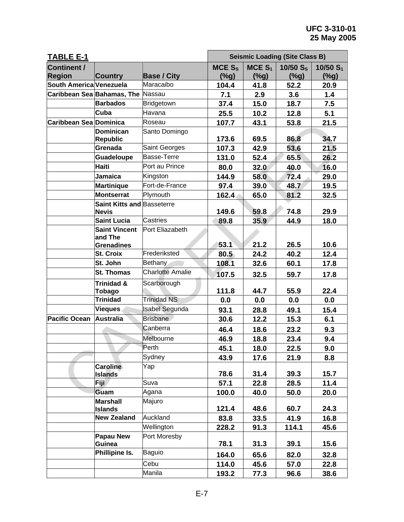| <b>TABLE E-1</b>                  |                                                   |                         | <b>Seismic Loading (Site Class B)</b> |           |             |             |
|-----------------------------------|---------------------------------------------------|-------------------------|---------------------------------------|-----------|-------------|-------------|
| <b>Continent /</b>                |                                                   |                         | MCE S <sub>s</sub>                    | MCE $S_1$ | 10/50 $S_s$ | 10/50 $S_1$ |
| <b>Region</b>                     | <b>Country</b>                                    | <b>Base / City</b>      | $(\%g)$                               | (%g)      | (%g)        | $(\%g)$     |
| South America Venezuela           |                                                   | Maracaibo               | 104.4                                 | 41.8      | 52.2        | 20.9        |
| Caribbean Sea Bahamas, The Nassau |                                                   |                         | 7.1                                   | 2.9       | 3.6         | 1.4         |
|                                   | <b>Barbados</b>                                   | Bridgetown              | 37.4                                  | 15.0      | 18.7        | 7.5         |
|                                   | <b>Cuba</b>                                       | Havana                  | 25.5                                  | 10.2      | 12.8        | 5.1         |
| Caribbean Sea Dominica            |                                                   | Roseau                  | 107.7                                 | 43.1      | 53.8        | 21.5        |
|                                   | <b>Dominican</b><br><b>Republic</b>               | Santo Domingo           | 173.6                                 | 69.5      | 86.8        | 34.7        |
|                                   | Grenada                                           | Saint Georges           | 107.3                                 | 42.9      | 53.6        | 21.5        |
|                                   | <b>Guadeloupe</b>                                 | Basse-Terre             | 131.0                                 | 52.4      | 65.5        | 26.2        |
|                                   | <b>Haiti</b>                                      | Port au Prince          | 80.0                                  | 32.0      | 40.0        | 16.0        |
|                                   | Jamaica                                           | Kingston                | 144.9                                 | 58.0      | 72.4        | 29.0        |
|                                   | <b>Martinique</b>                                 | Fort-de-France          | 97.4                                  | 39.0      | 48.7        | 19.5        |
|                                   | <b>Montserrat</b>                                 | Plymouth                | 162.4                                 | 65.0      | 81.2        | 32.5        |
|                                   | <b>Saint Kitts and Basseterre</b><br><b>Nevis</b> |                         | 149.6                                 | 59.8      | 74.8        | 29.9        |
|                                   | <b>Saint Lucia</b>                                | Castries                | 89.8                                  | 35.9      | 44.9        | 18.0        |
|                                   | <b>Saint Vincent</b><br>and The                   | Port Eliazabeth         |                                       |           |             |             |
|                                   | <b>Grenadines</b>                                 |                         | 53.1                                  | 21.2      | 26.5        | 10.6        |
|                                   | <b>St. Croix</b>                                  | Frederiksted            | 80.5                                  | 24.2      | 40.2        | 12.4        |
|                                   | St. John                                          | Bethany                 | 108.1                                 | 32.6      | 60.1        | 17.8        |
|                                   | <b>St. Thomas</b>                                 | <b>Charlotte Amalie</b> | 107.5                                 | 32.5      | 59.7        | 17.8        |
|                                   | Trinidad &<br><b>Tobago</b>                       | Scarborough             | 111.8                                 | 44.7      | 55.9        | 22.4        |
|                                   | <b>Trinidad</b>                                   | <b>Trinidad NS</b>      | 0.0                                   | 0.0       | 0.0         | 0.0         |
|                                   | <b>Vieques</b>                                    | <b>Isabel Segunda</b>   | 93.1                                  | 28.8      | 49.1        | 15.4        |
| <b>Pacific Ocean</b>              | <b>Australia</b>                                  | <b>Brisbane</b>         | 30.6                                  | 12.2      | 15.3        | 6.1         |
|                                   |                                                   | Canberra                | 46.4                                  | 18.6      | 23.2        | 9.3         |
|                                   |                                                   | Melbourne               | 46.9                                  | 18.8      | 23.4        | 9.4         |
|                                   |                                                   | Perth                   | 45.1                                  | 18.0      | 22.5        | 9.0         |
|                                   |                                                   | Sydney                  | 43.9                                  | 17.6      | 21.9        | 8.8         |
|                                   | Caroline<br><b>Islands</b>                        | Yap                     | 78.6                                  | 31.4      | 39.3        | 15.7        |
|                                   | Fiji                                              | Suva                    | 57.1                                  | 22.8      | 28.5        | 11.4        |
|                                   | Guam                                              | Agana                   | 100.0                                 | 40.0      | 50.0        | 20.0        |
|                                   | Marshall                                          | Majuro                  |                                       |           |             |             |
|                                   | <b>Islands</b>                                    |                         | 121.4                                 | 48.6      | 60.7        | 24.3        |
|                                   | <b>New Zealand</b>                                | Auckland                | 83.8                                  | 33.5      | 41.9        | 16.8        |
|                                   |                                                   | Wellington              | 228.2                                 | 91.3      | 114.1       | 45.6        |
|                                   | <b>Papau New</b><br><b>Guinea</b>                 | Port Moresby            | 78.1                                  | 31.3      | 39.1        | 15.6        |
|                                   | Phillipine Is.                                    | Baguio                  | 164.0                                 | 65.6      | 82.0        | 32.8        |
|                                   |                                                   | Cebu                    | 114.0                                 | 45.6      | 57.0        | 22.8        |
|                                   |                                                   | Manila                  | 193.2                                 | 77.3      | 96.6        | 38.6        |